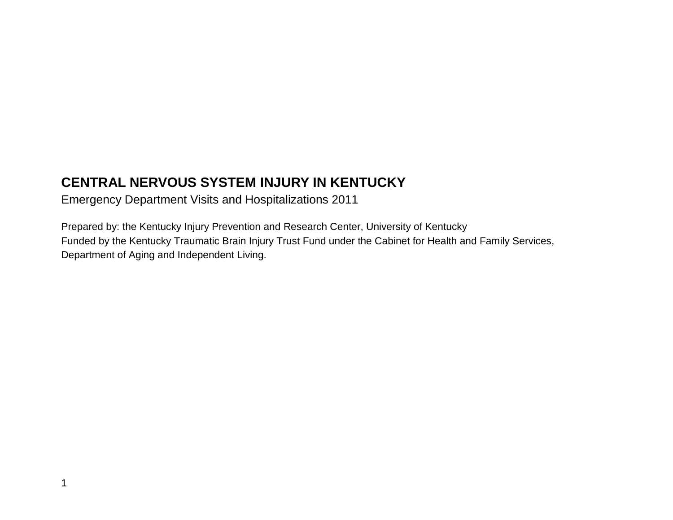# **CENTRAL NERVOUS SYSTEM INJURY IN KENTUCKY**

Emergency Department Visits and Hospitalizations 2011

Prepared by: the Kentucky Injury Prevention and Research Center, University of Kentucky Funded by the Kentucky Traumatic Brain Injury Trust Fund under the Cabinet for Health and Family Services, Department of Aging and Independent Living.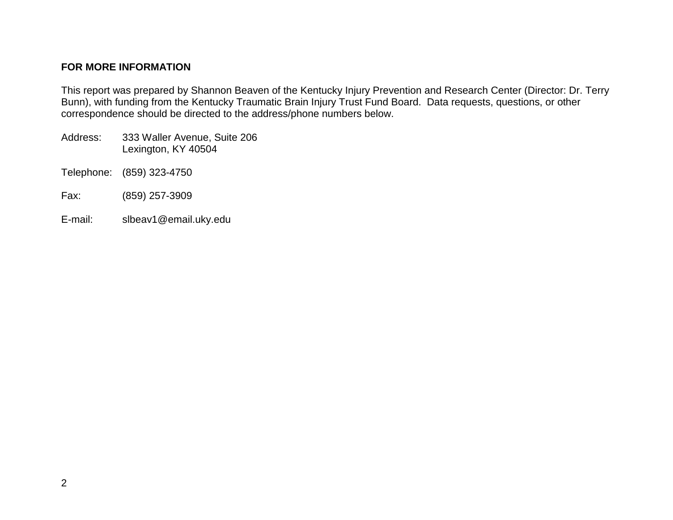#### **FOR MORE INFORMATION**

This report was prepared by Shannon Beaven of the Kentucky Injury Prevention and Research Center (Director: Dr. Terry Bunn), with funding from the Kentucky Traumatic Brain Injury Trust Fund Board. Data requests, questions, or other correspondence should be directed to the address/phone numbers below.

- Address: 333 Waller Avenue, Suite 206 Lexington, KY 40504
- Telephone: (859) 323-4750
- Fax: (859) 257-3909
- E-mail: slbeav1@email.uky.edu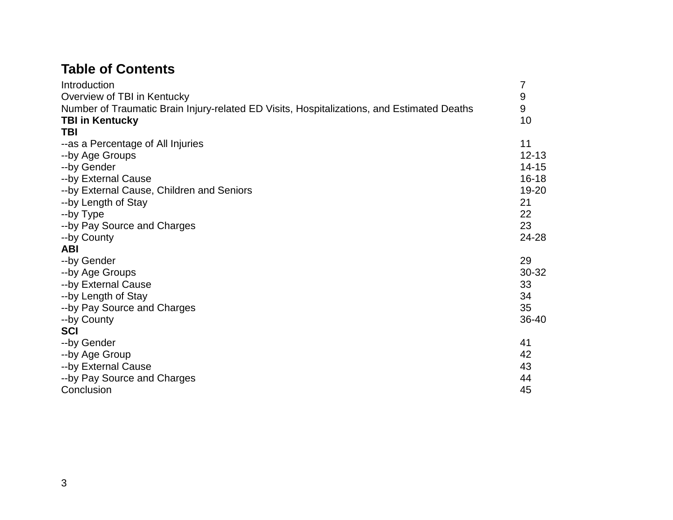# **Table of Contents**

| Introduction                                                                               | 7         |
|--------------------------------------------------------------------------------------------|-----------|
| Overview of TBI in Kentucky                                                                | 9         |
| Number of Traumatic Brain Injury-related ED Visits, Hospitalizations, and Estimated Deaths | 9         |
| <b>TBI in Kentucky</b>                                                                     | 10        |
| <b>TBI</b>                                                                                 |           |
| --as a Percentage of All Injuries                                                          | 11        |
| --by Age Groups                                                                            | $12 - 13$ |
| --by Gender                                                                                | 14-15     |
| --by External Cause                                                                        | 16-18     |
| --by External Cause, Children and Seniors                                                  | 19-20     |
| --by Length of Stay                                                                        | 21        |
| --by Type                                                                                  | 22        |
| --by Pay Source and Charges                                                                | 23        |
| --by County                                                                                | 24-28     |
| <b>ABI</b>                                                                                 |           |
| --by Gender                                                                                | 29        |
| --by Age Groups                                                                            | 30-32     |
| --by External Cause                                                                        | 33        |
| --by Length of Stay                                                                        | 34        |
| --by Pay Source and Charges                                                                | 35        |
| --by County                                                                                | 36-40     |
| <b>SCI</b>                                                                                 |           |
| --by Gender                                                                                | 41        |
| --by Age Group                                                                             | 42        |
| --by External Cause                                                                        | 43        |
| --by Pay Source and Charges                                                                | 44        |
| Conclusion                                                                                 | 45        |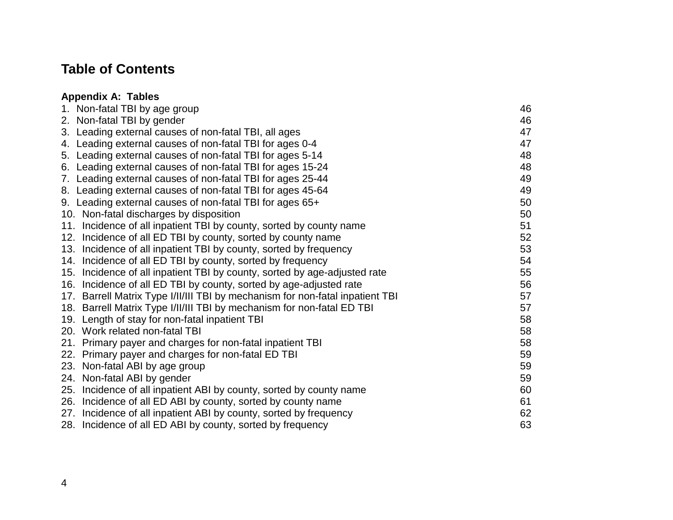## **Table of Contents**

#### **Appendix A: Tables** 1. Non-fatal TBI by age group 46 2. Non-fatal TBI by gender 46 3. Leading external causes of non-fatal TBI, all ages 47 4. Leading external causes of non-fatal TBI for ages 0-4 47 5. Leading external causes of non-fatal TBI for ages 5-14 48 6. Leading external causes of non-fatal TBI for ages 15-24 48 7. Leading external causes of non-fatal TBI for ages 25-44 49 8. Leading external causes of non-fatal TBI for ages 45-64 49 9. Leading external causes of non-fatal TBI for ages 65+ 50 10. Non-fatal discharges by disposition 50 11. Incidence of all inpatient TBI by county, sorted by county name 12. Incidence of all ED TBI by county, sorted by county name 52 13. Incidence of all inpatient TBI by county, sorted by frequency 53 14. Incidence of all ED TBI by county, sorted by frequency **14. Incidence of all ED TBI** by county, sorted by frequency 15. Incidence of all inpatient TBI by county, sorted by age-adjusted rate 55

- 16. Incidence of all ED TBI by county, sorted by age-adjusted rate 56
- 17. Barrell Matrix Type I/II/III TBI by mechanism for non-fatal inpatient TBI
- 18. Barrell Matrix Type I/II/III TBI by mechanism for non-fatal ED TBI
- 19. Length of stay for non-fatal inpatient TBI 68
- 20. Work related non-fatal TBI 38 and 70 and 70 and 70 and 70 and 70 and 70 and 70 and 70 and 70 and 70 and 70
- 21. Primary payer and charges for non-fatal inpatient TBI 58
- 22. Primary payer and charges for non-fatal ED TBI 59
- 23. Non-fatal ABI by age group 59
- 24. Non-fatal ABI by gender 59
- 25. Incidence of all inpatient ABI by county, sorted by county name 60
- 26. Incidence of all ED ABI by county, sorted by county name 61
- 27. Incidence of all inpatient ABI by county, sorted by frequency 62
- 28. Incidence of all ED ABI by county, sorted by frequency example and the state of  $63$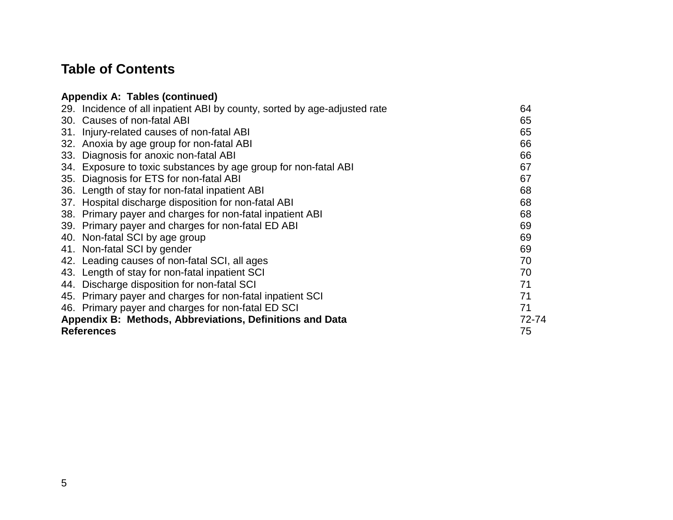# **Table of Contents**

| Appendix A: Tables (continued)                                            |       |
|---------------------------------------------------------------------------|-------|
| 29. Incidence of all inpatient ABI by county, sorted by age-adjusted rate | 64    |
| 30. Causes of non-fatal ABI                                               | 65    |
| 31. Injury-related causes of non-fatal ABI                                | 65    |
| 32. Anoxia by age group for non-fatal ABI                                 | 66    |
| Diagnosis for anoxic non-fatal ABI<br>33.                                 | 66    |
| Exposure to toxic substances by age group for non-fatal ABI<br>34.        | 67    |
| Diagnosis for ETS for non-fatal ABI<br>35.                                | 67    |
| 36. Length of stay for non-fatal inpatient ABI                            | 68    |
| 37. Hospital discharge disposition for non-fatal ABI                      | 68    |
| 38. Primary payer and charges for non-fatal inpatient ABI                 | 68    |
| 39. Primary payer and charges for non-fatal ED ABI                        | 69    |
| 40. Non-fatal SCI by age group                                            | 69    |
| 41. Non-fatal SCI by gender                                               | 69    |
| 42. Leading causes of non-fatal SCI, all ages                             | 70    |
| 43. Length of stay for non-fatal inpatient SCI                            | 70    |
| 44. Discharge disposition for non-fatal SCI                               | 71    |
| 45. Primary payer and charges for non-fatal inpatient SCI                 | 71    |
| 46. Primary payer and charges for non-fatal ED SCI                        | 71    |
| Appendix B: Methods, Abbreviations, Definitions and Data                  | 72-74 |
| <b>References</b>                                                         | 75    |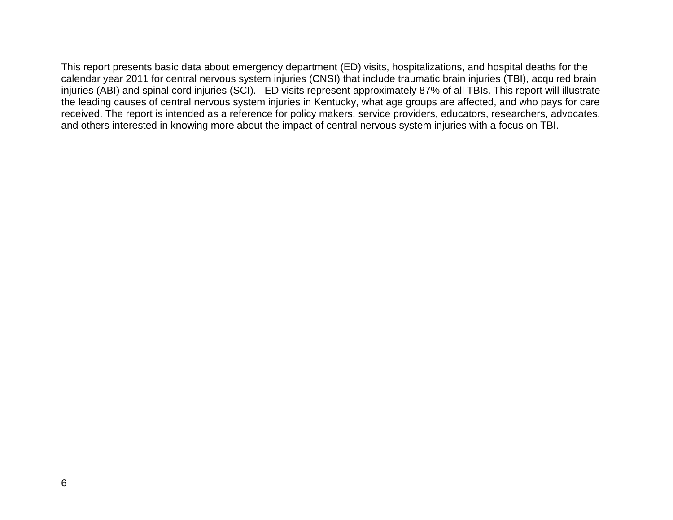This report presents basic data about emergency department (ED) visits, hospitalizations, and hospital deaths for the calendar year 2011 for central nervous system injuries (CNSI) that include traumatic brain injuries (TBI), acquired brain injuries (ABI) and spinal cord injuries (SCI). ED visits represent approximately 87% of all TBIs. This report will illustrate the leading causes of central nervous system injuries in Kentucky, what age groups are affected, and who pays for care received. The report is intended as a reference for policy makers, service providers, educators, researchers, advocates, and others interested in knowing more about the impact of central nervous system injuries with a focus on TBI.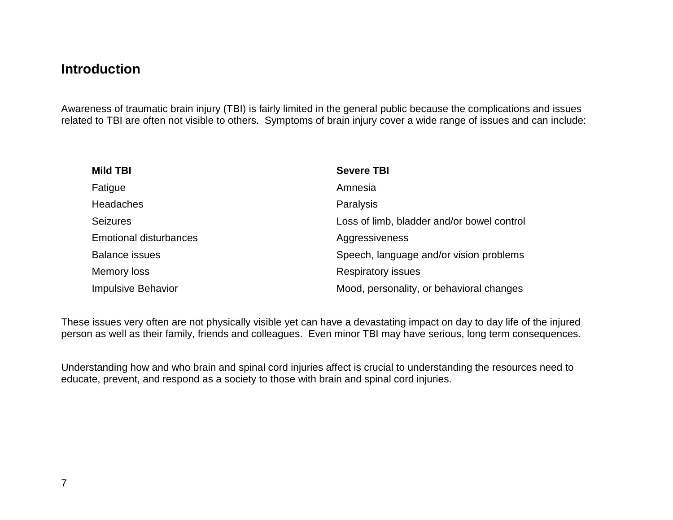## **Introduction**

Awareness of traumatic brain injury (TBI) is fairly limited in the general public because the complications and issues related to TBI are often not visible to others. Symptoms of brain injury cover a wide range of issues and can include:

| <b>Mild TBI</b>               | <b>Severe TBI</b>                          |
|-------------------------------|--------------------------------------------|
| Fatigue                       | Amnesia                                    |
| <b>Headaches</b>              | Paralysis                                  |
| <b>Seizures</b>               | Loss of limb, bladder and/or bowel control |
| <b>Emotional disturbances</b> | Aggressiveness                             |
| <b>Balance issues</b>         | Speech, language and/or vision problems    |
| Memory loss                   | <b>Respiratory issues</b>                  |
| <b>Impulsive Behavior</b>     | Mood, personality, or behavioral changes   |

These issues very often are not physically visible yet can have a devastating impact on day to day life of the injured person as well as their family, friends and colleagues. Even minor TBI may have serious, long term consequences.

Understanding how and who brain and spinal cord injuries affect is crucial to understanding the resources need to educate, prevent, and respond as a society to those with brain and spinal cord injuries.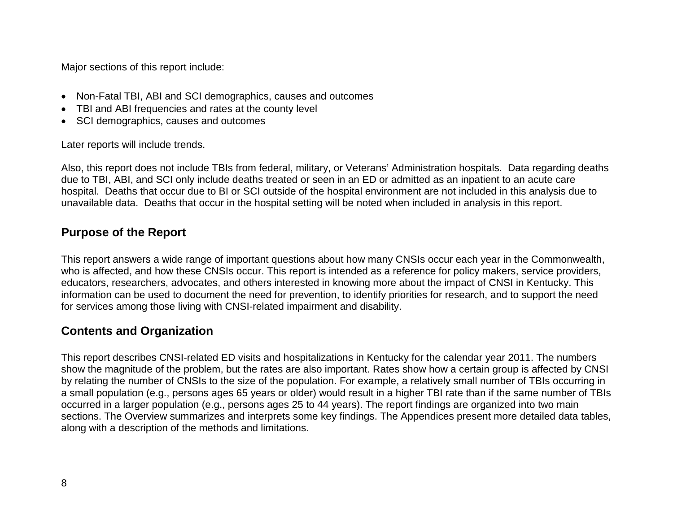Major sections of this report include:

- Non-Fatal TBI, ABI and SCI demographics, causes and outcomes
- TBI and ABI frequencies and rates at the county level
- SCI demographics, causes and outcomes

Later reports will include trends.

Also, this report does not include TBIs from federal, military, or Veterans' Administration hospitals. Data regarding deaths due to TBI, ABI, and SCI only include deaths treated or seen in an ED or admitted as an inpatient to an acute care hospital. Deaths that occur due to BI or SCI outside of the hospital environment are not included in this analysis due to unavailable data. Deaths that occur in the hospital setting will be noted when included in analysis in this report.

#### **Purpose of the Report**

This report answers a wide range of important questions about how many CNSIs occur each year in the Commonwealth, who is affected, and how these CNSIs occur. This report is intended as a reference for policy makers, service providers, educators, researchers, advocates, and others interested in knowing more about the impact of CNSI in Kentucky. This information can be used to document the need for prevention, to identify priorities for research, and to support the need for services among those living with CNSI-related impairment and disability.

#### **Contents and Organization**

This report describes CNSI-related ED visits and hospitalizations in Kentucky for the calendar year 2011. The numbers show the magnitude of the problem, but the rates are also important. Rates show how a certain group is affected by CNSI by relating the number of CNSIs to the size of the population. For example, a relatively small number of TBIs occurring in a small population (e.g., persons ages 65 years or older) would result in a higher TBI rate than if the same number of TBIs occurred in a larger population (e.g., persons ages 25 to 44 years). The report findings are organized into two main sections. The Overview summarizes and interprets some key findings. The Appendices present more detailed data tables, along with a description of the methods and limitations.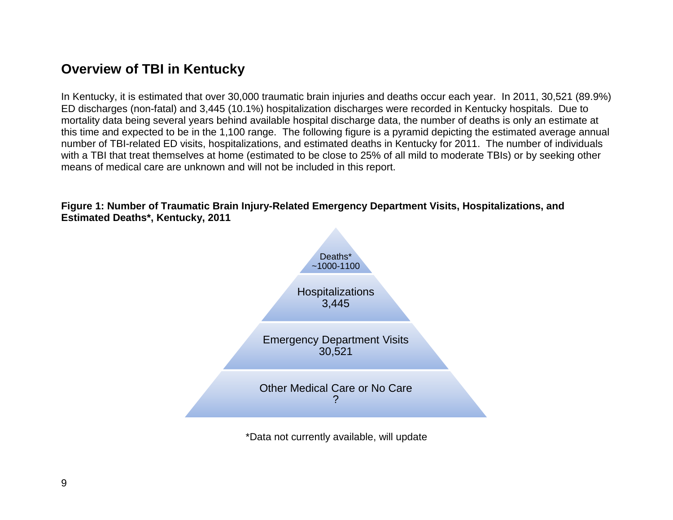# **Overview of TBI in Kentucky**

In Kentucky, it is estimated that over 30,000 traumatic brain injuries and deaths occur each year. In 2011, 30,521 (89.9%) ED discharges (non-fatal) and 3,445 (10.1%) hospitalization discharges were recorded in Kentucky hospitals. Due to mortality data being several years behind available hospital discharge data, the number of deaths is only an estimate at this time and expected to be in the 1,100 range. The following figure is a pyramid depicting the estimated average annual number of TBI-related ED visits, hospitalizations, and estimated deaths in Kentucky for 2011. The number of individuals with a TBI that treat themselves at home (estimated to be close to 25% of all mild to moderate TBIs) or by seeking other means of medical care are unknown and will not be included in this report.

**Figure 1: Number of Traumatic Brain Injury-Related Emergency Department Visits, Hospitalizations, and Estimated Deaths\*, Kentucky, 2011**



\*Data not currently available, will update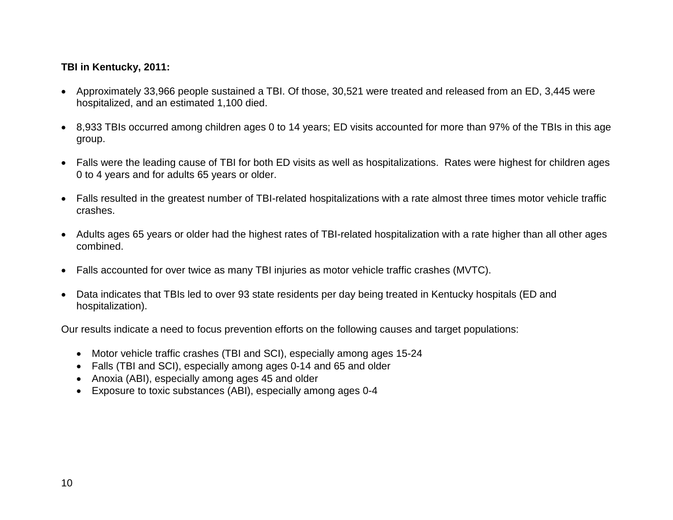#### **TBI in Kentucky, 2011:**

- Approximately 33,966 people sustained a TBI. Of those, 30,521 were treated and released from an ED, 3,445 were hospitalized, and an estimated 1,100 died.
- 8,933 TBIs occurred among children ages 0 to 14 years; ED visits accounted for more than 97% of the TBIs in this age group.
- Falls were the leading cause of TBI for both ED visits as well as hospitalizations. Rates were highest for children ages 0 to 4 years and for adults 65 years or older.
- Falls resulted in the greatest number of TBI-related hospitalizations with a rate almost three times motor vehicle traffic crashes.
- Adults ages 65 years or older had the highest rates of TBI-related hospitalization with a rate higher than all other ages combined.
- Falls accounted for over twice as many TBI injuries as motor vehicle traffic crashes (MVTC).
- Data indicates that TBIs led to over 93 state residents per day being treated in Kentucky hospitals (ED and hospitalization).

Our results indicate a need to focus prevention efforts on the following causes and target populations:

- Motor vehicle traffic crashes (TBI and SCI), especially among ages 15-24
- Falls (TBI and SCI), especially among ages 0-14 and 65 and older
- Anoxia (ABI), especially among ages 45 and older
- Exposure to toxic substances (ABI), especially among ages 0-4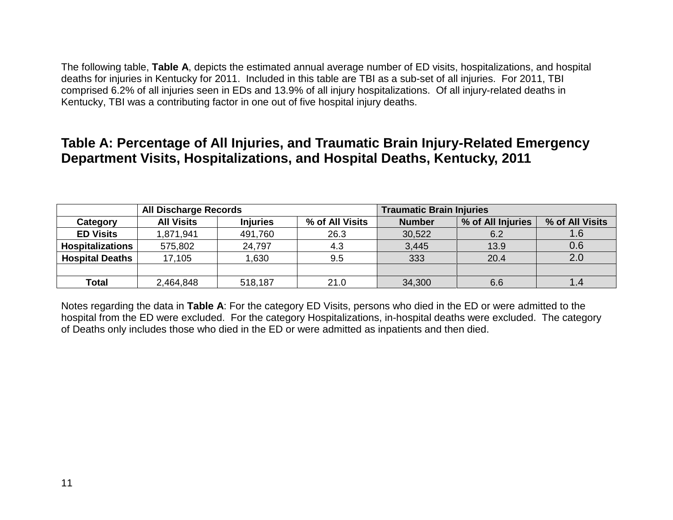The following table, **Table A**, depicts the estimated annual average number of ED visits, hospitalizations, and hospital deaths for injuries in Kentucky for 2011. Included in this table are TBI as a sub-set of all injuries. For 2011, TBI comprised 6.2% of all injuries seen in EDs and 13.9% of all injury hospitalizations. Of all injury-related deaths in Kentucky, TBI was a contributing factor in one out of five hospital injury deaths.

## **Table A: Percentage of All Injuries, and Traumatic Brain Injury-Related Emergency Department Visits, Hospitalizations, and Hospital Deaths, Kentucky, 2011**

|                         | <b>All Discharge Records</b> |                 |                 | <b>Traumatic Brain Injuries</b> |                   |                 |
|-------------------------|------------------------------|-----------------|-----------------|---------------------------------|-------------------|-----------------|
| Category                | <b>All Visits</b>            | <b>Injuries</b> | % of All Visits | <b>Number</b>                   | % of All Injuries | % of All Visits |
| <b>ED Visits</b>        | 1,871,941                    | 491,760         | 26.3            | 30,522                          | 6.2               | 1.6             |
| <b>Hospitalizations</b> | 575,802                      | 24,797          | 4.3             | 3,445                           | 13.9              | 0.6             |
| <b>Hospital Deaths</b>  | 17,105                       | .630            | 9.5             | 333                             | 20.4              | 2.0             |
|                         |                              |                 |                 |                                 |                   |                 |
| Total                   | 2,464,848                    | 518,187         | 21.0            | 34,300                          | 6.6               |                 |

Notes regarding the data in **Table A**: For the category ED Visits, persons who died in the ED or were admitted to the hospital from the ED were excluded. For the category Hospitalizations, in-hospital deaths were excluded. The category of Deaths only includes those who died in the ED or were admitted as inpatients and then died.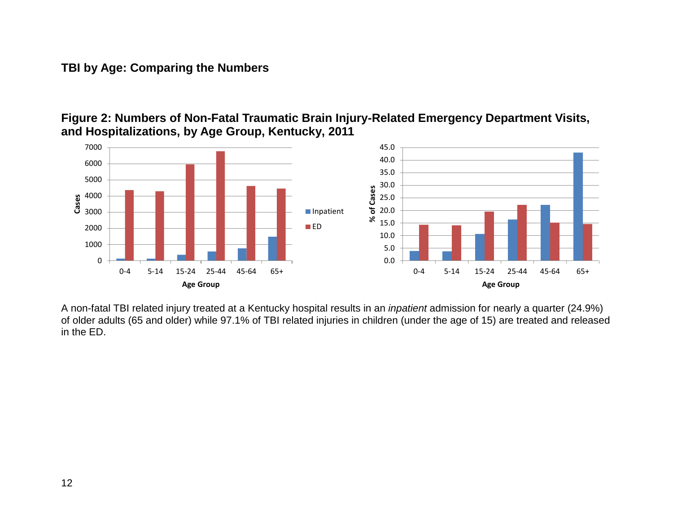#### **TBI by Age: Comparing the Numbers**





A non-fatal TBI related injury treated at a Kentucky hospital results in an *inpatient* admission for nearly a quarter (24.9%) of older adults (65 and older) while 97.1% of TBI related injuries in children (under the age of 15) are treated and released in the ED.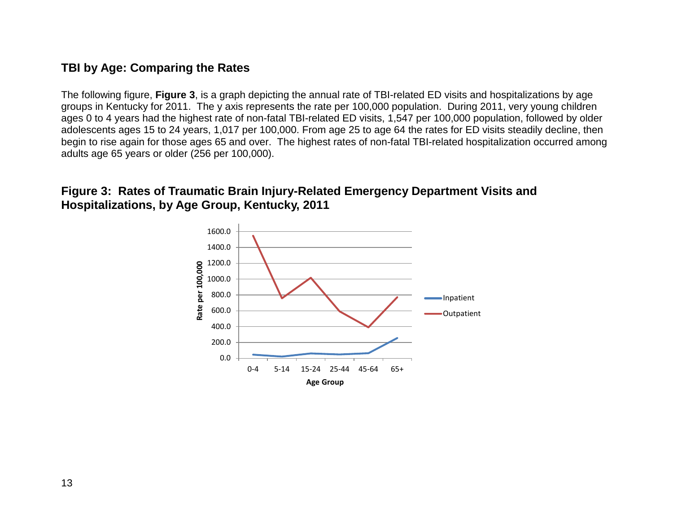## **TBI by Age: Comparing the Rates**

The following figure, **Figure 3**, is a graph depicting the annual rate of TBI-related ED visits and hospitalizations by age groups in Kentucky for 2011. The y axis represents the rate per 100,000 population. During 2011, very young children ages 0 to 4 years had the highest rate of non-fatal TBI-related ED visits, 1,547 per 100,000 population, followed by older adolescents ages 15 to 24 years, 1,017 per 100,000. From age 25 to age 64 the rates for ED visits steadily decline, then begin to rise again for those ages 65 and over. The highest rates of non-fatal TBI-related hospitalization occurred among adults age 65 years or older (256 per 100,000).

#### **Figure 3: Rates of Traumatic Brain Injury-Related Emergency Department Visits and Hospitalizations, by Age Group, Kentucky, 2011**

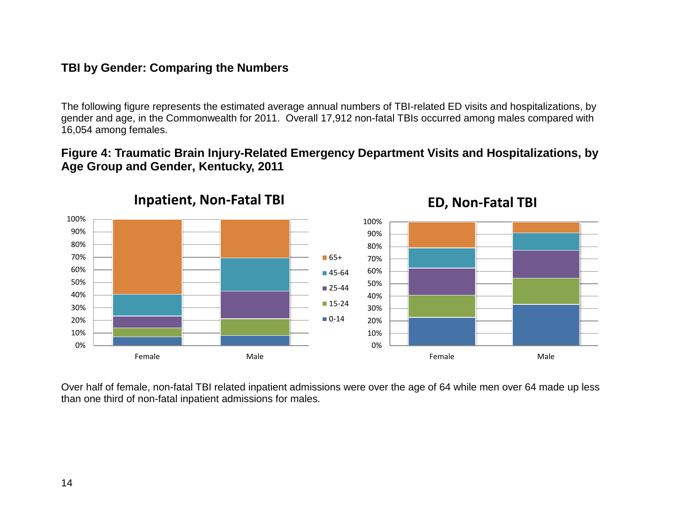## **TBI by Gender: Comparing the Numbers**

The following figure represents the estimated average annual numbers of TBI-related ED visits and hospitalizations, by gender and age, in the Commonwealth for 2011. Overall 17,912 non-fatal TBIs occurred among males compared with 16,054 among females.

#### **Figure 4: Traumatic Brain Injury-Related Emergency Department Visits and Hospitalizations, by Age Group and Gender, Kentucky, 2011**



**ED, Non-Fatal TBI**

Over half of female, non-fatal TBI related inpatient admissions were over the age of 64 while men over 64 made up less than one third of non-fatal inpatient admissions for males.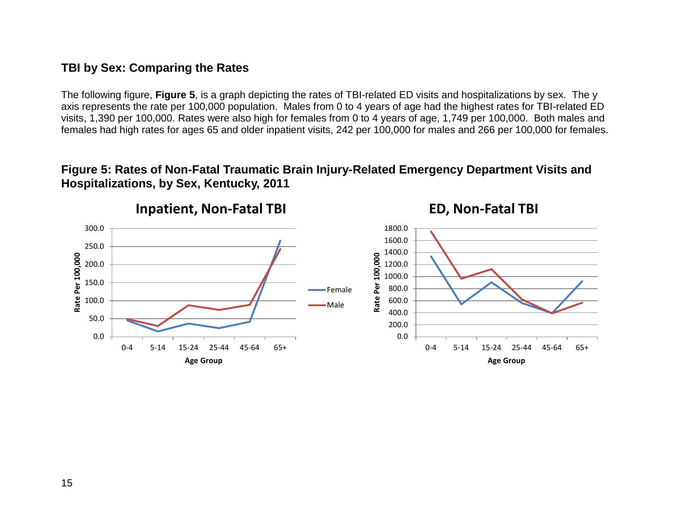#### **TBI by Sex: Comparing the Rates**

The following figure, **Figure 5**, is a graph depicting the rates of TBI-related ED visits and hospitalizations by sex. The y axis represents the rate per 100,000 population. Males from 0 to 4 years of age had the highest rates for TBI-related ED visits, 1,390 per 100,000. Rates were also high for females from 0 to 4 years of age, 1,749 per 100,000. Both males and females had high rates for ages 65 and older inpatient visits, 242 per 100,000 for males and 266 per 100,000 for females.

#### **Figure 5: Rates of Non-Fatal Traumatic Brain Injury-Related Emergency Department Visits and Hospitalizations, by Sex, Kentucky, 2011**



15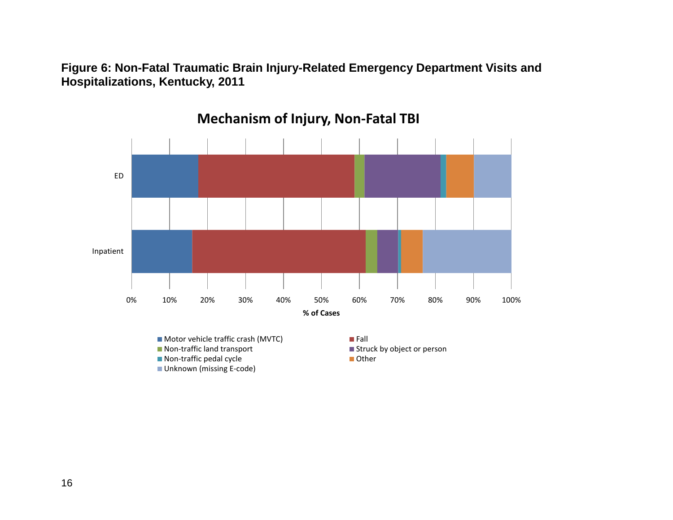**Figure 6: Non-Fatal Traumatic Brain Injury-Related Emergency Department Visits and Hospitalizations, Kentucky, 2011**



**Mechanism of Injury, Non-Fatal TBI**

- Motor vehicle traffic crash (MVTC) Fall<br>■ Non-traffic land transport Fall
- $\blacksquare$  Non-traffic pedal cycle  $\blacksquare$
- **Unknown (missing E-code)**

 $\blacksquare$  Struck by object or person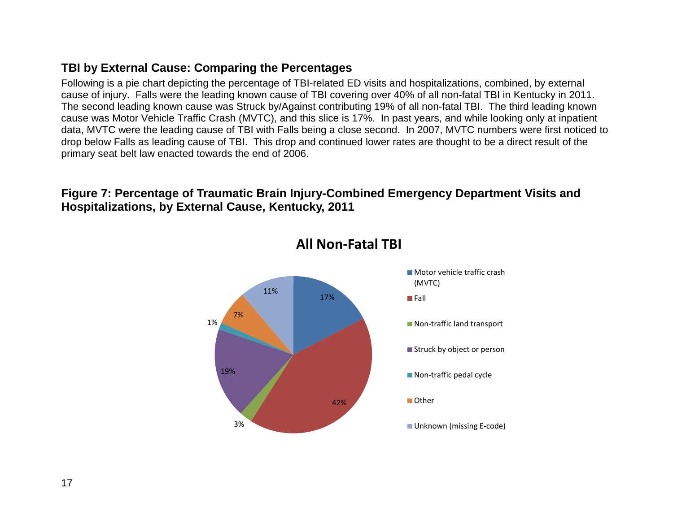#### **TBI by External Cause: Comparing the Percentages**

Following is a pie chart depicting the percentage of TBI-related ED visits and hospitalizations, combined, by external cause of injury. Falls were the leading known cause of TBI covering over 40% of all non-fatal TBI in Kentucky in 2011. The second leading known cause was Struck by/Against contributing 19% of all non-fatal TBI. The third leading known cause was Motor Vehicle Traffic Crash (MVTC), and this slice is 17%. In past years, and while looking only at inpatient data, MVTC were the leading cause of TBI with Falls being a close second. In 2007, MVTC numbers were first noticed to drop below Falls as leading cause of TBI. This drop and continued lower rates are thought to be a direct result of the primary seat belt law enacted towards the end of 2006.

#### **Figure 7: Percentage of Traumatic Brain Injury-Combined Emergency Department Visits and Hospitalizations, by External Cause, Kentucky, 2011**



**All Non-Fatal TBI**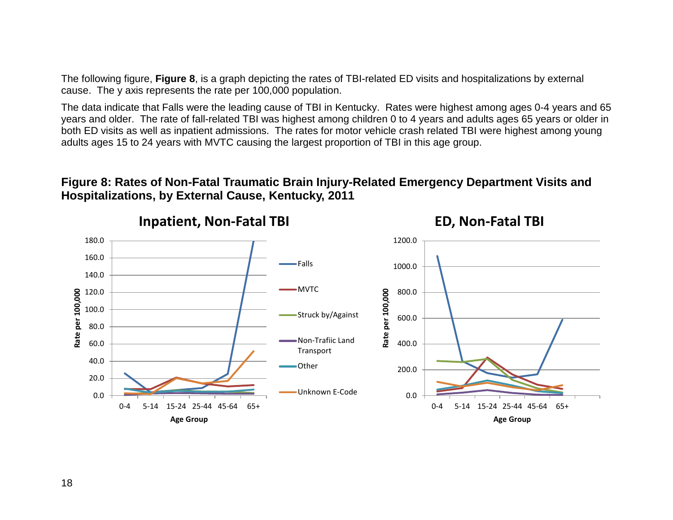The following figure, **Figure 8**, is a graph depicting the rates of TBI-related ED visits and hospitalizations by external cause. The y axis represents the rate per 100,000 population.

The data indicate that Falls were the leading cause of TBI in Kentucky. Rates were highest among ages 0-4 years and 65 years and older. The rate of fall-related TBI was highest among children 0 to 4 years and adults ages 65 years or older in both ED visits as well as inpatient admissions. The rates for motor vehicle crash related TBI were highest among young adults ages 15 to 24 years with MVTC causing the largest proportion of TBI in this age group.

#### **Figure 8: Rates of Non-Fatal Traumatic Brain Injury-Related Emergency Department Visits and Hospitalizations, by External Cause, Kentucky, 2011**



**ED, Non-Fatal TBI**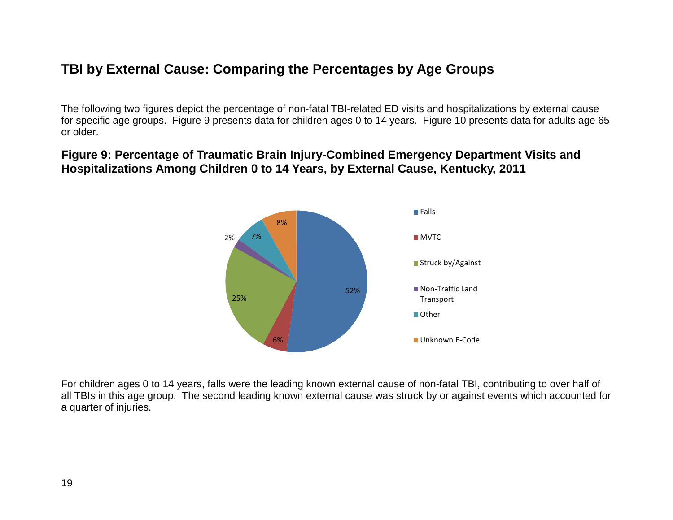# **TBI by External Cause: Comparing the Percentages by Age Groups**

The following two figures depict the percentage of non-fatal TBI-related ED visits and hospitalizations by external cause for specific age groups. Figure 9 presents data for children ages 0 to 14 years. Figure 10 presents data for adults age 65 or older.

#### **Figure 9: Percentage of Traumatic Brain Injury-Combined Emergency Department Visits and Hospitalizations Among Children 0 to 14 Years, by External Cause, Kentucky, 2011**



For children ages 0 to 14 years, falls were the leading known external cause of non-fatal TBI, contributing to over half of all TBIs in this age group. The second leading known external cause was struck by or against events which accounted for a quarter of injuries.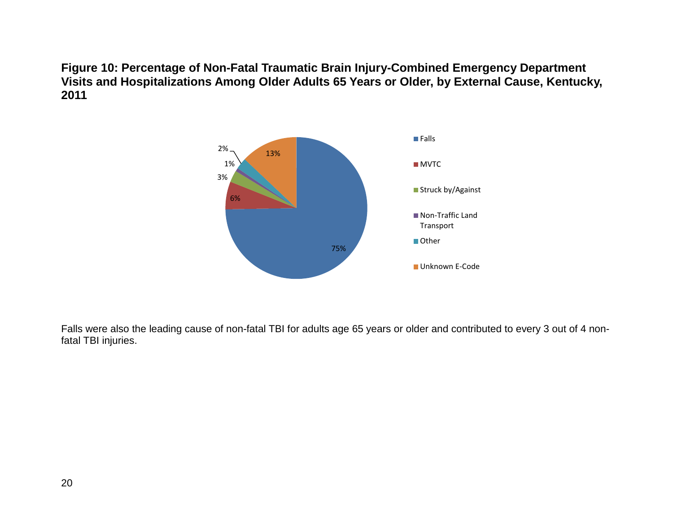**Figure 10: Percentage of Non-Fatal Traumatic Brain Injury-Combined Emergency Department Visits and Hospitalizations Among Older Adults 65 Years or Older, by External Cause, Kentucky, 2011**



Falls were also the leading cause of non-fatal TBI for adults age 65 years or older and contributed to every 3 out of 4 nonfatal TBI injuries.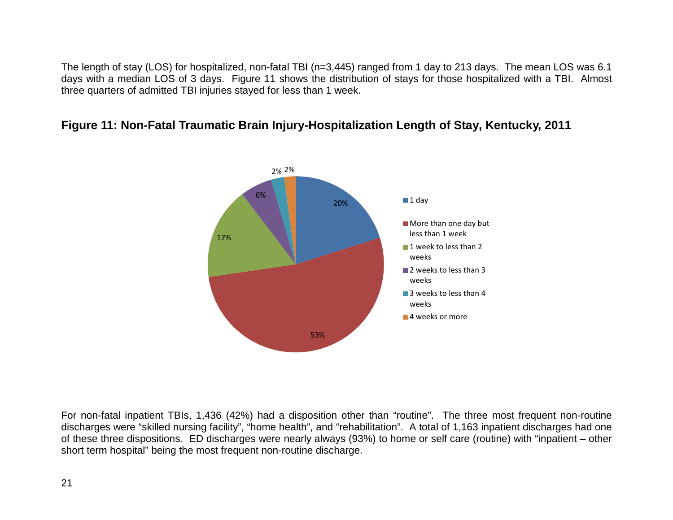The length of stay (LOS) for hospitalized, non-fatal TBI (n=3,445) ranged from 1 day to 213 days. The mean LOS was 6.1 days with a median LOS of 3 days. Figure 11 shows the distribution of stays for those hospitalized with a TBI. Almost three quarters of admitted TBI injuries stayed for less than 1 week.

#### **Figure 11: Non-Fatal Traumatic Brain Injury-Hospitalization Length of Stay, Kentucky, 2011**



For non-fatal inpatient TBIs, 1,436 (42%) had a disposition other than "routine". The three most frequent non-routine discharges were "skilled nursing facility", "home health", and "rehabilitation". A total of 1,163 inpatient discharges had one of these three dispositions. ED discharges were nearly always (93%) to home or self care (routine) with "inpatient – other short term hospital" being the most frequent non-routine discharge.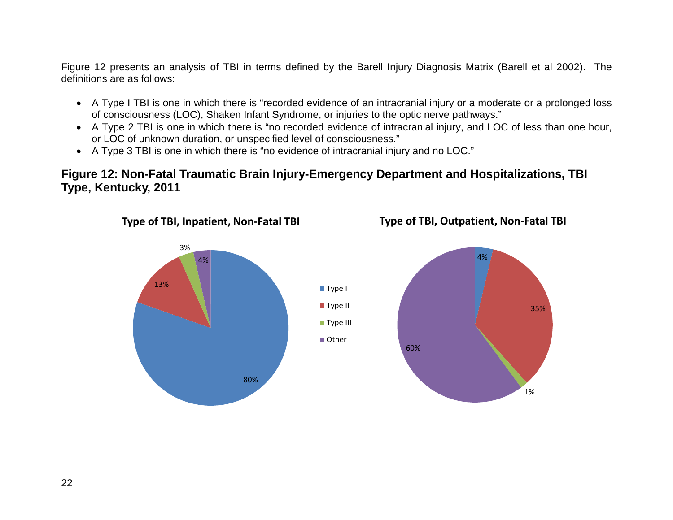Figure 12 presents an analysis of TBI in terms defined by the Barell Injury Diagnosis Matrix (Barell et al 2002). The definitions are as follows:

- A Type I TBI is one in which there is "recorded evidence of an intracranial injury or a moderate or a prolonged loss of consciousness (LOC), Shaken Infant Syndrome, or injuries to the optic nerve pathways."
- A Type 2 TBI is one in which there is "no recorded evidence of intracranial injury, and LOC of less than one hour, or LOC of unknown duration, or unspecified level of consciousness."
- A Type 3 TBI is one in which there is "no evidence of intracranial injury and no LOC."

## **Figure 12: Non-Fatal Traumatic Brain Injury-Emergency Department and Hospitalizations, TBI Type, Kentucky, 2011**

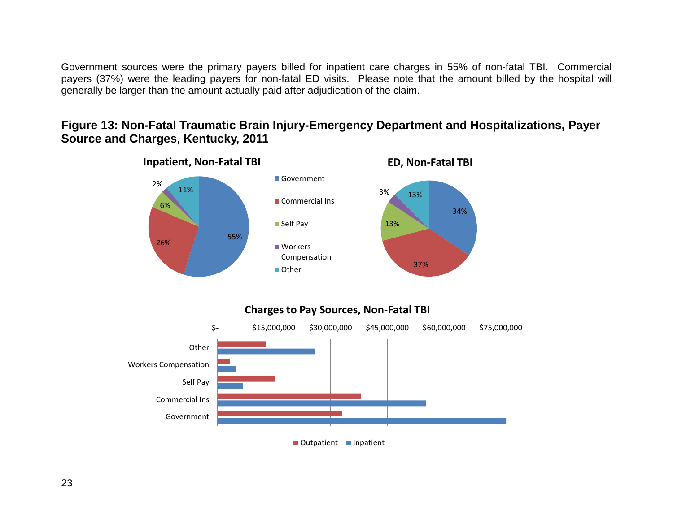Government sources were the primary payers billed for inpatient care charges in 55% of non-fatal TBI. Commercial payers (37%) were the leading payers for non-fatal ED visits. Please note that the amount billed by the hospital will generally be larger than the amount actually paid after adjudication of the claim.

#### **Figure 13: Non-Fatal Traumatic Brain Injury-Emergency Department and Hospitalizations, Payer Source and Charges, Kentucky, 2011**



#### **Charges to Pay Sources, Non-Fatal TBI**

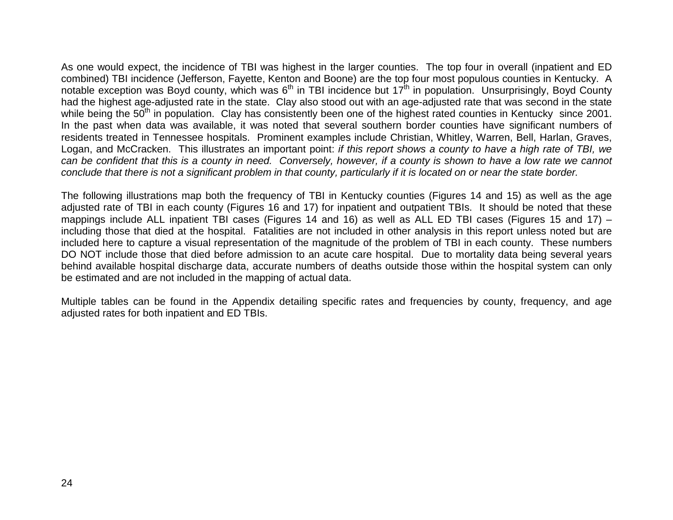As one would expect, the incidence of TBI was highest in the larger counties. The top four in overall (inpatient and ED combined) TBI incidence (Jefferson, Fayette, Kenton and Boone) are the top four most populous counties in Kentucky. A notable exception was Boyd county, which was  $6<sup>th</sup>$  in TBI incidence but 17<sup>th</sup> in population. Unsurprisingly, Boyd County had the highest age-adjusted rate in the state. Clay also stood out with an age-adjusted rate that was second in the state while being the 50<sup>th</sup> in population. Clay has consistently been one of the highest rated counties in Kentucky since 2001. In the past when data was available, it was noted that several southern border counties have significant numbers of residents treated in Tennessee hospitals. Prominent examples include Christian, Whitley, Warren, Bell, Harlan, Graves, Logan, and McCracken. This illustrates an important point: *if this report shows a county to have a high rate of TBI, we can be confident that this is a county in need. Conversely, however, if a county is shown to have a low rate we cannot conclude that there is not a significant problem in that county, particularly if it is located on or near the state border.*

The following illustrations map both the frequency of TBI in Kentucky counties (Figures 14 and 15) as well as the age adjusted rate of TBI in each county (Figures 16 and 17) for inpatient and outpatient TBIs. It should be noted that these mappings include ALL inpatient TBI cases (Figures 14 and 16) as well as ALL ED TBI cases (Figures 15 and 17) – including those that died at the hospital. Fatalities are not included in other analysis in this report unless noted but are included here to capture a visual representation of the magnitude of the problem of TBI in each county. These numbers DO NOT include those that died before admission to an acute care hospital. Due to mortality data being several years behind available hospital discharge data, accurate numbers of deaths outside those within the hospital system can only be estimated and are not included in the mapping of actual data.

Multiple tables can be found in the Appendix detailing specific rates and frequencies by county, frequency, and age adjusted rates for both inpatient and ED TBIs.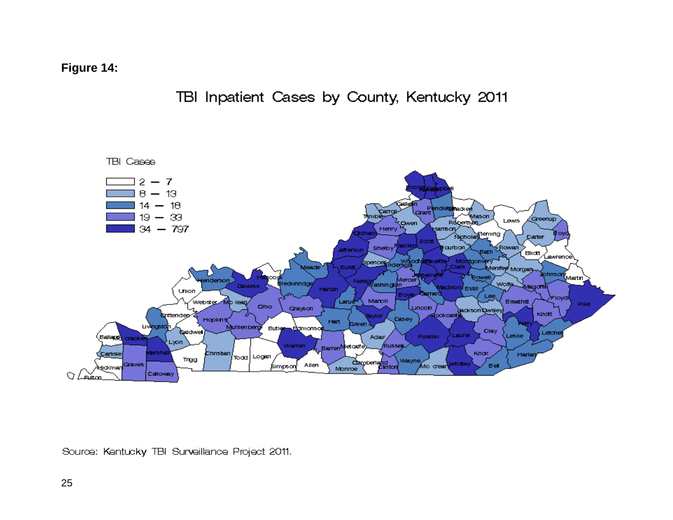**Figure 14:**



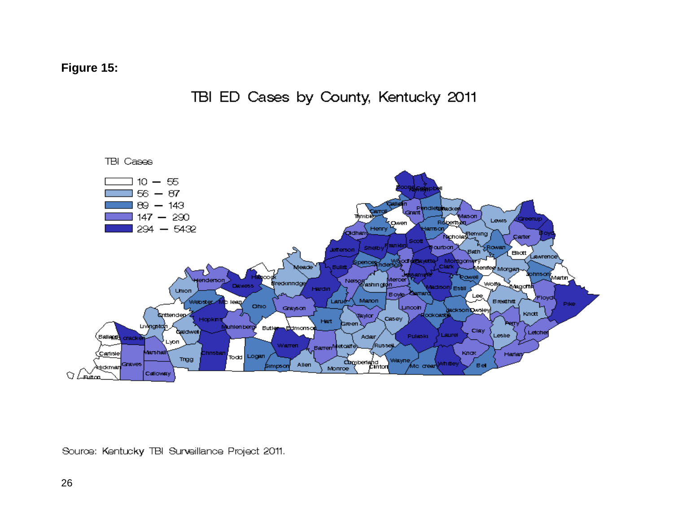**Figure 15:**



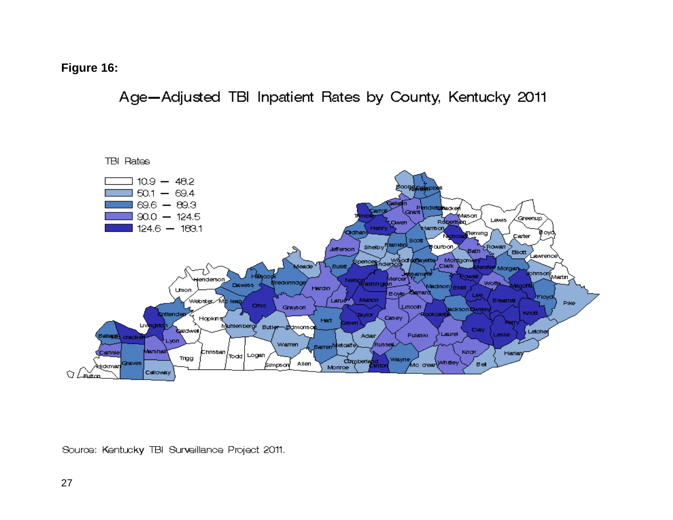**Figure 16:**

Age-Adjusted TBI Inpatient Rates by County, Kentucky 2011

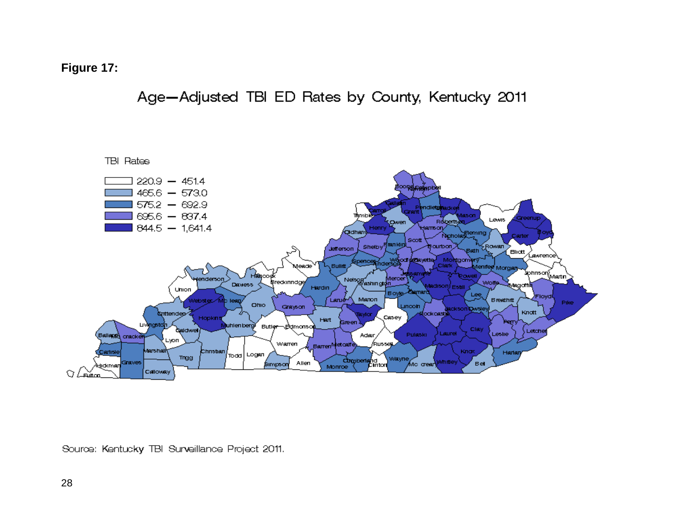#### **Figure 17:**

Age-Adjusted TBI ED Rates by County, Kentucky 2011

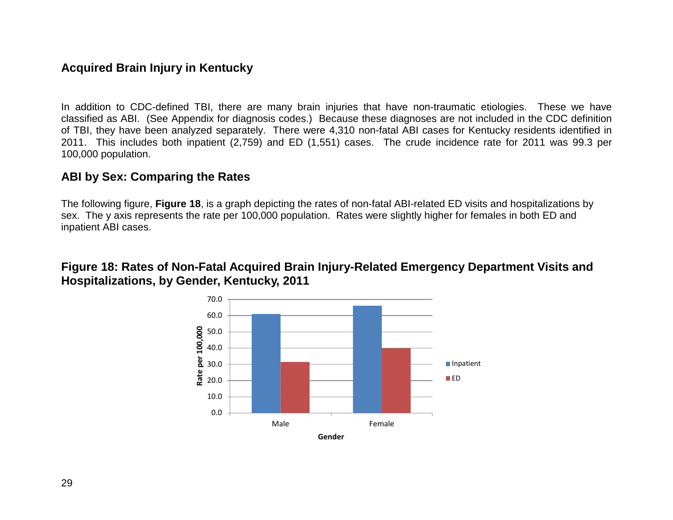## **Acquired Brain Injury in Kentucky**

In addition to CDC-defined TBI, there are many brain injuries that have non-traumatic etiologies. These we have classified as ABI. (See Appendix for diagnosis codes.) Because these diagnoses are not included in the CDC definition of TBI, they have been analyzed separately. There were 4,310 non-fatal ABI cases for Kentucky residents identified in 2011. This includes both inpatient (2,759) and ED (1,551) cases. The crude incidence rate for 2011 was 99.3 per 100,000 population.

#### **ABI by Sex: Comparing the Rates**

The following figure, **Figure 18**, is a graph depicting the rates of non-fatal ABI-related ED visits and hospitalizations by sex. The y axis represents the rate per 100,000 population. Rates were slightly higher for females in both ED and inpatient ABI cases.

#### **Figure 18: Rates of Non-Fatal Acquired Brain Injury-Related Emergency Department Visits and Hospitalizations, by Gender, Kentucky, 2011**

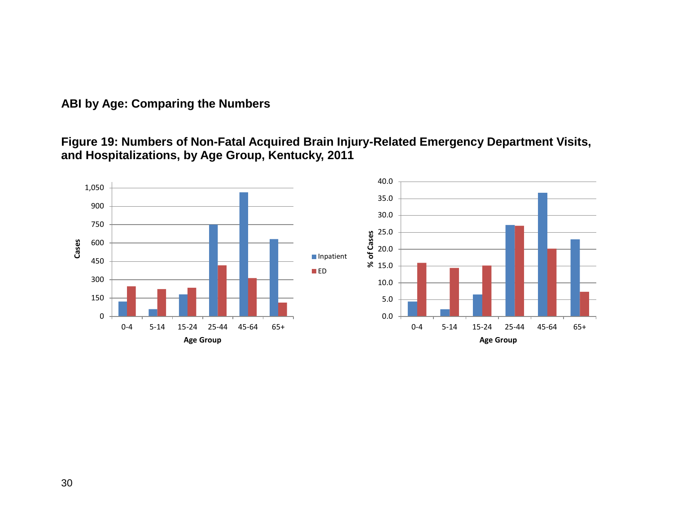## **ABI by Age: Comparing the Numbers**

**Figure 19: Numbers of Non-Fatal Acquired Brain Injury-Related Emergency Department Visits, and Hospitalizations, by Age Group, Kentucky, 2011**

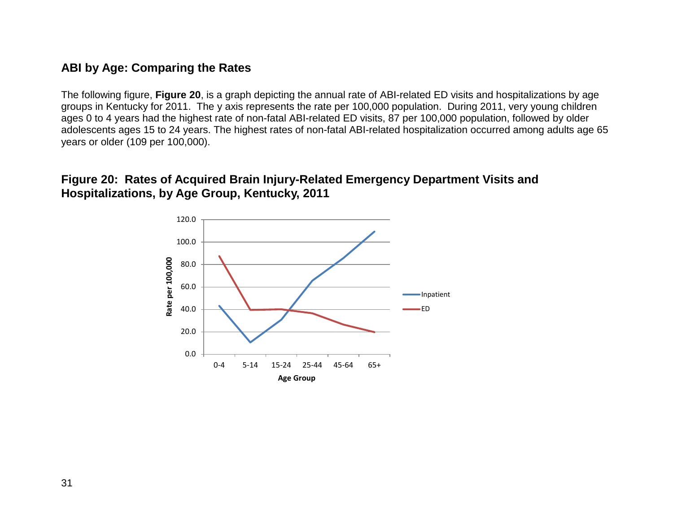## **ABI by Age: Comparing the Rates**

The following figure, **Figure 20**, is a graph depicting the annual rate of ABI-related ED visits and hospitalizations by age groups in Kentucky for 2011. The y axis represents the rate per 100,000 population. During 2011, very young children ages 0 to 4 years had the highest rate of non-fatal ABI-related ED visits, 87 per 100,000 population, followed by older adolescents ages 15 to 24 years. The highest rates of non-fatal ABI-related hospitalization occurred among adults age 65 years or older (109 per 100,000).

## **Figure 20: Rates of Acquired Brain Injury-Related Emergency Department Visits and Hospitalizations, by Age Group, Kentucky, 2011**

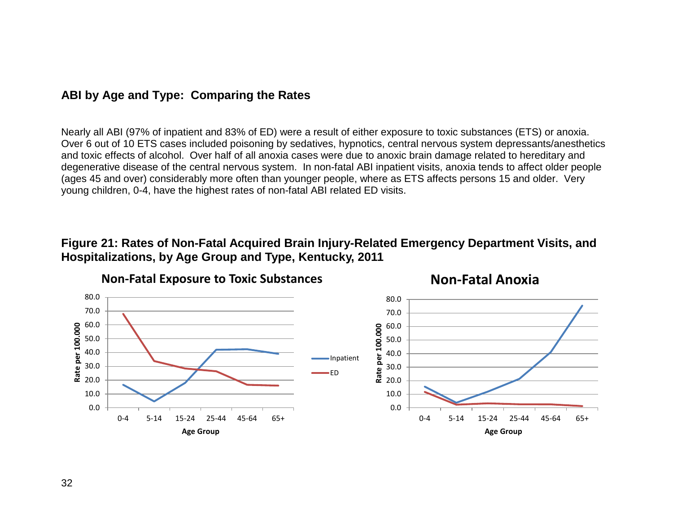## **ABI by Age and Type: Comparing the Rates**

Nearly all ABI (97% of inpatient and 83% of ED) were a result of either exposure to toxic substances (ETS) or anoxia. Over 6 out of 10 ETS cases included poisoning by sedatives, hypnotics, central nervous system depressants/anesthetics and toxic effects of alcohol. Over half of all anoxia cases were due to anoxic brain damage related to hereditary and degenerative disease of the central nervous system. In non-fatal ABI inpatient visits, anoxia tends to affect older people (ages 45 and over) considerably more often than younger people, where as ETS affects persons 15 and older. Very young children, 0-4, have the highest rates of non-fatal ABI related ED visits.

#### **Figure 21: Rates of Non-Fatal Acquired Brain Injury-Related Emergency Department Visits, and Hospitalizations, by Age Group and Type, Kentucky, 2011**

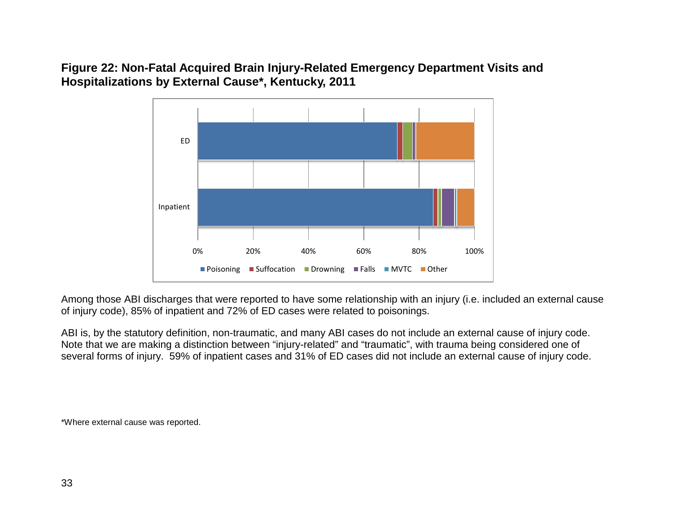**Figure 22: Non-Fatal Acquired Brain Injury-Related Emergency Department Visits and Hospitalizations by External Cause\*, Kentucky, 2011**



Among those ABI discharges that were reported to have some relationship with an injury (i.e. included an external cause of injury code), 85% of inpatient and 72% of ED cases were related to poisonings.

ABI is, by the statutory definition, non-traumatic, and many ABI cases do not include an external cause of injury code. Note that we are making a distinction between "injury-related" and "traumatic", with trauma being considered one of several forms of injury. 59% of inpatient cases and 31% of ED cases did not include an external cause of injury code.

\*Where external cause was reported.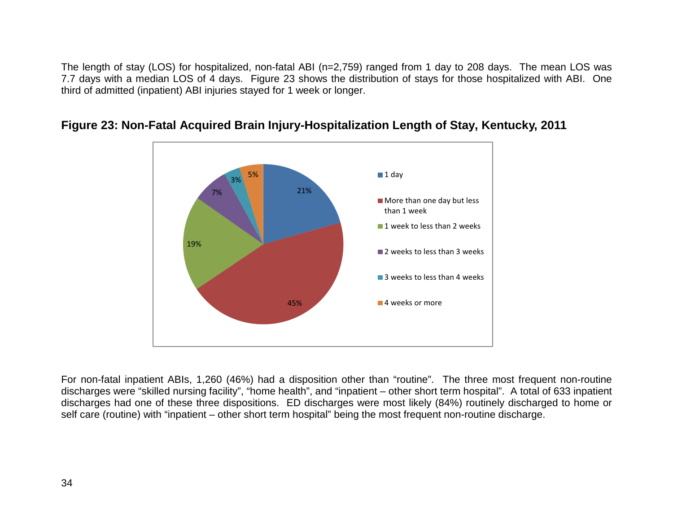The length of stay (LOS) for hospitalized, non-fatal ABI (n=2,759) ranged from 1 day to 208 days. The mean LOS was 7.7 days with a median LOS of 4 days. Figure 23 shows the distribution of stays for those hospitalized with ABI. One third of admitted (inpatient) ABI injuries stayed for 1 week or longer.



#### **Figure 23: Non-Fatal Acquired Brain Injury-Hospitalization Length of Stay, Kentucky, 2011**

For non-fatal inpatient ABIs, 1,260 (46%) had a disposition other than "routine". The three most frequent non-routine discharges were "skilled nursing facility", "home health", and "inpatient – other short term hospital". A total of 633 inpatient discharges had one of these three dispositions. ED discharges were most likely (84%) routinely discharged to home or self care (routine) with "inpatient – other short term hospital" being the most frequent non-routine discharge.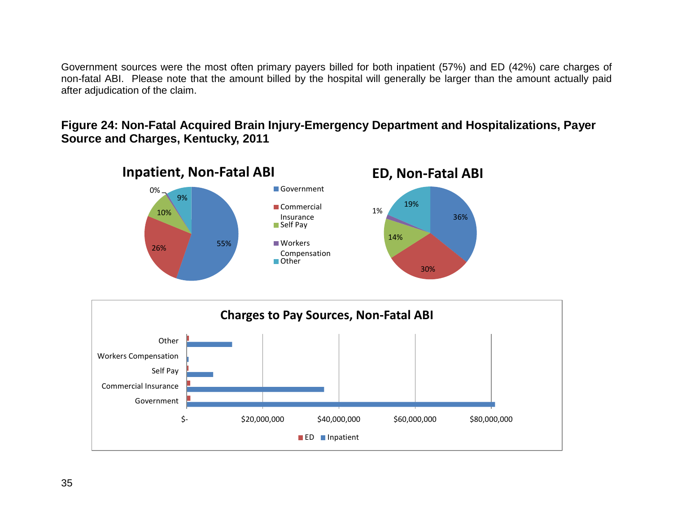Government sources were the most often primary payers billed for both inpatient (57%) and ED (42%) care charges of non-fatal ABI. Please note that the amount billed by the hospital will generally be larger than the amount actually paid after adjudication of the claim.

#### **Figure 24: Non-Fatal Acquired Brain Injury-Emergency Department and Hospitalizations, Payer Source and Charges, Kentucky, 2011**



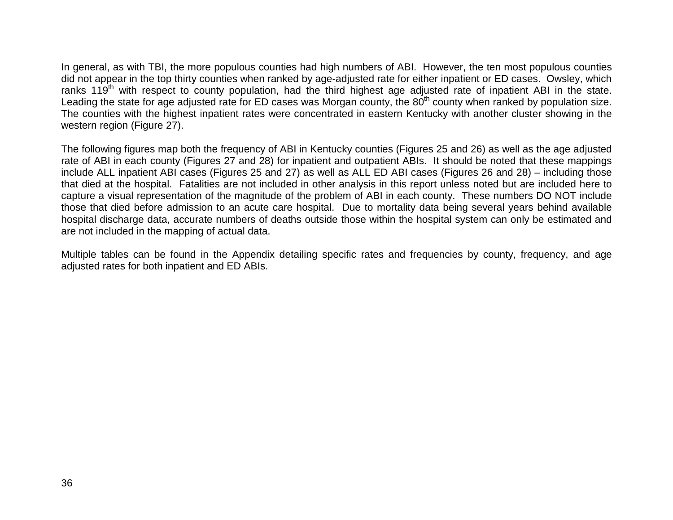In general, as with TBI, the more populous counties had high numbers of ABI. However, the ten most populous counties did not appear in the top thirty counties when ranked by age-adjusted rate for either inpatient or ED cases. Owsley, which ranks 119<sup>th</sup> with respect to county population, had the third highest age adjusted rate of inpatient ABI in the state. Leading the state for age adjusted rate for ED cases was Morgan county, the 80<sup>th</sup> county when ranked by population size. The counties with the highest inpatient rates were concentrated in eastern Kentucky with another cluster showing in the western region (Figure 27).

The following figures map both the frequency of ABI in Kentucky counties (Figures 25 and 26) as well as the age adjusted rate of ABI in each county (Figures 27 and 28) for inpatient and outpatient ABIs. It should be noted that these mappings include ALL inpatient ABI cases (Figures 25 and 27) as well as ALL ED ABI cases (Figures 26 and 28) – including those that died at the hospital. Fatalities are not included in other analysis in this report unless noted but are included here to capture a visual representation of the magnitude of the problem of ABI in each county. These numbers DO NOT include those that died before admission to an acute care hospital. Due to mortality data being several years behind available hospital discharge data, accurate numbers of deaths outside those within the hospital system can only be estimated and are not included in the mapping of actual data.

Multiple tables can be found in the Appendix detailing specific rates and frequencies by county, frequency, and age adjusted rates for both inpatient and ED ABIs.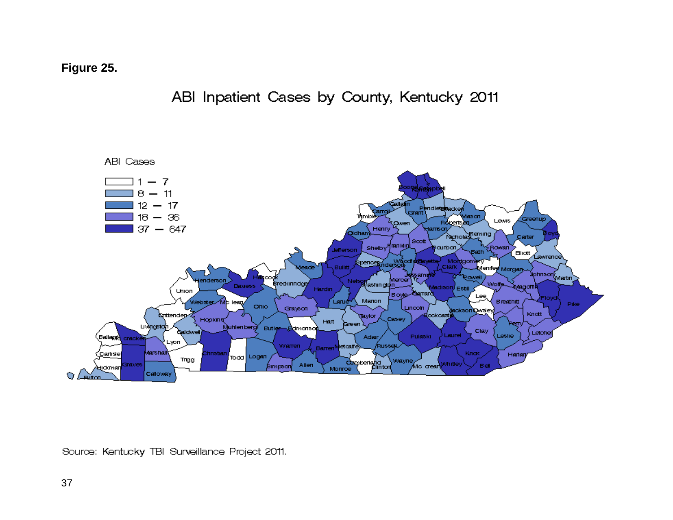**Figure 25.**

# ABI Inpatient Cases by County, Kentucky 2011

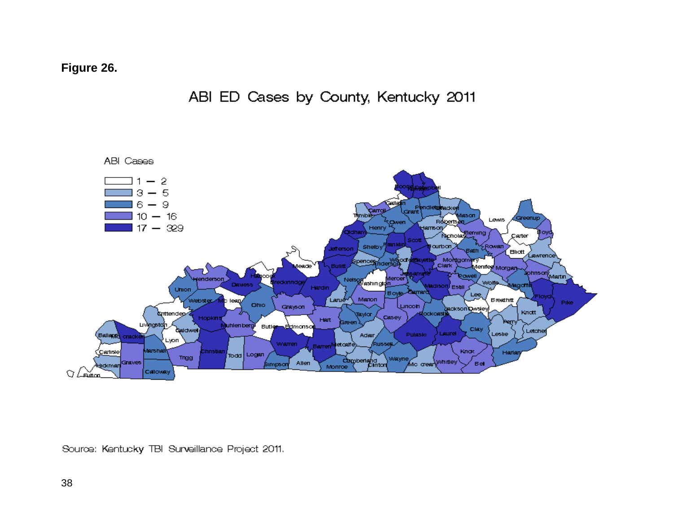**Figure 26.**



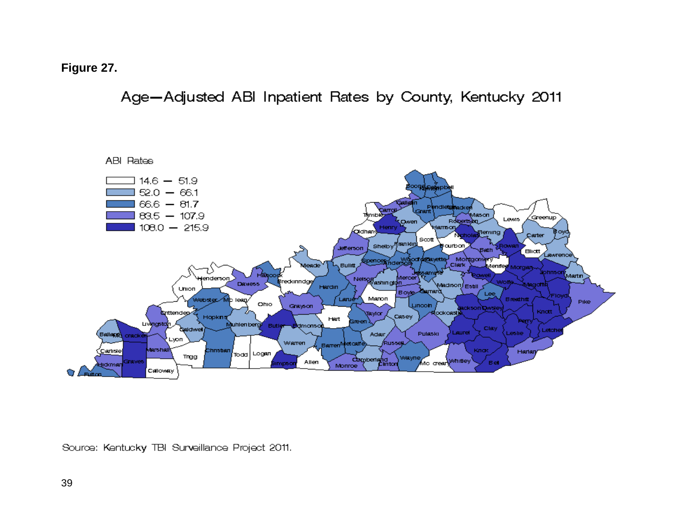**Figure 27.**

Age-Adjusted ABI Inpatient Rates by County, Kentucky 2011

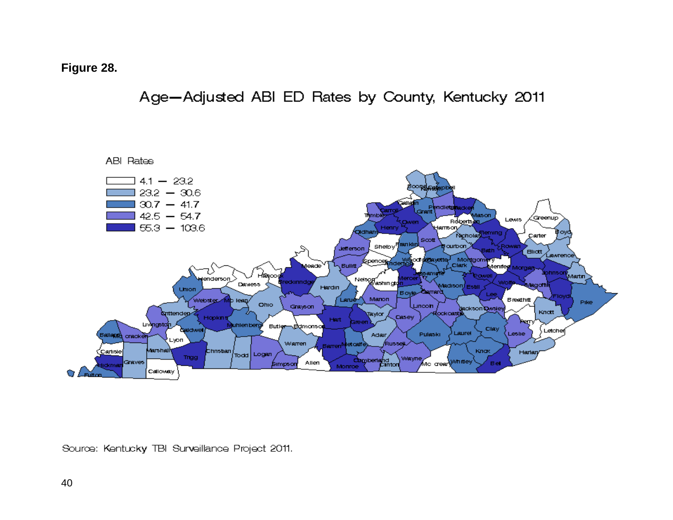### **Figure 28.**

Age-Adjusted ABI ED Rates by County, Kentucky 2011

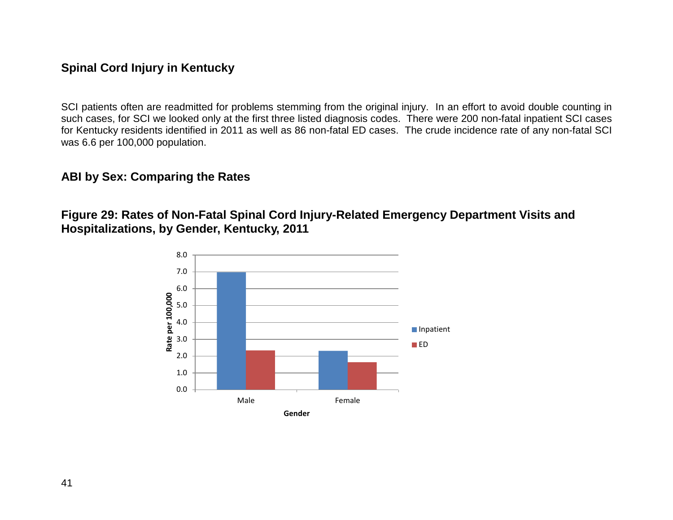## **Spinal Cord Injury in Kentucky**

SCI patients often are readmitted for problems stemming from the original injury. In an effort to avoid double counting in such cases, for SCI we looked only at the first three listed diagnosis codes. There were 200 non-fatal inpatient SCI cases for Kentucky residents identified in 2011 as well as 86 non-fatal ED cases. The crude incidence rate of any non-fatal SCI was 6.6 per 100,000 population.

### **ABI by Sex: Comparing the Rates**

**Figure 29: Rates of Non-Fatal Spinal Cord Injury-Related Emergency Department Visits and Hospitalizations, by Gender, Kentucky, 2011**

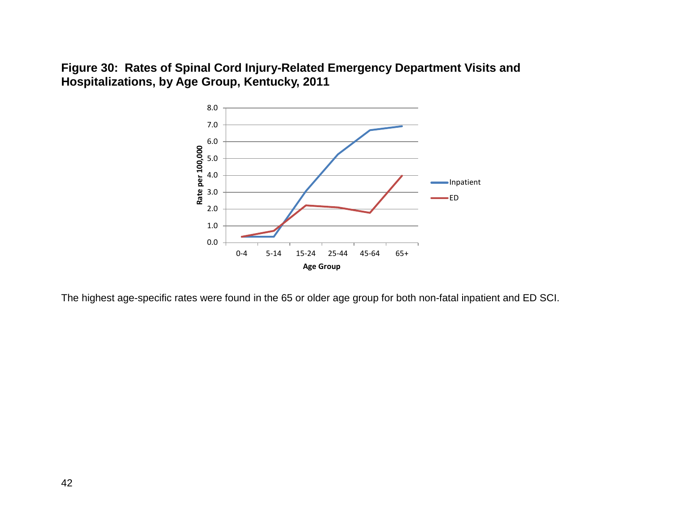**Figure 30: Rates of Spinal Cord Injury-Related Emergency Department Visits and Hospitalizations, by Age Group, Kentucky, 2011**



The highest age-specific rates were found in the 65 or older age group for both non-fatal inpatient and ED SCI.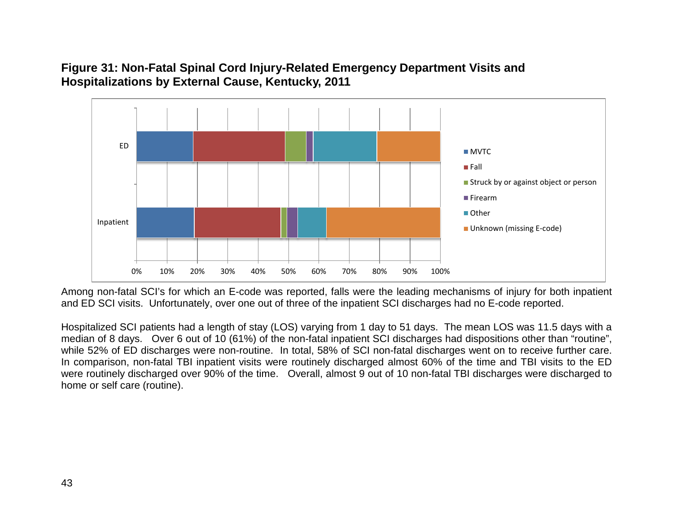### **Figure 31: Non-Fatal Spinal Cord Injury-Related Emergency Department Visits and Hospitalizations by External Cause, Kentucky, 2011**



Among non-fatal SCI's for which an E-code was reported, falls were the leading mechanisms of injury for both inpatient and ED SCI visits. Unfortunately, over one out of three of the inpatient SCI discharges had no E-code reported.

Hospitalized SCI patients had a length of stay (LOS) varying from 1 day to 51 days. The mean LOS was 11.5 days with a median of 8 days. Over 6 out of 10 (61%) of the non-fatal inpatient SCI discharges had dispositions other than "routine", while 52% of ED discharges were non-routine. In total, 58% of SCI non-fatal discharges went on to receive further care. In comparison, non-fatal TBI inpatient visits were routinely discharged almost 60% of the time and TBI visits to the ED were routinely discharged over 90% of the time. Overall, almost 9 out of 10 non-fatal TBI discharges were discharged to home or self care (routine).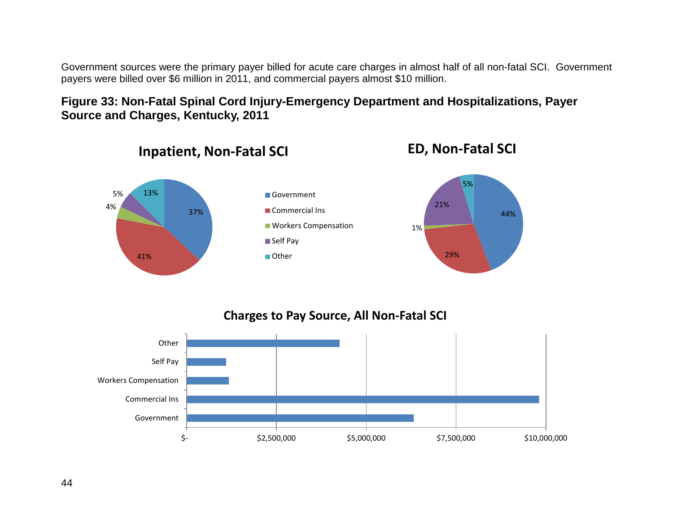Government sources were the primary payer billed for acute care charges in almost half of all non-fatal SCI. Government payers were billed over \$6 million in 2011, and commercial payers almost \$10 million.

## **Figure 33: Non-Fatal Spinal Cord Injury-Emergency Department and Hospitalizations, Payer Source and Charges, Kentucky, 2011**



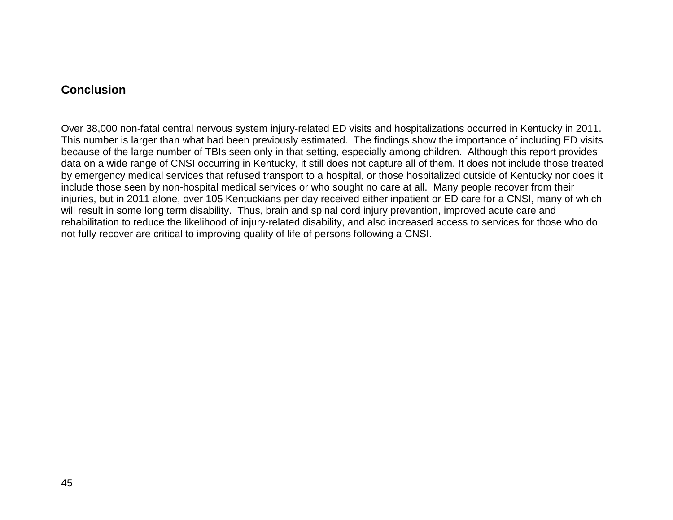### **Conclusion**

Over 38,000 non-fatal central nervous system injury-related ED visits and hospitalizations occurred in Kentucky in 2011. This number is larger than what had been previously estimated. The findings show the importance of including ED visits because of the large number of TBIs seen only in that setting, especially among children. Although this report provides data on a wide range of CNSI occurring in Kentucky, it still does not capture all of them. It does not include those treated by emergency medical services that refused transport to a hospital, or those hospitalized outside of Kentucky nor does it include those seen by non-hospital medical services or who sought no care at all. Many people recover from their injuries, but in 2011 alone, over 105 Kentuckians per day received either inpatient or ED care for a CNSI, many of which will result in some long term disability. Thus, brain and spinal cord injury prevention, improved acute care and rehabilitation to reduce the likelihood of injury-related disability, and also increased access to services for those who do not fully recover are critical to improving quality of life of persons following a CNSI.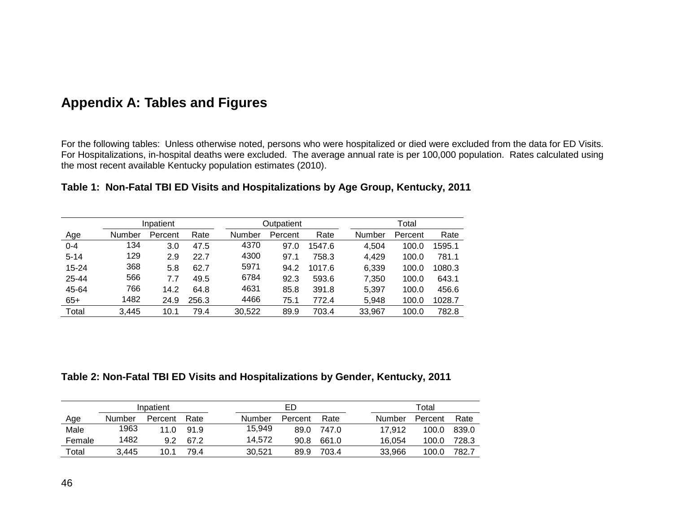# **Appendix A: Tables and Figures**

For the following tables: Unless otherwise noted, persons who were hospitalized or died were excluded from the data for ED Visits. For Hospitalizations, in-hospital deaths were excluded. The average annual rate is per 100,000 population. Rates calculated using the most recent available Kentucky population estimates (2010).

| Table 1:  Non-Fatal TBI ED Visits and Hospitalizations by Age Group, Kentucky, 2011 |  |  |  |  |
|-------------------------------------------------------------------------------------|--|--|--|--|
|-------------------------------------------------------------------------------------|--|--|--|--|

|          |        | Inpatient |       |        | Outpatient |        |               | Total   |        |  |  |
|----------|--------|-----------|-------|--------|------------|--------|---------------|---------|--------|--|--|
| Age      | Number | Percent   | Rate  | Number | Percent    | Rate   | <b>Number</b> | Percent | Rate   |  |  |
| $0 - 4$  | 134    | 3.0       | 47.5  | 4370   | 97.0       | 1547.6 | 4,504         | 100.0   | 1595.1 |  |  |
| $5 - 14$ | 129    | 2.9       | 22.7  | 4300   | 97.1       | 758.3  | 4,429         | 100.0   | 781.1  |  |  |
| 15-24    | 368    | 5.8       | 62.7  | 5971   | 94.2       | 1017.6 | 6,339         | 100.0   | 1080.3 |  |  |
| 25-44    | 566    | 7.7       | 49.5  | 6784   | 92.3       | 593.6  | 7,350         | 100.0   | 643.1  |  |  |
| 45-64    | 766    | 14.2      | 64.8  | 4631   | 85.8       | 391.8  | 5,397         | 100.0   | 456.6  |  |  |
| $65+$    | 1482   | 24.9      | 256.3 | 4466   | 75.1       | 772.4  | 5,948         | 100.0   | 1028.7 |  |  |
| Total    | 3,445  | 10.1      | 79.4  | 30,522 | 89.9       | 703.4  | 33,967        | 100.0   | 782.8  |  |  |

#### **Table 2: Non-Fatal TBI ED Visits and Hospitalizations by Gender, Kentucky, 2011**

|        |        | Inpatient   |      | ED     |         | Total |        |         |       |  |
|--------|--------|-------------|------|--------|---------|-------|--------|---------|-------|--|
| Age    | Number | Percent     | Rate | Number | Percent | Rate  | Number | Percent | Rate  |  |
| Male   | 1963   | 11 $\Omega$ | 91.9 | 15.949 | 89.0    | 747.0 | 17.912 | 100.0   | 839.0 |  |
| Female | 1482   | 9.2         | 67.2 | 14.572 | 90.8    | 661.0 | 16.054 | 100.0   | 728.3 |  |
| Total  | 3.445  | 10.1        | 79.4 | 30.521 | 89.9    | 703.4 | 33.966 | 100.0   | 782.7 |  |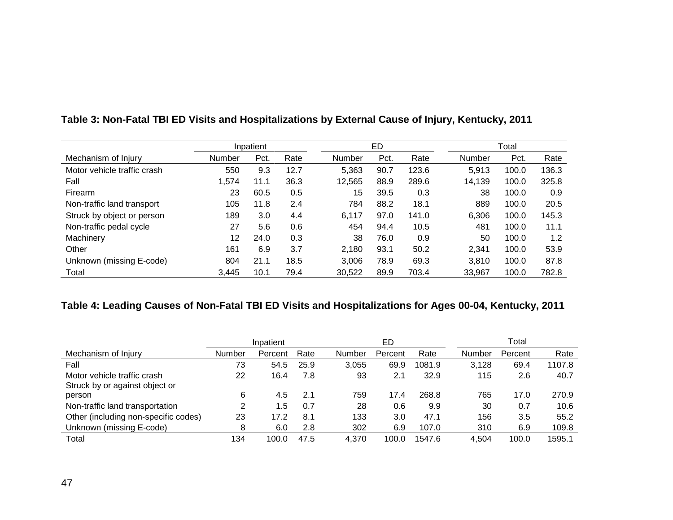|                             |        | Inpatient |      |        | ED   |       |        | Total |       |
|-----------------------------|--------|-----------|------|--------|------|-------|--------|-------|-------|
| Mechanism of Injury         | Number | Pct.      | Rate | Number | Pct. | Rate  | Number | Pct.  | Rate  |
| Motor vehicle traffic crash | 550    | 9.3       | 12.7 | 5,363  | 90.7 | 123.6 | 5,913  | 100.0 | 136.3 |
| Fall                        | 1,574  | 11.1      | 36.3 | 12,565 | 88.9 | 289.6 | 14,139 | 100.0 | 325.8 |
| Firearm                     | 23     | 60.5      | 0.5  | 15     | 39.5 | 0.3   | 38     | 100.0 | 0.9   |
| Non-traffic land transport  | 105    | 11.8      | 2.4  | 784    | 88.2 | 18.1  | 889    | 100.0 | 20.5  |
| Struck by object or person  | 189    | 3.0       | 4.4  | 6,117  | 97.0 | 141.0 | 6,306  | 100.0 | 145.3 |
| Non-traffic pedal cycle     | 27     | 5.6       | 0.6  | 454    | 94.4 | 10.5  | 481    | 100.0 | 11.1  |
| Machinery                   | 12     | 24.0      | 0.3  | 38     | 76.0 | 0.9   | 50     | 100.0 | 1.2   |
| Other                       | 161    | 6.9       | 3.7  | 2,180  | 93.1 | 50.2  | 2,341  | 100.0 | 53.9  |
| Unknown (missing E-code)    | 804    | 21.1      | 18.5 | 3,006  | 78.9 | 69.3  | 3,810  | 100.0 | 87.8  |
| Total                       | 3,445  | 10.1      | 79.4 | 30,522 | 89.9 | 703.4 | 33,967 | 100.0 | 782.8 |

## **Table 3: Non-Fatal TBI ED Visits and Hospitalizations by External Cause of Injury, Kentucky, 2011**

## **Table 4: Leading Causes of Non-Fatal TBI ED Visits and Hospitalizations for Ages 00-04, Kentucky, 2011**

|                                      |        | Inpatient |      |               | ED      |        |        | Total   |        |
|--------------------------------------|--------|-----------|------|---------------|---------|--------|--------|---------|--------|
| Mechanism of Injury                  | Number | Percent   | Rate | <b>Number</b> | Percent | Rate   | Number | Percent | Rate   |
| Fall                                 | 73     | 54.5      | 25.9 | 3,055         | 69.9    | 1081.9 | 3,128  | 69.4    | 1107.8 |
| Motor vehicle traffic crash          | 22     | 16.4      | 7.8  | 93            | 2.1     | 32.9   | 115    | 2.6     | 40.7   |
| Struck by or against object or       |        |           |      |               |         |        |        |         |        |
| person                               | 6      | 4.5       | 2.1  | 759           | 17.4    | 268.8  | 765    | 17.0    | 270.9  |
| Non-traffic land transportation      | 2      | 1.5       | 0.7  | 28            | 0.6     | 9.9    | 30     | 0.7     | 10.6   |
| Other (including non-specific codes) | 23     | 17.2      | 8.1  | 133           | 3.0     | 47.1   | 156    | 3.5     | 55.2   |
| Unknown (missing E-code)             | 8      | 6.0       | 2.8  | 302           | 6.9     | 107.0  | 310    | 6.9     | 109.8  |
| Total                                | 134    | 100.0     | 47.5 | 4,370         | 100.0   | 1547.6 | 4,504  | 100.0   | 1595.1 |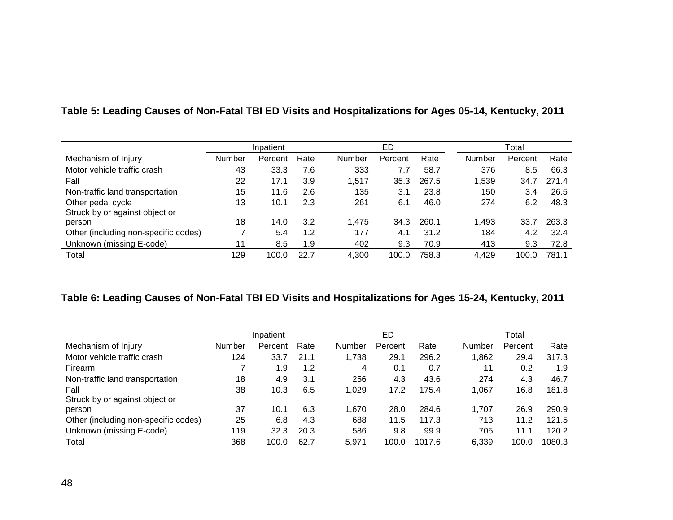|                                      | Inpatient |         |      |        | ED      |       |        | Total   |       |  |  |
|--------------------------------------|-----------|---------|------|--------|---------|-------|--------|---------|-------|--|--|
| Mechanism of Injury                  | Number    | Percent | Rate | Number | Percent | Rate  | Number | Percent | Rate  |  |  |
| Motor vehicle traffic crash          | 43        | 33.3    | 7.6  | 333    | 7.7     | 58.7  | 376    | 8.5     | 66.3  |  |  |
| Fall                                 | 22        | 17.1    | 3.9  | 1,517  | 35.3    | 267.5 | 1,539  | 34.7    | 271.4 |  |  |
| Non-traffic land transportation      | 15        | 11.6    | 2.6  | 135    | 3.1     | 23.8  | 150    | 3.4     | 26.5  |  |  |
| Other pedal cycle                    | 13        | 10.1    | 2.3  | 261    | 6.1     | 46.0  | 274    | 6.2     | 48.3  |  |  |
| Struck by or against object or       |           |         |      |        |         |       |        |         |       |  |  |
| person                               | 18        | 14.0    | 3.2  | 1.475  | 34.3    | 260.1 | 1,493  | 33.7    | 263.3 |  |  |
| Other (including non-specific codes) |           | 5.4     | 1.2  | 177    | 4.1     | 31.2  | 184    | 4.2     | 32.4  |  |  |
| Unknown (missing E-code)             | 11        | 8.5     | 1.9  | 402    | 9.3     | 70.9  | 413    | 9.3     | 72.8  |  |  |
| Total                                | 129       | 100.0   | 22.7 | 4,300  | 100.0   | 758.3 | 4,429  | 100.0   | 781.1 |  |  |

### **Table 5: Leading Causes of Non-Fatal TBI ED Visits and Hospitalizations for Ages 05-14, Kentucky, 2011**

### **Table 6: Leading Causes of Non-Fatal TBI ED Visits and Hospitalizations for Ages 15-24, Kentucky, 2011**

|                                      |        | Inpatient |      |        | ED      |        |        | Total   |        |
|--------------------------------------|--------|-----------|------|--------|---------|--------|--------|---------|--------|
| Mechanism of Injury                  | Number | Percent   | Rate | Number | Percent | Rate   | Number | Percent | Rate   |
| Motor vehicle traffic crash          | 124    | 33.7      | 21.1 | 1,738  | 29.1    | 296.2  | .862   | 29.4    | 317.3  |
| Firearm                              |        | 1.9       | 1.2  | 4      | 0.1     | 0.7    | 11     | 0.2     | 1.9    |
| Non-traffic land transportation      | 18     | 4.9       | 3.1  | 256    | 4.3     | 43.6   | 274    | 4.3     | 46.7   |
| Fall                                 | 38     | 10.3      | 6.5  | 1,029  | 17.2    | 175.4  | 1.067  | 16.8    | 181.8  |
| Struck by or against object or       |        |           |      |        |         |        |        |         |        |
| person                               | 37     | 10.1      | 6.3  | 1,670  | 28.0    | 284.6  | 1.707  | 26.9    | 290.9  |
| Other (including non-specific codes) | 25     | 6.8       | 4.3  | 688    | 11.5    | 117.3  | 713    | 11.2    | 121.5  |
| Unknown (missing E-code)             | 119    | 32.3      | 20.3 | 586    | 9.8     | 99.9   | 705    | 11.1    | 120.2  |
| Total                                | 368    | 100.0     | 62.7 | 5,971  | 100.0   | 1017.6 | 6,339  | 100.0   | 1080.3 |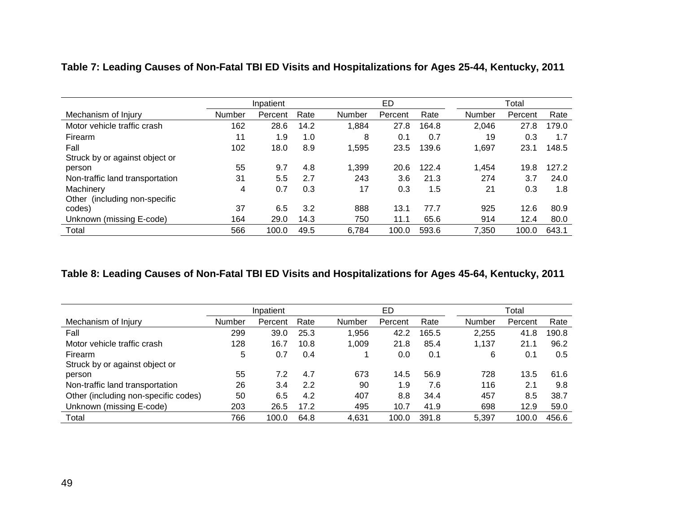|                                 |        | Inpatient |      |        | ED      |       |        | Total   |       |  |  |
|---------------------------------|--------|-----------|------|--------|---------|-------|--------|---------|-------|--|--|
| Mechanism of Injury             | Number | Percent   | Rate | Number | Percent | Rate  | Number | Percent | Rate  |  |  |
| Motor vehicle traffic crash     | 162    | 28.6      | 14.2 | 1,884  | 27.8    | 164.8 | 2,046  | 27.8    | 179.0 |  |  |
| Firearm                         | 11     | 1.9       | 1.0  | 8      | 0.1     | 0.7   | 19     | 0.3     | 1.7   |  |  |
| Fall                            | 102    | 18.0      | 8.9  | 1,595  | 23.5    | 139.6 | 1,697  | 23.1    | 148.5 |  |  |
| Struck by or against object or  |        |           |      |        |         |       |        |         |       |  |  |
| person                          | 55     | 9.7       | 4.8  | 1,399  | 20.6    | 122.4 | 1,454  | 19.8    | 127.2 |  |  |
| Non-traffic land transportation | 31     | 5.5       | 2.7  | 243    | 3.6     | 21.3  | 274    | 3.7     | 24.0  |  |  |
| Machinery                       | 4      | 0.7       | 0.3  | 17     | 0.3     | 1.5   | 21     | 0.3     | 1.8   |  |  |
| Other (including non-specific   |        |           |      |        |         |       |        |         |       |  |  |
| codes)                          | 37     | 6.5       | 3.2  | 888    | 13.1    | 77.7  | 925    | 12.6    | 80.9  |  |  |
| Unknown (missing E-code)        | 164    | 29.0      | 14.3 | 750    | 11.1    | 65.6  | 914    | 12.4    | 80.0  |  |  |
| Total                           | 566    | 100.0     | 49.5 | 6,784  | 100.0   | 593.6 | 7,350  | 100.0   | 643.1 |  |  |

**Table 7: Leading Causes of Non-Fatal TBI ED Visits and Hospitalizations for Ages 25-44, Kentucky, 2011**

# **Table 8: Leading Causes of Non-Fatal TBI ED Visits and Hospitalizations for Ages 45-64, Kentucky, 2011**

|                                      |               | Inpatient |      |               | ED      |       |        | Total   |       |
|--------------------------------------|---------------|-----------|------|---------------|---------|-------|--------|---------|-------|
| Mechanism of Injury                  | <b>Number</b> | Percent   | Rate | <b>Number</b> | Percent | Rate  | Number | Percent | Rate  |
| Fall                                 | 299           | 39.0      | 25.3 | 1,956         | 42.2    | 165.5 | 2,255  | 41.8    | 190.8 |
| Motor vehicle traffic crash          | 128           | 16.7      | 10.8 | 1,009         | 21.8    | 85.4  | 1,137  | 21.1    | 96.2  |
| Firearm                              | 5             | 0.7       | 0.4  |               | 0.0     | 0.1   | 6      | 0.1     | 0.5   |
| Struck by or against object or       |               |           |      |               |         |       |        |         |       |
| person                               | 55            | 7.2       | 4.7  | 673           | 14.5    | 56.9  | 728    | 13.5    | 61.6  |
| Non-traffic land transportation      | 26            | 3.4       | 2.2  | 90            | 1.9     | 7.6   | 116    | 2.1     | 9.8   |
| Other (including non-specific codes) | 50            | 6.5       | 4.2  | 407           | 8.8     | 34.4  | 457    | 8.5     | 38.7  |
| Unknown (missing E-code)             | 203           | 26.5      | 17.2 | 495           | 10.7    | 41.9  | 698    | 12.9    | 59.0  |
| Total                                | 766           | 100.0     | 64.8 | 4,631         | 100.0   | 391.8 | 5,397  | 100.0   | 456.6 |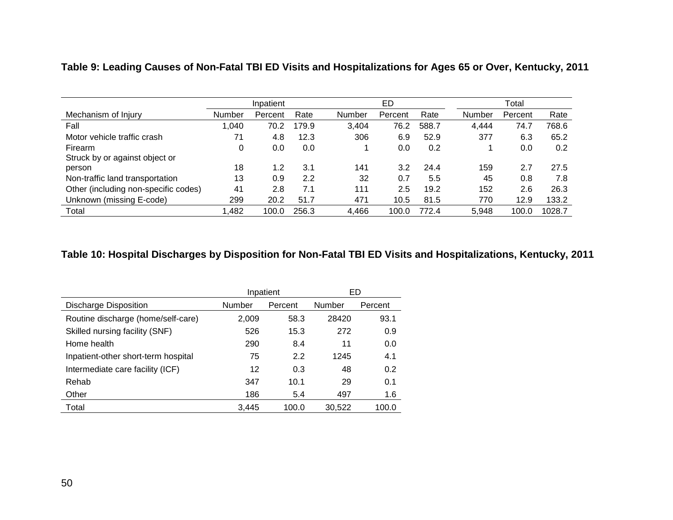|                                      |        | Inpatient |       |        | ED      |       | Total  |         |        |  |
|--------------------------------------|--------|-----------|-------|--------|---------|-------|--------|---------|--------|--|
| Mechanism of Injury                  | Number | Percent   | Rate  | Number | Percent | Rate  | Number | Percent | Rate   |  |
| Fall                                 | 1,040  | 70.2      | 179.9 | 3,404  | 76.2    | 588.7 | 4,444  | 74.7    | 768.6  |  |
| Motor vehicle traffic crash          | 71     | 4.8       | 12.3  | 306    | 6.9     | 52.9  | 377    | 6.3     | 65.2   |  |
| Firearm                              | 0      | 0.0       | 0.0   |        | 0.0     | 0.2   |        | 0.0     | 0.2    |  |
| Struck by or against object or       |        |           |       |        |         |       |        |         |        |  |
| person                               | 18     | 1.2       | 3.1   | 141    | 3.2     | 24.4  | 159    | 2.7     | 27.5   |  |
| Non-traffic land transportation      | 13     | 0.9       | 2.2   | 32     | 0.7     | 5.5   | 45     | 0.8     | 7.8    |  |
| Other (including non-specific codes) | 41     | 2.8       | 7.1   | 111    | 2.5     | 19.2  | 152    | 2.6     | 26.3   |  |
| Unknown (missing E-code)             | 299    | 20.2      | 51.7  | 471    | 10.5    | 81.5  | 770    | 12.9    | 133.2  |  |
| Total                                | 1,482  | 100.0     | 256.3 | 4,466  | 100.0   | 772.4 | 5,948  | 100.0   | 1028.7 |  |

**Table 9: Leading Causes of Non-Fatal TBI ED Visits and Hospitalizations for Ages 65 or Over, Kentucky, 2011**

## **Table 10: Hospital Discharges by Disposition for Non-Fatal TBI ED Visits and Hospitalizations, Kentucky, 2011**

|                                     |        | Inpatient | ED     |         |
|-------------------------------------|--------|-----------|--------|---------|
| Discharge Disposition               | Number | Percent   | Number | Percent |
| Routine discharge (home/self-care)  | 2,009  | 58.3      | 28420  | 93.1    |
| Skilled nursing facility (SNF)      | 526    | 15.3      | 272    | 0.9     |
| Home health                         | 290    | 8.4       | 11     | 0.0     |
| Inpatient-other short-term hospital | 75     | 2.2       | 1245   | 4.1     |
| Intermediate care facility (ICF)    | 12     | 0.3       | 48     | 0.2     |
| Rehab                               | 347    | 10.1      | 29     | 0.1     |
| Other                               | 186    | 5.4       | 497    | 1.6     |
| Total                               | 3.445  | 100.0     | 30,522 | 100.0   |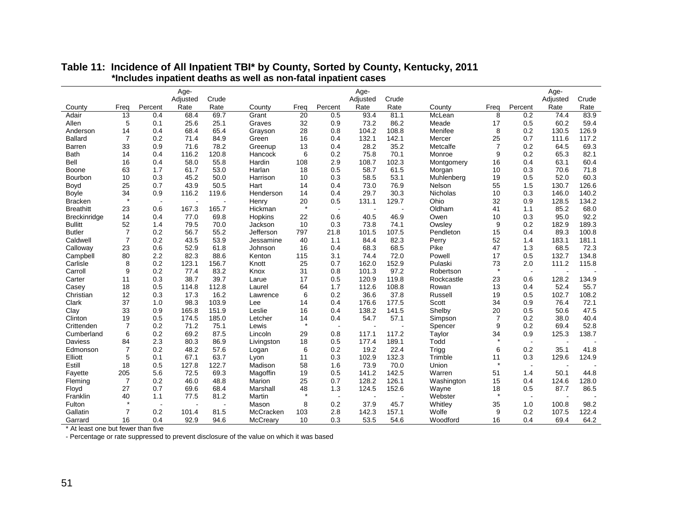|                  |                |                          | Age-             |               |            |         |                          | Age-             |               |            |                |                          | Age-             |               |
|------------------|----------------|--------------------------|------------------|---------------|------------|---------|--------------------------|------------------|---------------|------------|----------------|--------------------------|------------------|---------------|
| County           | Freq           | Percent                  | Adjusted<br>Rate | Crude<br>Rate | County     | Freq    | Percent                  | Adjusted<br>Rate | Crude<br>Rate | County     | Freq           | Percent                  | Adjusted<br>Rate | Crude<br>Rate |
| Adair            | 13             | 0.4                      | 68.4             | 69.7          | Grant      | 20      | 0.5                      | 93.4             | 81.1          | McLean     | 8              | 0.2                      | 74.4             | 83.9          |
| Allen            | 5              | 0.1                      | 25.6             | 25.1          | Graves     | 32      | 0.9                      | 73.2             | 86.2          | Meade      | 17             | 0.5                      | 60.2             | 59.4          |
| Anderson         | 14             | 0.4                      | 68.4             | 65.4          | Grayson    | 28      | 0.8                      | 104.2            | 108.8         | Menifee    | 8              | 0.2                      | 130.5            | 126.9         |
| <b>Ballard</b>   | $\overline{7}$ | 0.2                      | 71.4             | 84.9          | Green      | 16      | 0.4                      | 132.1            | 142.1         | Mercer     | 25             | 0.7                      | 111.6            | 117.2         |
| Barren           | 33             | 0.9                      | 71.6             | 78.2          | Greenup    | 13      | 0.4                      | 28.2             | 35.2          | Metcalfe   | $\overline{7}$ | 0.2                      | 64.5             | 69.3          |
| <b>Bath</b>      | 14             | 0.4                      | 116.2            | 120.8         | Hancock    | 6       | 0.2                      | 75.8             | 70.1          | Monroe     | 9              | 0.2                      | 65.3             | 82.1          |
| Bell             | 16             | 0.4                      | 58.0             | 55.8          | Hardin     | 108     | 2.9                      | 108.7            | 102.3         | Montgomery | 16             | 0.4                      | 63.1             | 60.4          |
| Boone            | 63             | 1.7                      | 61.7             | 53.0          | Harlan     | 18      | 0.5                      | 58.7             | 61.5          | Morgan     | 10             | 0.3                      | 70.6             | 71.8          |
| Bourbon          | 10             | 0.3                      | 45.2             | 50.0          | Harrison   | 10      | 0.3                      | 58.5             | 53.1          | Muhlenberg | 19             | 0.5                      | 52.0             | 60.3          |
| Boyd             | 25             | 0.7                      | 43.9             | 50.5          | Hart       | 14      | 0.4                      | 73.0             | 76.9          | Nelson     | 55             | 1.5                      | 130.7            | 126.6         |
| <b>Boyle</b>     | 34             | 0.9                      | 116.2            | 119.6         | Henderson  | 14      | 0.4                      | 29.7             | 30.3          | Nicholas   | 10             | 0.3                      | 146.0            | 140.2         |
| <b>Bracken</b>   | $\star$        | $\overline{a}$           |                  |               | Henry      | 20      | 0.5                      | 131.1            | 129.7         | Ohio       | 32             | 0.9                      | 128.5            | 134.2         |
| <b>Breathitt</b> | 23             | 0.6                      | 167.3            | 165.7         | Hickman    | $\star$ |                          |                  |               | Oldham     | 41             | 1.1                      | 85.2             | 68.0          |
| Breckinridge     | 14             | 0.4                      | 77.0             | 69.8          | Hopkins    | 22      | 0.6                      | 40.5             | 46.9          | Owen       | 10             | 0.3                      | 95.0             | 92.2          |
| <b>Bullitt</b>   | 52             | 1.4                      | 79.5             | 70.0          | Jackson    | 10      | 0.3                      | 73.8             | 74.1          | Owsley     | 9              | 0.2                      | 182.9            | 189.3         |
| <b>Butler</b>    | $\overline{7}$ | 0.2                      | 56.7             | 55.2          | Jefferson  | 797     | 21.8                     | 101.5            | 107.5         | Pendleton  | 15             | 0.4                      | 89.3             | 100.8         |
| Caldwell         | 7              | 0.2                      | 43.5             | 53.9          | Jessamine  | 40      | 1.1                      | 84.4             | 82.3          | Perry      | 52             | 1.4                      | 183.1            | 181.1         |
| Calloway         | 23             | 0.6                      | 52.9             | 61.8          | Johnson    | 16      | 0.4                      | 68.3             | 68.5          | Pike       | 47             | 1.3                      | 68.5             | 72.3          |
| Campbell         | 80             | 2.2                      | 82.3             | 88.6          | Kenton     | 115     | 3.1                      | 74.4             | 72.0          | Powell     | 17             | 0.5                      | 132.7            | 134.8         |
| Carlisle         | 8              | 0.2                      | 123.1            | 156.7         | Knott      | 25      | 0.7                      | 162.0            | 152.9         | Pulaski    | 73             | 2.0                      | 111.2            | 115.8         |
| Carroll          | 9              | 0.2                      | 77.4             | 83.2          | Knox       | 31      | 0.8                      | 101.3            | 97.2          | Robertson  | $\star$        | $\sim$                   |                  |               |
| Carter           | 11             | 0.3                      | 38.7             | 39.7          | Larue      | 17      | 0.5                      | 120.9            | 119.8         | Rockcastle | 23             | 0.6                      | 128.2            | 134.9         |
| Casey            | 18             | 0.5                      | 114.8            | 112.8         | Laurel     | 64      | 1.7                      | 112.6            | 108.8         | Rowan      | 13             | 0.4                      | 52.4             | 55.7          |
| Christian        | 12             | 0.3                      | 17.3             | 16.2          | Lawrence   | 6       | 0.2                      | 36.6             | 37.8          | Russell    | 19             | 0.5                      | 102.7            | 108.2         |
| Clark            | 37             | 1.0                      | 98.3             | 103.9         | Lee        | 14      | 0.4                      | 176.6            | 177.5         | Scott      | 34             | 0.9                      | 76.4             | 72.1          |
| Clay             | 33             | 0.9                      | 165.8            | 151.9         | Leslie     | 16      | 0.4                      | 138.2            | 141.5         | Shelby     | 20             | 0.5                      | 50.6             | 47.5          |
| Clinton          | 19             | 0.5                      | 174.5            | 185.0         | Letcher    | 14      | 0.4                      | 54.7             | 57.1          | Simpson    | $\overline{7}$ | 0.2                      | 38.0             | 40.4          |
| Crittenden       | $\overline{7}$ | 0.2                      | 71.2             | 75.1          | Lewis      | $\star$ | $\overline{\phantom{a}}$ |                  |               | Spencer    | 9              | 0.2                      | 69.4             | 52.8          |
| Cumberland       | 6              | 0.2                      | 69.2             | 87.5          | Lincoln    | 29      | 0.8                      | 117.1            | 117.2         | Taylor     | 34             | 0.9                      | 125.3            | 138.7         |
| Daviess          | 84             | 2.3                      | 80.3             | 86.9          | Livingston | 18      | 0.5                      | 177.4            | 189.1         | Todd       | $\star$        | $\sim$                   |                  |               |
| Edmonson         | $\overline{7}$ | 0.2                      | 48.2             | 57.6          | Logan      | 6       | 0.2                      | 19.2             | 22.4          | Trigg      | 6              | 0.2                      | 35.1             | 41.8          |
| Elliott          | 5              | 0.1                      | 67.1             | 63.7          | Lyon       | 11      | 0.3                      | 102.9            | 132.3         | Trimble    | 11             | 0.3                      | 129.6            | 124.9         |
| Estill           | 18             | 0.5                      | 127.8            | 122.7         | Madison    | 58      | 1.6                      | 73.9             | 70.0          | Union      | $\star$        | $\blacksquare$           |                  |               |
| Fayette          | 205            | 5.6                      | 72.5             | 69.3          | Magoffin   | 19      | 0.5                      | 141.2            | 142.5         | Warren     | 51             | 1.4                      | 50.1             | 44.8          |
| Fleming          | $\overline{7}$ | 0.2                      | 46.0             | 48.8          | Marion     | 25      | 0.7                      | 128.2            | 126.1         | Washington | 15             | 0.4                      | 124.6            | 128.0         |
| Floyd            | 27             | 0.7                      | 69.6             | 68.4          | Marshall   | 48      | 1.3                      | 124.5            | 152.6         | Wayne      | 18             | 0.5                      | 87.7             | 86.5          |
| Franklin         | 40             | 1.1                      | 77.5             | 81.2          | Martin     | $\star$ | $\blacksquare$           | $\blacksquare$   |               | Webster    | $\star$        | $\overline{\phantom{a}}$ |                  |               |
| Fulton           |                | $\overline{\phantom{a}}$ |                  |               | Mason      | 8       | 0.2                      | 37.9             | 45.7          | Whitley    | 35             | 1.0                      | 100.8            | 98.2          |
| Gallatin         | 7              | 0.2                      | 101.4            | 81.5          | McCracken  | 103     | 2.8                      | 142.3            | 157.1         | Wolfe      | 9              | 0.2                      | 107.5            | 122.4         |
| Garrard          | 16             | 0.4                      | 92.9             | 94.6          | McCreary   | 10      | 0.3                      | 53.5             | 54.6          | Woodford   | 16             | 0.4                      | 69.4             | 64.2          |

#### **Table 11: Incidence of All Inpatient TBI\* by County, Sorted by County, Kentucky, 2011 \*Includes inpatient deaths as well as non-fatal inpatient cases**

\* At least one but fewer than five

- Percentage or rate suppressed to prevent disclosure of the value on which it was based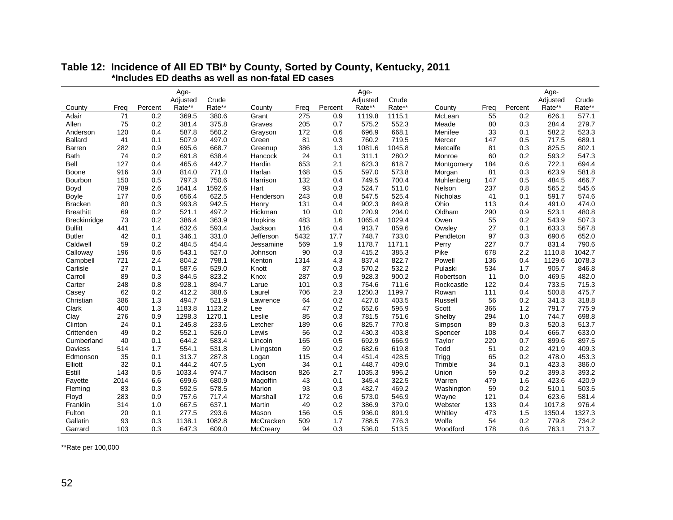|                    |      |         | Age-     |        |            |      |         | Age-     |        |                 |      |         | Age-     |        |
|--------------------|------|---------|----------|--------|------------|------|---------|----------|--------|-----------------|------|---------|----------|--------|
|                    |      |         | Adjusted | Crude  |            |      |         | Adjusted | Crude  |                 |      |         | Adjusted | Crude  |
| County             | Freq | Percent | Rate**   | Rate** | County     | Frea | Percent | Rate**   | Rate** | County          | Frea | Percent | Rate**   | Rate** |
| Adair              | 71   | 0.2     | 369.5    | 380.6  | Grant      | 275  | 0.9     | 1119.8   | 1115.1 | McLean          | 55   | 0.2     | 626.1    | 577.1  |
| Allen              | 75   | 0.2     | 381.4    | 375.8  | Graves     | 205  | 0.7     | 575.2    | 552.3  | Meade           | 80   | 0.3     | 284.4    | 279.7  |
| Anderson           | 120  | 0.4     | 587.8    | 560.2  | Grayson    | 172  | 0.6     | 696.9    | 668.1  | Menifee         | 33   | 0.1     | 582.2    | 523.3  |
| <b>Ballard</b>     | 41   | 0.1     | 507.9    | 497.0  | Green      | 81   | 0.3     | 760.2    | 719.5  | Mercer          | 147  | 0.5     | 717.5    | 689.1  |
| Barren             | 282  | 0.9     | 695.6    | 668.7  | Greenup    | 386  | 1.3     | 1081.6   | 1045.8 | Metcalfe        | 81   | 0.3     | 825.5    | 802.1  |
| <b>Bath</b>        | 74   | 0.2     | 691.8    | 638.4  | Hancock    | 24   | 0.1     | 311.1    | 280.2  | Monroe          | 60   | 0.2     | 593.2    | 547.3  |
| Bell               | 127  | 0.4     | 465.6    | 442.7  | Hardin     | 653  | 2.1     | 623.3    | 618.7  | Montgomery      | 184  | 0.6     | 722.1    | 694.4  |
| Boone              | 916  | 3.0     | 814.0    | 771.0  | Harlan     | 168  | 0.5     | 597.0    | 573.8  | Morgan          | 81   | 0.3     | 623.9    | 581.8  |
| Bourbon            | 150  | 0.5     | 797.3    | 750.6  | Harrison   | 132  | 0.4     | 749.5    | 700.4  | Muhlenberg      | 147  | 0.5     | 484.5    | 466.7  |
| Boyd               | 789  | 2.6     | 1641.4   | 1592.6 | Hart       | 93   | 0.3     | 524.7    | 511.0  | Nelson          | 237  | 0.8     | 565.2    | 545.6  |
| <b>Boyle</b>       | 177  | 0.6     | 656.4    | 622.5  | Henderson  | 243  | 0.8     | 547.5    | 525.4  | <b>Nicholas</b> | 41   | 0.1     | 591.7    | 574.6  |
| <b>Bracken</b>     | 80   | 0.3     | 993.8    | 942.5  | Henry      | 131  | 0.4     | 902.3    | 849.8  | Ohio            | 113  | 0.4     | 491.0    | 474.0  |
| <b>Breathitt</b>   | 69   | 0.2     | 521.1    | 497.2  | Hickman    | 10   | 0.0     | 220.9    | 204.0  | Oldham          | 290  | 0.9     | 523.1    | 480.8  |
| Breckinridge       | 73   | 0.2     | 386.4    | 363.9  | Hopkins    | 483  | 1.6     | 1065.4   | 1029.4 | Owen            | 55   | 0.2     | 543.9    | 507.3  |
| <b>Bullitt</b>     | 441  | 1.4     | 632.6    | 593.4  | Jackson    | 116  | 0.4     | 913.7    | 859.6  | Owsley          | 27   | 0.1     | 633.3    | 567.8  |
| <b>Butler</b>      | 42   | 0.1     | 346.1    | 331.0  | Jefferson  | 5432 | 17.7    | 748.7    | 733.0  | Pendleton       | 97   | 0.3     | 690.6    | 652.0  |
| Caldwell           | 59   | 0.2     | 484.5    | 454.4  | Jessamine  | 569  | 1.9     | 1178.7   | 1171.1 | Perry           | 227  | 0.7     | 831.4    | 790.6  |
| Calloway           | 196  | 0.6     | 543.1    | 527.0  | Johnson    | 90   | 0.3     | 415.2    | 385.3  | Pike            | 678  | 2.2     | 1110.8   | 1042.7 |
| Campbell           | 721  | 2.4     | 804.2    | 798.1  | Kenton     | 1314 | 4.3     | 837.4    | 822.7  | Powell          | 136  | 0.4     | 1129.6   | 1078.3 |
| Carlisle           | 27   | 0.1     | 587.6    | 529.0  | Knott      | 87   | 0.3     | 570.2    | 532.2  | Pulaski         | 534  | 1.7     | 905.7    | 846.8  |
| Carroll            | 89   | 0.3     | 844.5    | 823.2  | Knox       | 287  | 0.9     | 928.3    | 900.2  | Robertson       | 11   | 0.0     | 469.5    | 482.0  |
| Carter             | 248  | 0.8     | 928.1    | 894.7  | Larue      | 101  | 0.3     | 754.6    | 711.6  | Rockcastle      | 122  | 0.4     | 733.5    | 715.3  |
| Casey              | 62   | 0.2     | 412.2    | 388.6  | Laurel     | 706  | 2.3     | 1250.3   | 1199.7 | Rowan           | 111  | 0.4     | 500.8    | 475.7  |
| Christian          | 386  | 1.3     | 494.7    | 521.9  | Lawrence   | 64   | 0.2     | 427.0    | 403.5  | Russell         | 56   | 0.2     | 341.3    | 318.8  |
| Clark              | 400  | 1.3     | 1183.8   | 1123.2 | Lee        | 47   | 0.2     | 652.6    | 595.9  | Scott           | 366  | 1.2     | 791.7    | 775.9  |
| Clay               | 276  | 0.9     | 1298.3   | 1270.1 | Leslie     | 85   | 0.3     | 781.5    | 751.6  | Shelby          | 294  | 1.0     | 744.7    | 698.8  |
| Clinton            | 24   | 0.1     | 245.8    | 233.6  | Letcher    | 189  | 0.6     | 825.7    | 770.8  | Simpson         | 89   | 0.3     | 520.3    | 513.7  |
| Crittenden         | 49   | 0.2     | 552.1    | 526.0  | Lewis      | 56   | 0.2     | 430.3    | 403.8  | Spencer         | 108  | 0.4     | 666.7    | 633.0  |
| Cumberland         | 40   | 0.1     | 644.2    | 583.4  | Lincoln    | 165  | 0.5     | 692.9    | 666.9  | Taylor          | 220  | 0.7     | 899.6    | 897.5  |
| Daviess            | 514  | 1.7     | 554.1    | 531.8  | Livingston | 59   | 0.2     | 682.6    | 619.8  | Todd            | 51   | 0.2     | 421.9    | 409.3  |
| Edmonson           | 35   | 0.1     | 313.7    | 287.8  | Logan      | 115  | 0.4     | 451.4    | 428.5  | Trigg           | 65   | 0.2     | 478.0    | 453.3  |
| Elliott            | 32   | 0.1     | 444.2    | 407.5  | Lyon       | 34   | 0.1     | 448.7    | 409.0  | Trimble         | 34   | 0.1     | 423.3    | 386.0  |
| Estill             | 143  | 0.5     | 1033.4   | 974.7  | Madison    | 826  | 2.7     | 1035.3   | 996.2  | Union           | 59   | 0.2     | 399.3    | 393.2  |
|                    | 2014 | 6.6     | 699.6    | 680.9  | Magoffin   | 43   | 0.1     | 345.4    | 322.5  | Warren          | 479  | 1.6     | 423.6    | 420.9  |
| Fayette<br>Fleming | 83   | 0.3     | 592.5    | 578.5  | Marion     | 93   | 0.3     | 482.7    | 469.2  | Washington      | 59   | 0.2     | 510.1    | 503.5  |
|                    | 283  | 0.9     |          | 717.4  |            | 172  | 0.6     | 573.0    | 546.9  |                 |      | 0.4     | 623.6    | 581.4  |
| Floyd              |      |         | 757.6    |        | Marshall   |      |         |          |        | Wayne           | 121  |         |          |        |
| Franklin           | 314  | 1.0     | 667.5    | 637.1  | Martin     | 49   | 0.2     | 386.9    | 379.0  | Webster         | 133  | 0.4     | 1017.8   | 976.4  |
| Fulton             | 20   | 0.1     | 277.5    | 293.6  | Mason      | 156  | 0.5     | 936.0    | 891.9  | Whitley         | 473  | 1.5     | 1350.4   | 1327.3 |
| Gallatin           | 93   | 0.3     | 1138.1   | 1082.8 | McCracken  | 509  | 1.7     | 788.5    | 776.3  | Wolfe           | 54   | 0.2     | 779.8    | 734.2  |
| Garrard            | 103  | 0.3     | 647.3    | 609.0  | McCreary   | 94   | 0.3     | 536.0    | 513.5  | Woodford        | 178  | 0.6     | 763.1    | 713.7  |

#### **Table 12: Incidence of All ED TBI\* by County, Sorted by County, Kentucky, 2011 \*Includes ED deaths as well as non-fatal ED cases**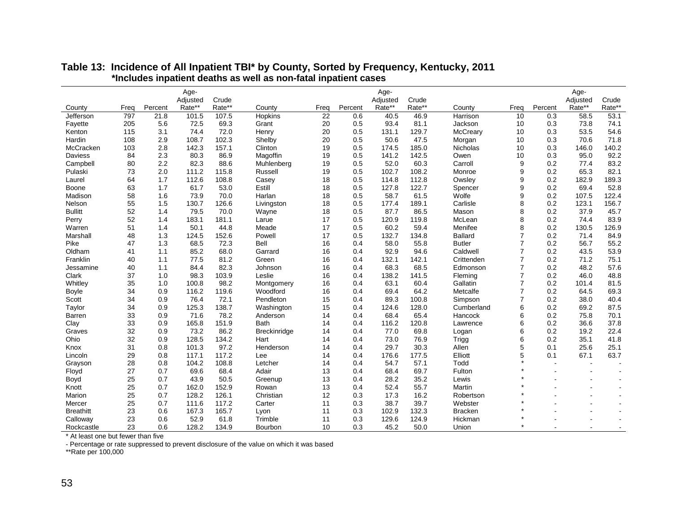|                  |      |         | Age-     |        |                     |                 |         | Age-     |        |                 |                |         | Age-     |                |
|------------------|------|---------|----------|--------|---------------------|-----------------|---------|----------|--------|-----------------|----------------|---------|----------|----------------|
|                  |      |         | Adjusted | Crude  |                     |                 |         | Adjusted | Crude  |                 |                |         | Adjusted | Crude          |
| County           | Freq | Percent | Rate**   | Rate** | County              | Freq            | Percent | Rate**   | Rate** | County          | Freq           | Percent | Rate**   | Rate**         |
| Jefferson        | 797  | 21.8    | 101.5    | 107.5  | Hopkins             | $\overline{22}$ | 0.6     | 40.5     | 46.9   | Harrison        | 10             | 0.3     | 58.5     | 53.1           |
| Fayette          | 205  | 5.6     | 72.5     | 69.3   | Grant               | 20              | 0.5     | 93.4     | 81.1   | Jackson         | 10             | 0.3     | 73.8     | 74.1           |
| Kenton           | 115  | 3.1     | 74.4     | 72.0   | Henry               | 20              | 0.5     | 131.1    | 129.7  | McCreary        | 10             | 0.3     | 53.5     | 54.6           |
| Hardin           | 108  | 2.9     | 108.7    | 102.3  | Shelby              | 20              | 0.5     | 50.6     | 47.5   | Morgan          | 10             | 0.3     | 70.6     | 71.8           |
| McCracken        | 103  | 2.8     | 142.3    | 157.1  | Clinton             | 19              | 0.5     | 174.5    | 185.0  | <b>Nicholas</b> | 10             | 0.3     | 146.0    | 140.2          |
| <b>Daviess</b>   | 84   | 2.3     | 80.3     | 86.9   | Magoffin            | 19              | 0.5     | 141.2    | 142.5  | Owen            | 10             | 0.3     | 95.0     | 92.2           |
| Campbell         | 80   | 2.2     | 82.3     | 88.6   | Muhlenberg          | 19              | 0.5     | 52.0     | 60.3   | Carroll         | 9              | 0.2     | 77.4     | 83.2           |
| Pulaski          | 73   | 2.0     | 111.2    | 115.8  | Russell             | 19              | 0.5     | 102.7    | 108.2  | Monroe          | 9              | 0.2     | 65.3     | 82.1           |
| Laurel           | 64   | 1.7     | 112.6    | 108.8  | Casey               | 18              | 0.5     | 114.8    | 112.8  | Owsley          | 9              | 0.2     | 182.9    | 189.3          |
| Boone            | 63   | 1.7     | 61.7     | 53.0   | Estill              | 18              | 0.5     | 127.8    | 122.7  | Spencer         | 9              | 0.2     | 69.4     | 52.8           |
| Madison          | 58   | 1.6     | 73.9     | 70.0   | Harlan              | 18              | 0.5     | 58.7     | 61.5   | Wolfe           | 9              | 0.2     | 107.5    | 122.4          |
| Nelson           | 55   | 1.5     | 130.7    | 126.6  | Livingston          | 18              | 0.5     | 177.4    | 189.1  | Carlisle        | 8              | 0.2     | 123.1    | 156.7          |
| <b>Bullitt</b>   | 52   | 1.4     | 79.5     | 70.0   | Wayne               | 18              | 0.5     | 87.7     | 86.5   | Mason           | 8              | 0.2     | 37.9     | 45.7           |
| Perry            | 52   | 1.4     | 183.1    | 181.1  | Larue               | 17              | 0.5     | 120.9    | 119.8  | McLean          | 8              | 0.2     | 74.4     | 83.9           |
| Warren           | 51   | 1.4     | 50.1     | 44.8   | Meade               | 17              | 0.5     | 60.2     | 59.4   | Menifee         | 8              | 0.2     | 130.5    | 126.9          |
| Marshall         | 48   | 1.3     | 124.5    | 152.6  | Powell              | 17              | 0.5     | 132.7    | 134.8  | <b>Ballard</b>  | $\overline{7}$ | 0.2     | 71.4     | 84.9           |
| Pike             | 47   | 1.3     | 68.5     | 72.3   | <b>Bell</b>         | 16              | 0.4     | 58.0     | 55.8   | <b>Butler</b>   | $\overline{7}$ | 0.2     | 56.7     | 55.2           |
| Oldham           | 41   | 1.1     | 85.2     | 68.0   | Garrard             | 16              | 0.4     | 92.9     | 94.6   | Caldwell        | $\overline{7}$ | 0.2     | 43.5     | 53.9           |
| Franklin         | 40   | 1.1     | 77.5     | 81.2   | Green               | 16              | 0.4     | 132.1    | 142.1  | Crittenden      | $\overline{7}$ | 0.2     | 71.2     | 75.1           |
| Jessamine        | 40   | 1.1     | 84.4     | 82.3   | Johnson             | 16              | 0.4     | 68.3     | 68.5   | Edmonson        | $\overline{7}$ | 0.2     | 48.2     | 57.6           |
| Clark            | 37   | 1.0     | 98.3     | 103.9  | Leslie              | 16              | 0.4     | 138.2    | 141.5  | Fleming         | $\overline{7}$ | 0.2     | 46.0     | 48.8           |
| Whitley          | 35   | 1.0     | 100.8    | 98.2   | Montgomery          | 16              | 0.4     | 63.1     | 60.4   | Gallatin        | $\overline{7}$ | 0.2     | 101.4    | 81.5           |
| <b>Boyle</b>     | 34   | 0.9     | 116.2    | 119.6  | Woodford            | 16              | 0.4     | 69.4     | 64.2   | Metcalfe        | $\overline{7}$ | 0.2     | 64.5     | 69.3           |
| Scott            | 34   | 0.9     | 76.4     | 72.1   | Pendleton           | 15              | 0.4     | 89.3     | 100.8  | Simpson         | $\overline{7}$ | 0.2     | 38.0     | 40.4           |
| Taylor           | 34   | 0.9     | 125.3    | 138.7  | Washington          | 15              | 0.4     | 124.6    | 128.0  | Cumberland      | 6              | 0.2     | 69.2     | 87.5           |
| Barren           | 33   | 0.9     | 71.6     | 78.2   | Anderson            | 14              | 0.4     | 68.4     | 65.4   | Hancock         | 6              | 0.2     | 75.8     | 70.1           |
| Clay             | 33   | 0.9     | 165.8    | 151.9  | <b>Bath</b>         | 14              | 0.4     | 116.2    | 120.8  | Lawrence        | 6              | 0.2     | 36.6     | 37.8           |
| Graves           | 32   | 0.9     | 73.2     | 86.2   | <b>Breckinridge</b> | 14              | 0.4     | 77.0     | 69.8   | Logan           | 6              | 0.2     | 19.2     | 22.4           |
| Ohio             | 32   | 0.9     | 128.5    | 134.2  | Hart                | 14              | 0.4     | 73.0     | 76.9   | Trigg           | 6              | 0.2     | 35.1     | 41.8           |
| Knox             | 31   | 0.8     | 101.3    | 97.2   | Henderson           | 14              | 0.4     | 29.7     | 30.3   | Allen           | 5              | 0.1     | 25.6     | 25.1           |
| Lincoln          | 29   | 0.8     | 117.1    | 117.2  | Lee                 | 14              | 0.4     | 176.6    | 177.5  | Elliott         | 5              | 0.1     | 67.1     | 63.7           |
| Grayson          | 28   | 0.8     | 104.2    | 108.8  | Letcher             | 14              | 0.4     | 54.7     | 57.1   | Todd            |                |         |          | $\sim$         |
| Floyd            | 27   | 0.7     | 69.6     | 68.4   | Adair               | 13              | 0.4     | 68.4     | 69.7   | Fulton          |                |         |          | $\blacksquare$ |
| Boyd             | 25   | 0.7     | 43.9     | 50.5   | Greenup             | 13              | 0.4     | 28.2     | 35.2   | Lewis           |                |         |          | $\blacksquare$ |
| Knott            | 25   | 0.7     | 162.0    | 152.9  | Rowan               | 13              | 0.4     | 52.4     | 55.7   | Martin          |                |         |          | $\blacksquare$ |
| Marion           | 25   | 0.7     | 128.2    | 126.1  | Christian           | 12              | 0.3     | 17.3     | 16.2   | Robertson       |                |         |          |                |
| Mercer           | 25   | 0.7     | 111.6    | 117.2  | Carter              | 11              | 0.3     | 38.7     | 39.7   | Webster         |                |         |          |                |
| <b>Breathitt</b> | 23   | 0.6     | 167.3    | 165.7  | Lyon                | 11              | 0.3     | 102.9    | 132.3  | <b>Bracken</b>  |                |         |          |                |
| Calloway         | 23   | 0.6     | 52.9     | 61.8   | Trimble             | 11              | 0.3     | 129.6    | 124.9  | Hickman         | $\star$        |         |          |                |
| Rockcastle       | 23   | 0.6     | 128.2    | 134.9  | Bourbon             | 10              | 0.3     | 45.2     | 50.0   | Union           | $\star$        |         |          | $\blacksquare$ |

#### **Table 13: Incidence of All Inpatient TBI\* by County, Sorted by Frequency, Kentucky, 2011 \*Includes inpatient deaths as well as non-fatal inpatient cases**

\* At least one but fewer than five

- Percentage or rate suppressed to prevent disclosure of the value on which it was based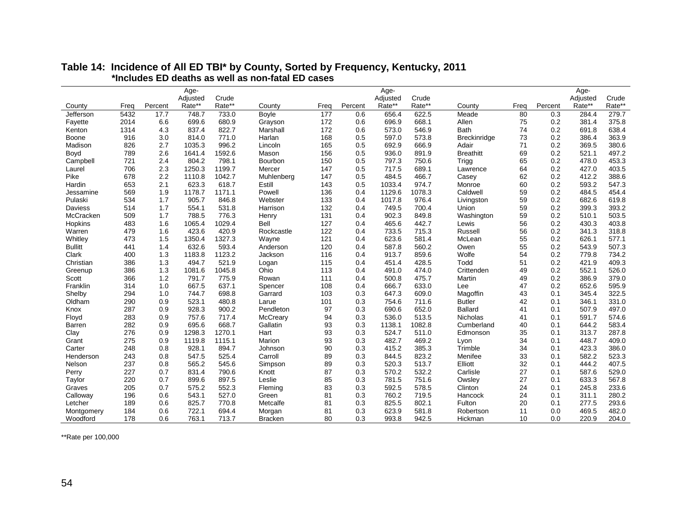|                |      |         | Age-     |        |                |                  |         | Age-     |        |                     |                 |         | Age-     |        |
|----------------|------|---------|----------|--------|----------------|------------------|---------|----------|--------|---------------------|-----------------|---------|----------|--------|
|                |      |         | Adjusted | Crude  |                |                  |         | Adjusted | Crude  |                     |                 |         | Adjusted | Crude  |
| County         | Frea | Percent | Rate**   | Rate** | County         | Frea             | Percent | Rate**   | Rate** | County              | Frea            | Percent | Rate**   | Rate** |
| Jefferson      | 5432 | 17.7    | 748.7    | 733.0  | Boyle          | $\overline{177}$ | 0.6     | 656.4    | 622.5  | Meade               | $\overline{80}$ | 0.3     | 284.4    | 279.7  |
| Fayette        | 2014 | 6.6     | 699.6    | 680.9  | Grayson        | 172              | 0.6     | 696.9    | 668.1  | Allen               | 75              | 0.2     | 381.4    | 375.8  |
| Kenton         | 1314 | 4.3     | 837.4    | 822.7  | Marshall       | 172              | 0.6     | 573.0    | 546.9  | <b>Bath</b>         | 74              | 0.2     | 691.8    | 638.4  |
| Boone          | 916  | 3.0     | 814.0    | 771.0  | Harlan         | 168              | 0.5     | 597.0    | 573.8  | <b>Breckinridge</b> | 73              | 0.2     | 386.4    | 363.9  |
| Madison        | 826  | 2.7     | 1035.3   | 996.2  | Lincoln        | 165              | 0.5     | 692.9    | 666.9  | Adair               | 71              | 0.2     | 369.5    | 380.6  |
| Boyd           | 789  | 2.6     | 1641.4   | 1592.6 | Mason          | 156              | 0.5     | 936.0    | 891.9  | <b>Breathitt</b>    | 69              | 0.2     | 521.1    | 497.2  |
| Campbell       | 721  | 2.4     | 804.2    | 798.1  | Bourbon        | 150              | 0.5     | 797.3    | 750.6  | Trigg               | 65              | 0.2     | 478.0    | 453.3  |
| Laurel         | 706  | 2.3     | 1250.3   | 1199.7 | Mercer         | 147              | 0.5     | 717.5    | 689.1  | Lawrence            | 64              | 0.2     | 427.0    | 403.5  |
| Pike           | 678  | 2.2     | 1110.8   | 1042.7 | Muhlenberg     | 147              | 0.5     | 484.5    | 466.7  | Casey               | 62              | 0.2     | 412.2    | 388.6  |
| Hardin         | 653  | 2.1     | 623.3    | 618.7  | Estill         | 143              | 0.5     | 1033.4   | 974.7  | Monroe              | 60              | 0.2     | 593.2    | 547.3  |
| Jessamine      | 569  | 1.9     | 1178.7   | 1171.1 | Powell         | 136              | 0.4     | 1129.6   | 1078.3 | Caldwell            | 59              | 0.2     | 484.5    | 454.4  |
| Pulaski        | 534  | 1.7     | 905.7    | 846.8  | Webster        | 133              | 0.4     | 1017.8   | 976.4  | Livingston          | 59              | 0.2     | 682.6    | 619.8  |
| <b>Daviess</b> | 514  | 1.7     | 554.1    | 531.8  | Harrison       | 132              | 0.4     | 749.5    | 700.4  | Union               | 59              | 0.2     | 399.3    | 393.2  |
| McCracken      | 509  | 1.7     | 788.5    | 776.3  | Henry          | 131              | 0.4     | 902.3    | 849.8  | Washington          | 59              | 0.2     | 510.1    | 503.5  |
| Hopkins        | 483  | 1.6     | 1065.4   | 1029.4 | Bell           | 127              | 0.4     | 465.6    | 442.7  | Lewis               | 56              | 0.2     | 430.3    | 403.8  |
| Warren         | 479  | 1.6     | 423.6    | 420.9  | Rockcastle     | 122              | 0.4     | 733.5    | 715.3  | <b>Russell</b>      | 56              | 0.2     | 341.3    | 318.8  |
| Whitley        | 473  | 1.5     | 1350.4   | 1327.3 | Wayne          | 121              | 0.4     | 623.6    | 581.4  | McLean              | 55              | 0.2     | 626.1    | 577.1  |
| <b>Bullitt</b> | 441  | 1.4     | 632.6    | 593.4  | Anderson       | 120              | 0.4     | 587.8    | 560.2  | Owen                | 55              | 0.2     | 543.9    | 507.3  |
| Clark          | 400  | 1.3     | 1183.8   | 1123.2 | Jackson        | 116              | 0.4     | 913.7    | 859.6  | Wolfe               | 54              | 0.2     | 779.8    | 734.2  |
| Christian      | 386  | 1.3     | 494.7    | 521.9  | Logan          | 115              | 0.4     | 451.4    | 428.5  | Todd                | 51              | 0.2     | 421.9    | 409.3  |
| Greenup        | 386  | 1.3     | 1081.6   | 1045.8 | Ohio           | 113              | 0.4     | 491.0    | 474.0  | Crittenden          | 49              | 0.2     | 552.1    | 526.0  |
| Scott          | 366  | 1.2     | 791.7    | 775.9  | Rowan          | 111              | 0.4     | 500.8    | 475.7  | Martin              | 49              | 0.2     | 386.9    | 379.0  |
| Franklin       | 314  | 1.0     | 667.5    | 637.1  | Spencer        | 108              | 0.4     | 666.7    | 633.0  | Lee                 | 47              | 0.2     | 652.6    | 595.9  |
| Shelby         | 294  | 1.0     | 744.7    | 698.8  | Garrard        | 103              | 0.3     | 647.3    | 609.0  | Magoffin            | 43              | 0.1     | 345.4    | 322.5  |
| Oldham         | 290  | 0.9     | 523.1    | 480.8  | Larue          | 101              | 0.3     | 754.6    | 711.6  | <b>Butler</b>       | 42              | 0.1     | 346.1    | 331.0  |
| Knox           | 287  | 0.9     | 928.3    | 900.2  | Pendleton      | 97               | 0.3     | 690.6    | 652.0  | <b>Ballard</b>      | 41              | 0.1     | 507.9    | 497.0  |
| Floyd          | 283  | 0.9     | 757.6    | 717.4  | McCreary       | 94               | 0.3     | 536.0    | 513.5  | Nicholas            | 41              | 0.1     | 591.7    | 574.6  |
| Barren         | 282  | 0.9     | 695.6    | 668.7  | Gallatin       | 93               | 0.3     | 1138.1   | 1082.8 | Cumberland          | 40              | 0.1     | 644.2    | 583.4  |
| Clay           | 276  | 0.9     | 1298.3   | 1270.1 | Hart           | 93               | 0.3     | 524.7    | 511.0  | Edmonson            | 35              | 0.1     | 313.7    | 287.8  |
| Grant          | 275  | 0.9     | 1119.8   | 1115.1 | Marion         | 93               | 0.3     | 482.7    | 469.2  | Lyon                | 34              | 0.1     | 448.7    | 409.0  |
| Carter         | 248  | 0.8     | 928.1    | 894.7  | Johnson        | 90               | 0.3     | 415.2    | 385.3  | Trimble             | 34              | 0.1     | 423.3    | 386.0  |
| Henderson      | 243  | 0.8     | 547.5    | 525.4  | Carroll        | 89               | 0.3     | 844.5    | 823.2  | Menifee             | 33              | 0.1     | 582.2    | 523.3  |
| Nelson         | 237  | 0.8     | 565.2    | 545.6  | Simpson        | 89               | 0.3     | 520.3    | 513.7  | Elliott             | 32              | 0.1     | 444.2    | 407.5  |
| Perry          | 227  | 0.7     | 831.4    | 790.6  | Knott          | 87               | 0.3     | 570.2    | 532.2  | Carlisle            | 27              | 0.1     | 587.6    | 529.0  |
| Taylor         | 220  | 0.7     | 899.6    | 897.5  | Leslie         | 85               | 0.3     | 781.5    | 751.6  | Owsley              | 27              | 0.1     | 633.3    | 567.8  |
| Graves         | 205  | 0.7     | 575.2    | 552.3  | Fleming        | 83               | 0.3     | 592.5    | 578.5  | Clinton             | 24              | 0.1     | 245.8    | 233.6  |
| Calloway       | 196  | 0.6     | 543.1    | 527.0  | Green          | 81               | 0.3     | 760.2    | 719.5  | Hancock             | 24              | 0.1     | 311.1    | 280.2  |
| Letcher        | 189  | 0.6     | 825.7    | 770.8  | Metcalfe       | 81               | 0.3     | 825.5    | 802.1  | Fulton              | 20              | 0.1     | 277.5    | 293.6  |
| Montgomery     | 184  | 0.6     | 722.1    | 694.4  | Morgan         | 81               | 0.3     | 623.9    | 581.8  | Robertson           | 11              | 0.0     | 469.5    | 482.0  |
| Woodford       | 178  | 0.6     | 763.1    | 713.7  | <b>Bracken</b> | 80               | 0.3     | 993.8    | 942.5  | Hickman             | 10              | 0.0     | 220.9    | 204.0  |

#### **Table 14: Incidence of All ED TBI\* by County, Sorted by Frequency, Kentucky, 2011 \*Includes ED deaths as well as non-fatal ED cases**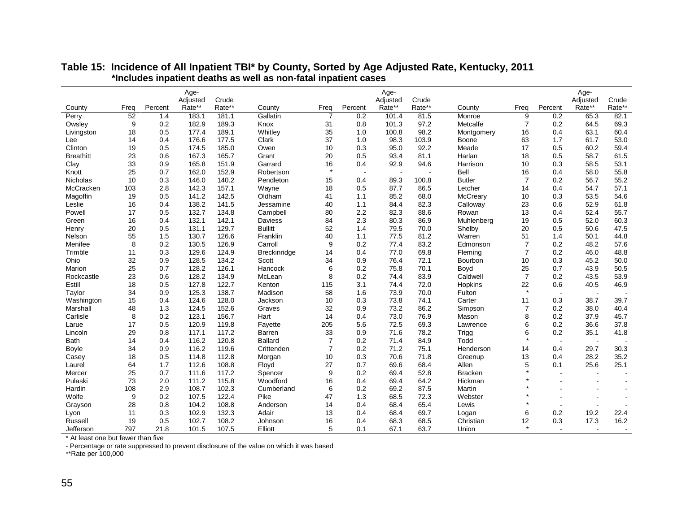|                  |                         |         | Age-     |        |                     |                |                          | Age-                     |        |                |                |         | Age-                     |                          |
|------------------|-------------------------|---------|----------|--------|---------------------|----------------|--------------------------|--------------------------|--------|----------------|----------------|---------|--------------------------|--------------------------|
|                  |                         |         | Adjusted | Crude  |                     |                |                          | Adjusted                 | Crude  |                |                |         | Adjusted                 | Crude                    |
| County           | Freq<br>$\overline{52}$ | Percent | Rate**   | Rate** | County              | Freq           | Percent                  | Rate**                   | Rate** | County         | Freq           | Percent | Rate**                   | Rate**<br>82.1           |
| Perry            |                         | 1.4     | 183.1    | 181.1  | Gallatin            | $\overline{7}$ | 0.2                      | 101.4                    | 81.5   | Monroe         | 9              | 0.2     | 65.3                     |                          |
| Owsley           | 9                       | 0.2     | 182.9    | 189.3  | Knox                | 31             | 0.8                      | 101.3                    | 97.2   | Metcalfe       | 7              | 0.2     | 64.5                     | 69.3                     |
| Livingston       | 18                      | 0.5     | 177.4    | 189.1  | Whitley             | 35             | 1.0                      | 100.8                    | 98.2   | Montgomery     | 16             | 0.4     | 63.1                     | 60.4                     |
| Lee              | 14                      | 0.4     | 176.6    | 177.5  | Clark               | 37             | 1.0                      | 98.3                     | 103.9  | Boone          | 63             | 1.7     | 61.7                     | 53.0                     |
| Clinton          | 19                      | 0.5     | 174.5    | 185.0  | Owen                | 10             | 0.3                      | 95.0                     | 92.2   | Meade          | 17             | 0.5     | 60.2                     | 59.4                     |
| <b>Breathitt</b> | 23                      | 0.6     | 167.3    | 165.7  | Grant               | 20             | 0.5                      | 93.4                     | 81.1   | Harlan         | 18             | 0.5     | 58.7                     | 61.5                     |
| Clay             | 33                      | 0.9     | 165.8    | 151.9  | Garrard             | 16<br>$\star$  | 0.4                      | 92.9                     | 94.6   | Harrison       | 10             | 0.3     | 58.5                     | 53.1                     |
| Knott            | 25                      | 0.7     | 162.0    | 152.9  | Robertson           |                | $\overline{\phantom{a}}$ | $\overline{\phantom{a}}$ |        | Bell           | 16             | 0.4     | 58.0                     | 55.8                     |
| Nicholas         | 10                      | 0.3     | 146.0    | 140.2  | Pendleton           | 15             | 0.4                      | 89.3                     | 100.8  | <b>Butler</b>  | $\overline{7}$ | 0.2     | 56.7                     | 55.2                     |
| McCracken        | 103                     | 2.8     | 142.3    | 157.1  | Wayne               | 18             | 0.5                      | 87.7                     | 86.5   | Letcher        | 14             | 0.4     | 54.7                     | 57.1                     |
| Magoffin         | 19                      | 0.5     | 141.2    | 142.5  | Oldham              | 41             | 1.1                      | 85.2                     | 68.0   | McCreary       | 10             | 0.3     | 53.5                     | 54.6                     |
| Leslie           | 16                      | 0.4     | 138.2    | 141.5  | Jessamine           | 40             | 1.1                      | 84.4                     | 82.3   | Calloway       | 23             | 0.6     | 52.9                     | 61.8                     |
| Powell           | 17                      | 0.5     | 132.7    | 134.8  | Campbell            | 80             | 2.2                      | 82.3                     | 88.6   | Rowan          | 13             | 0.4     | 52.4                     | 55.7                     |
| Green            | 16                      | 0.4     | 132.1    | 142.1  | Daviess             | 84             | 2.3                      | 80.3                     | 86.9   | Muhlenberg     | 19             | 0.5     | 52.0                     | 60.3                     |
| Henry            | 20                      | 0.5     | 131.1    | 129.7  | <b>Bullitt</b>      | 52             | 1.4                      | 79.5                     | 70.0   | Shelby         | 20             | 0.5     | 50.6                     | 47.5                     |
| Nelson           | 55                      | 1.5     | 130.7    | 126.6  | Franklin            | 40             | 1.1                      | 77.5                     | 81.2   | Warren         | 51             | 1.4     | 50.1                     | 44.8                     |
| Menifee          | 8                       | 0.2     | 130.5    | 126.9  | Carroll             | 9              | 0.2                      | 77.4                     | 83.2   | Edmonson       | $\overline{7}$ | 0.2     | 48.2                     | 57.6                     |
| Trimble          | 11                      | 0.3     | 129.6    | 124.9  | <b>Breckinridge</b> | 14             | 0.4                      | 77.0                     | 69.8   | Fleming        | $\overline{7}$ | 0.2     | 46.0                     | 48.8                     |
| Ohio             | 32                      | 0.9     | 128.5    | 134.2  | Scott               | 34             | 0.9                      | 76.4                     | 72.1   | Bourbon        | 10             | 0.3     | 45.2                     | 50.0                     |
| Marion           | 25                      | 0.7     | 128.2    | 126.1  | Hancock             | 6              | 0.2                      | 75.8                     | 70.1   | Boyd           | 25             | 0.7     | 43.9                     | 50.5                     |
| Rockcastle       | 23                      | 0.6     | 128.2    | 134.9  | McLean              | 8              | 0.2                      | 74.4                     | 83.9   | Caldwell       | $\overline{7}$ | 0.2     | 43.5                     | 53.9                     |
| Estill           | 18                      | 0.5     | 127.8    | 122.7  | Kenton              | 115            | 3.1                      | 74.4                     | 72.0   | Hopkins        | 22             | 0.6     | 40.5                     | 46.9                     |
| Taylor           | 34                      | 0.9     | 125.3    | 138.7  | Madison             | 58             | 1.6                      | 73.9                     | 70.0   | Fulton         | $\star$        | $\sim$  | $\overline{\phantom{a}}$ |                          |
| Washington       | 15                      | 0.4     | 124.6    | 128.0  | Jackson             | 10             | 0.3                      | 73.8                     | 74.1   | Carter         | 11             | 0.3     | 38.7                     | 39.7                     |
| Marshall         | 48                      | 1.3     | 124.5    | 152.6  | Graves              | 32             | 0.9                      | 73.2                     | 86.2   | Simpson        | $\overline{7}$ | 0.2     | 38.0                     | 40.4                     |
| Carlisle         | 8                       | 0.2     | 123.1    | 156.7  | Hart                | 14             | 0.4                      | 73.0                     | 76.9   | Mason          | 8              | 0.2     | 37.9                     | 45.7                     |
| Larue            | 17                      | 0.5     | 120.9    | 119.8  | Fayette             | 205            | 5.6                      | 72.5                     | 69.3   | Lawrence       | 6              | 0.2     | 36.6                     | 37.8                     |
| Lincoln          | 29                      | 0.8     | 117.1    | 117.2  | Barren              | 33             | 0.9                      | 71.6                     | 78.2   | Trigg          | 6              | 0.2     | 35.1                     | 41.8                     |
| <b>Bath</b>      | 14                      | 0.4     | 116.2    | 120.8  | <b>Ballard</b>      | $\overline{7}$ | 0.2                      | 71.4                     | 84.9   | Todd           | $\star$        | $\sim$  | $\overline{\phantom{a}}$ |                          |
| Boyle            | 34                      | 0.9     | 116.2    | 119.6  | Crittenden          | $\overline{7}$ | 0.2                      | 71.2                     | 75.1   | Henderson      | 14             | 0.4     | 29.7                     | 30.3                     |
| Casey            | 18                      | 0.5     | 114.8    | 112.8  | Morgan              | 10             | 0.3                      | 70.6                     | 71.8   | Greenup        | 13             | 0.4     | 28.2                     | 35.2                     |
| Laurel           | 64                      | 1.7     | 112.6    | 108.8  | Floyd               | 27             | 0.7                      | 69.6                     | 68.4   | Allen          | 5              | 0.1     | 25.6                     | 25.1                     |
| Mercer           | 25                      | 0.7     | 111.6    | 117.2  | Spencer             | 9              | 0.2                      | 69.4                     | 52.8   | <b>Bracken</b> |                |         |                          | $\overline{\phantom{a}}$ |
| Pulaski          | 73                      | 2.0     | 111.2    | 115.8  | Woodford            | 16             | 0.4                      | 69.4                     | 64.2   | Hickman        |                |         |                          |                          |
| Hardin           | 108                     | 2.9     | 108.7    | 102.3  | Cumberland          | 6              | 0.2                      | 69.2                     | 87.5   | Martin         |                |         |                          |                          |
| Wolfe            | 9                       | 0.2     | 107.5    | 122.4  | Pike                | 47             | 1.3                      | 68.5                     | 72.3   | Webster        |                |         |                          |                          |
| Grayson          | 28                      | 0.8     | 104.2    | 108.8  | Anderson            | 14             | 0.4                      | 68.4                     | 65.4   | Lewis          |                |         | $\sim$                   |                          |
| Lyon             | 11                      | 0.3     | 102.9    | 132.3  | Adair               | 13             | 0.4                      | 68.4                     | 69.7   | Logan          | 6              | 0.2     | 19.2                     | 22.4                     |
| Russell          | 19                      | 0.5     | 102.7    | 108.2  | Johnson             | 16             | 0.4                      | 68.3                     | 68.5   | Christian      | 12             | 0.3     | 17.3                     | 16.2                     |
| Jefferson        | 797                     | 21.8    | 101.5    | 107.5  | Elliott             | 5              | 0.1                      | 67.1                     | 63.7   | Union          | $\star$        |         | $\overline{\phantom{a}}$ |                          |

#### **Table 15: Incidence of All Inpatient TBI\* by County, Sorted by Age Adjusted Rate, Kentucky, 2011 \*Includes inpatient deaths as well as non-fatal inpatient cases**

\* At least one but fewer than five

- Percentage or rate suppressed to prevent disclosure of the value on which it was based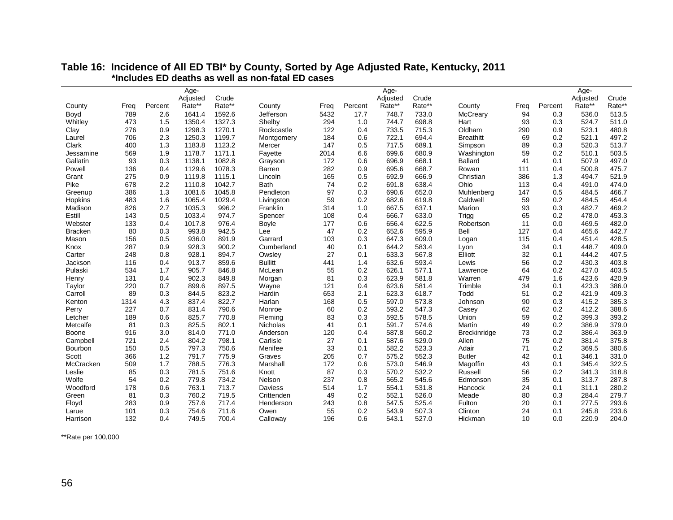| Age-<br>Age-<br>Age-<br>Crude<br>Crude<br>Crude<br>Adjusted<br>Adjusted<br>Adjusted<br>Frea<br>Percent<br>Rate**<br>Rate**<br>Percent<br>Rate**<br>Rate**<br>Frea<br>Percent<br>Rate**<br>Rate**<br>County<br>Frea<br>County<br>County<br>Boyd<br>789<br>2.6<br>1641.4<br>1592.6<br>Jefferson<br>5432<br>17.7<br>748.7<br>733.0<br>McCreary<br>94<br>0.3<br>536.0<br>513.5<br>Whitley<br>473<br>1.5<br>1350.4<br>1327.3<br>Shelby<br>294<br>1.0<br>744.7<br>698.8<br>0.3<br>524.7<br>511.0<br>Hart<br>93<br>1270.1<br>523.1<br>480.8<br>276<br>0.9<br>1298.3<br>Rockcastle<br>122<br>0.4<br>733.5<br>715.3<br>Oldham<br>290<br>0.9<br>Clay<br>2.3<br>694.4<br>0.2<br>521.1<br>497.2<br>706<br>1250.3<br>1199.7<br>184<br>0.6<br>722.1<br><b>Breathitt</b><br>69<br>Laurel<br>Montgomery<br>1.3<br>147<br>689.1<br>0.3<br>520.3<br>513.7<br>Clark<br>400<br>1183.8<br>1123.2<br>0.5<br>717.5<br>Simpson<br>89<br>Mercer<br>503.5<br>569<br>1.9<br>1178.7<br>1171.1<br>699.6<br>680.9<br>510.1<br>Fayette<br>2014<br>6.6<br>Washington<br>59<br>0.2<br>Jessamine<br>Gallatin<br>93<br>0.3<br>668.1<br>497.0<br>1138.1<br>1082.8<br>172<br>0.6<br>696.9<br><b>Ballard</b><br>41<br>0.1<br>507.9<br>Grayson<br>475.7<br>Powell<br>136<br>0.4<br>1129.6<br>1078.3<br>282<br>0.9<br>695.6<br>668.7<br>Rowan<br>111<br>0.4<br>500.8<br>Barren<br>521.9<br>275<br>0.9<br>1115.1<br>165<br>0.5<br>692.9<br>666.9<br>386<br>1.3<br>Grant<br>1119.8<br>Christian<br>494.7<br>Lincoln<br>Pike<br>2.2<br>0.2<br>638.4<br>Ohio<br>491.0<br>474.0<br>678<br>1110.8<br>1042.7<br><b>Bath</b><br>74<br>691.8<br>113<br>0.4<br>466.7<br>386<br>1.3<br>1081.6<br>1045.8<br>Pendleton<br>97<br>0.3<br>690.6<br>652.0<br>Muhlenberg<br>0.5<br>484.5<br>147<br>Greenup<br>1.6<br>483<br>1029.4<br>59<br>0.2<br>682.6<br>619.8<br>59<br>0.2<br>484.5<br>454.4<br>Hopkins<br>1065.4<br>Livingston<br>Caldwell<br>996.2<br>469.2<br>Madison<br>826<br>2.7<br>1035.3<br>Franklin<br>314<br>1.0<br>667.5<br>637.1<br>Marion<br>93<br>0.3<br>482.7<br>0.5<br>974.7<br>666.7<br>633.0<br>65<br>0.2<br>478.0<br>453.3<br>Estill<br>143<br>1033.4<br>108<br>0.4<br>Spencer<br>Trigg<br>482.0<br>133<br>0.4<br>1017.8<br>976.4<br>0.6<br>656.4<br>622.5<br>0.0<br>469.5<br>Webster<br>177<br>Robertson<br>11<br>Boyle<br>80<br>0.3<br>993.8<br>942.5<br>47<br>0.2<br>652.6<br>595.9<br>Bell<br>127<br>465.6<br>442.7<br><b>Bracken</b><br>Lee<br>0.4<br>428.5<br>156<br>0.5<br>936.0<br>891.9<br>Garrard<br>103<br>0.3<br>647.3<br>609.0<br>115<br>451.4<br>Mason<br>0.4<br>Logan |
|---------------------------------------------------------------------------------------------------------------------------------------------------------------------------------------------------------------------------------------------------------------------------------------------------------------------------------------------------------------------------------------------------------------------------------------------------------------------------------------------------------------------------------------------------------------------------------------------------------------------------------------------------------------------------------------------------------------------------------------------------------------------------------------------------------------------------------------------------------------------------------------------------------------------------------------------------------------------------------------------------------------------------------------------------------------------------------------------------------------------------------------------------------------------------------------------------------------------------------------------------------------------------------------------------------------------------------------------------------------------------------------------------------------------------------------------------------------------------------------------------------------------------------------------------------------------------------------------------------------------------------------------------------------------------------------------------------------------------------------------------------------------------------------------------------------------------------------------------------------------------------------------------------------------------------------------------------------------------------------------------------------------------------------------------------------------------------------------------------------------------------------------------------------------------------------------------------------------------------------------------------------------------------------------------------------------------------------------------------------------------------------------------------------------------------------------------------------------------------------------------------------------------------------------------|
|                                                                                                                                                                                                                                                                                                                                                                                                                                                                                                                                                                                                                                                                                                                                                                                                                                                                                                                                                                                                                                                                                                                                                                                                                                                                                                                                                                                                                                                                                                                                                                                                                                                                                                                                                                                                                                                                                                                                                                                                                                                                                                                                                                                                                                                                                                                                                                                                                                                                                                                                                   |
|                                                                                                                                                                                                                                                                                                                                                                                                                                                                                                                                                                                                                                                                                                                                                                                                                                                                                                                                                                                                                                                                                                                                                                                                                                                                                                                                                                                                                                                                                                                                                                                                                                                                                                                                                                                                                                                                                                                                                                                                                                                                                                                                                                                                                                                                                                                                                                                                                                                                                                                                                   |
|                                                                                                                                                                                                                                                                                                                                                                                                                                                                                                                                                                                                                                                                                                                                                                                                                                                                                                                                                                                                                                                                                                                                                                                                                                                                                                                                                                                                                                                                                                                                                                                                                                                                                                                                                                                                                                                                                                                                                                                                                                                                                                                                                                                                                                                                                                                                                                                                                                                                                                                                                   |
|                                                                                                                                                                                                                                                                                                                                                                                                                                                                                                                                                                                                                                                                                                                                                                                                                                                                                                                                                                                                                                                                                                                                                                                                                                                                                                                                                                                                                                                                                                                                                                                                                                                                                                                                                                                                                                                                                                                                                                                                                                                                                                                                                                                                                                                                                                                                                                                                                                                                                                                                                   |
|                                                                                                                                                                                                                                                                                                                                                                                                                                                                                                                                                                                                                                                                                                                                                                                                                                                                                                                                                                                                                                                                                                                                                                                                                                                                                                                                                                                                                                                                                                                                                                                                                                                                                                                                                                                                                                                                                                                                                                                                                                                                                                                                                                                                                                                                                                                                                                                                                                                                                                                                                   |
|                                                                                                                                                                                                                                                                                                                                                                                                                                                                                                                                                                                                                                                                                                                                                                                                                                                                                                                                                                                                                                                                                                                                                                                                                                                                                                                                                                                                                                                                                                                                                                                                                                                                                                                                                                                                                                                                                                                                                                                                                                                                                                                                                                                                                                                                                                                                                                                                                                                                                                                                                   |
|                                                                                                                                                                                                                                                                                                                                                                                                                                                                                                                                                                                                                                                                                                                                                                                                                                                                                                                                                                                                                                                                                                                                                                                                                                                                                                                                                                                                                                                                                                                                                                                                                                                                                                                                                                                                                                                                                                                                                                                                                                                                                                                                                                                                                                                                                                                                                                                                                                                                                                                                                   |
|                                                                                                                                                                                                                                                                                                                                                                                                                                                                                                                                                                                                                                                                                                                                                                                                                                                                                                                                                                                                                                                                                                                                                                                                                                                                                                                                                                                                                                                                                                                                                                                                                                                                                                                                                                                                                                                                                                                                                                                                                                                                                                                                                                                                                                                                                                                                                                                                                                                                                                                                                   |
|                                                                                                                                                                                                                                                                                                                                                                                                                                                                                                                                                                                                                                                                                                                                                                                                                                                                                                                                                                                                                                                                                                                                                                                                                                                                                                                                                                                                                                                                                                                                                                                                                                                                                                                                                                                                                                                                                                                                                                                                                                                                                                                                                                                                                                                                                                                                                                                                                                                                                                                                                   |
|                                                                                                                                                                                                                                                                                                                                                                                                                                                                                                                                                                                                                                                                                                                                                                                                                                                                                                                                                                                                                                                                                                                                                                                                                                                                                                                                                                                                                                                                                                                                                                                                                                                                                                                                                                                                                                                                                                                                                                                                                                                                                                                                                                                                                                                                                                                                                                                                                                                                                                                                                   |
|                                                                                                                                                                                                                                                                                                                                                                                                                                                                                                                                                                                                                                                                                                                                                                                                                                                                                                                                                                                                                                                                                                                                                                                                                                                                                                                                                                                                                                                                                                                                                                                                                                                                                                                                                                                                                                                                                                                                                                                                                                                                                                                                                                                                                                                                                                                                                                                                                                                                                                                                                   |
|                                                                                                                                                                                                                                                                                                                                                                                                                                                                                                                                                                                                                                                                                                                                                                                                                                                                                                                                                                                                                                                                                                                                                                                                                                                                                                                                                                                                                                                                                                                                                                                                                                                                                                                                                                                                                                                                                                                                                                                                                                                                                                                                                                                                                                                                                                                                                                                                                                                                                                                                                   |
|                                                                                                                                                                                                                                                                                                                                                                                                                                                                                                                                                                                                                                                                                                                                                                                                                                                                                                                                                                                                                                                                                                                                                                                                                                                                                                                                                                                                                                                                                                                                                                                                                                                                                                                                                                                                                                                                                                                                                                                                                                                                                                                                                                                                                                                                                                                                                                                                                                                                                                                                                   |
|                                                                                                                                                                                                                                                                                                                                                                                                                                                                                                                                                                                                                                                                                                                                                                                                                                                                                                                                                                                                                                                                                                                                                                                                                                                                                                                                                                                                                                                                                                                                                                                                                                                                                                                                                                                                                                                                                                                                                                                                                                                                                                                                                                                                                                                                                                                                                                                                                                                                                                                                                   |
|                                                                                                                                                                                                                                                                                                                                                                                                                                                                                                                                                                                                                                                                                                                                                                                                                                                                                                                                                                                                                                                                                                                                                                                                                                                                                                                                                                                                                                                                                                                                                                                                                                                                                                                                                                                                                                                                                                                                                                                                                                                                                                                                                                                                                                                                                                                                                                                                                                                                                                                                                   |
|                                                                                                                                                                                                                                                                                                                                                                                                                                                                                                                                                                                                                                                                                                                                                                                                                                                                                                                                                                                                                                                                                                                                                                                                                                                                                                                                                                                                                                                                                                                                                                                                                                                                                                                                                                                                                                                                                                                                                                                                                                                                                                                                                                                                                                                                                                                                                                                                                                                                                                                                                   |
|                                                                                                                                                                                                                                                                                                                                                                                                                                                                                                                                                                                                                                                                                                                                                                                                                                                                                                                                                                                                                                                                                                                                                                                                                                                                                                                                                                                                                                                                                                                                                                                                                                                                                                                                                                                                                                                                                                                                                                                                                                                                                                                                                                                                                                                                                                                                                                                                                                                                                                                                                   |
|                                                                                                                                                                                                                                                                                                                                                                                                                                                                                                                                                                                                                                                                                                                                                                                                                                                                                                                                                                                                                                                                                                                                                                                                                                                                                                                                                                                                                                                                                                                                                                                                                                                                                                                                                                                                                                                                                                                                                                                                                                                                                                                                                                                                                                                                                                                                                                                                                                                                                                                                                   |
|                                                                                                                                                                                                                                                                                                                                                                                                                                                                                                                                                                                                                                                                                                                                                                                                                                                                                                                                                                                                                                                                                                                                                                                                                                                                                                                                                                                                                                                                                                                                                                                                                                                                                                                                                                                                                                                                                                                                                                                                                                                                                                                                                                                                                                                                                                                                                                                                                                                                                                                                                   |
| 583.4<br>409.0<br>287<br>0.9<br>928.3<br>900.2<br>Cumberland<br>40<br>644.2<br>34<br>0.1<br>448.7<br>Knox<br>0.1<br>Lyon                                                                                                                                                                                                                                                                                                                                                                                                                                                                                                                                                                                                                                                                                                                                                                                                                                                                                                                                                                                                                                                                                                                                                                                                                                                                                                                                                                                                                                                                                                                                                                                                                                                                                                                                                                                                                                                                                                                                                                                                                                                                                                                                                                                                                                                                                                                                                                                                                          |
| 248<br>27<br>633.3<br>567.8<br>Elliott<br>32<br>444.2<br>407.5<br>Carter<br>0.8<br>928.1<br>894.7<br>Owsley<br>0.1<br>0.1                                                                                                                                                                                                                                                                                                                                                                                                                                                                                                                                                                                                                                                                                                                                                                                                                                                                                                                                                                                                                                                                                                                                                                                                                                                                                                                                                                                                                                                                                                                                                                                                                                                                                                                                                                                                                                                                                                                                                                                                                                                                                                                                                                                                                                                                                                                                                                                                                         |
| 403.8<br>913.7<br>859.6<br><b>Bullitt</b><br>632.6<br>593.4<br>56<br>0.2<br>430.3<br>Jackson<br>116<br>0.4<br>441<br>1.4<br>Lewis                                                                                                                                                                                                                                                                                                                                                                                                                                                                                                                                                                                                                                                                                                                                                                                                                                                                                                                                                                                                                                                                                                                                                                                                                                                                                                                                                                                                                                                                                                                                                                                                                                                                                                                                                                                                                                                                                                                                                                                                                                                                                                                                                                                                                                                                                                                                                                                                                 |
| 403.5<br>Pulaski<br>534<br>1.7<br>905.7<br>846.8<br>McLean<br>55<br>0.2<br>626.1<br>577.1<br>64<br>0.2<br>427.0<br>Lawrence                                                                                                                                                                                                                                                                                                                                                                                                                                                                                                                                                                                                                                                                                                                                                                                                                                                                                                                                                                                                                                                                                                                                                                                                                                                                                                                                                                                                                                                                                                                                                                                                                                                                                                                                                                                                                                                                                                                                                                                                                                                                                                                                                                                                                                                                                                                                                                                                                       |
| 902.3<br>849.8<br>0.3<br>623.9<br>581.8<br>1.6<br>423.6<br>420.9<br>131<br>0.4<br>81<br>Warren<br>479<br>Henry<br>Morgan                                                                                                                                                                                                                                                                                                                                                                                                                                                                                                                                                                                                                                                                                                                                                                                                                                                                                                                                                                                                                                                                                                                                                                                                                                                                                                                                                                                                                                                                                                                                                                                                                                                                                                                                                                                                                                                                                                                                                                                                                                                                                                                                                                                                                                                                                                                                                                                                                          |
| 220<br>897.5<br>581.4<br>423.3<br>386.0<br>Taylor<br>0.7<br>899.6<br>Wayne<br>121<br>0.4<br>623.6<br>Trimble<br>34<br>0.1                                                                                                                                                                                                                                                                                                                                                                                                                                                                                                                                                                                                                                                                                                                                                                                                                                                                                                                                                                                                                                                                                                                                                                                                                                                                                                                                                                                                                                                                                                                                                                                                                                                                                                                                                                                                                                                                                                                                                                                                                                                                                                                                                                                                                                                                                                                                                                                                                         |
| 89<br>0.3<br>823.2<br>Todd<br>421.9<br>409.3<br>Carroll<br>844.5<br>Hardin<br>653<br>2.1<br>623.3<br>618.7<br>51<br>0.2                                                                                                                                                                                                                                                                                                                                                                                                                                                                                                                                                                                                                                                                                                                                                                                                                                                                                                                                                                                                                                                                                                                                                                                                                                                                                                                                                                                                                                                                                                                                                                                                                                                                                                                                                                                                                                                                                                                                                                                                                                                                                                                                                                                                                                                                                                                                                                                                                           |
| 822.7<br>573.8<br>385.3<br>4.3<br>837.4<br>Harlan<br>168<br>0.5<br>597.0<br>Johnson<br>90<br>0.3<br>415.2<br>Kenton<br>1314                                                                                                                                                                                                                                                                                                                                                                                                                                                                                                                                                                                                                                                                                                                                                                                                                                                                                                                                                                                                                                                                                                                                                                                                                                                                                                                                                                                                                                                                                                                                                                                                                                                                                                                                                                                                                                                                                                                                                                                                                                                                                                                                                                                                                                                                                                                                                                                                                       |
| 0.2<br>547.3<br>0.2<br>412.2<br>388.6<br>227<br>0.7<br>831.4<br>790.6<br>60<br>593.2<br>Casey<br>62<br>Perry<br>Monroe                                                                                                                                                                                                                                                                                                                                                                                                                                                                                                                                                                                                                                                                                                                                                                                                                                                                                                                                                                                                                                                                                                                                                                                                                                                                                                                                                                                                                                                                                                                                                                                                                                                                                                                                                                                                                                                                                                                                                                                                                                                                                                                                                                                                                                                                                                                                                                                                                            |
| 770.8<br>578.5<br>399.3<br>393.2<br>189<br>0.6<br>825.7<br>83<br>0.3<br>592.5<br>Union<br>59<br>0.2<br>Letcher<br>Fleming                                                                                                                                                                                                                                                                                                                                                                                                                                                                                                                                                                                                                                                                                                                                                                                                                                                                                                                                                                                                                                                                                                                                                                                                                                                                                                                                                                                                                                                                                                                                                                                                                                                                                                                                                                                                                                                                                                                                                                                                                                                                                                                                                                                                                                                                                                                                                                                                                         |
| 379.0<br>81<br>0.3<br>825.5<br>802.1<br>591.7<br>574.6<br>49<br>0.2<br>386.9<br>Metcalfe<br>Nicholas<br>41<br>0.1<br>Martin                                                                                                                                                                                                                                                                                                                                                                                                                                                                                                                                                                                                                                                                                                                                                                                                                                                                                                                                                                                                                                                                                                                                                                                                                                                                                                                                                                                                                                                                                                                                                                                                                                                                                                                                                                                                                                                                                                                                                                                                                                                                                                                                                                                                                                                                                                                                                                                                                       |
| 363.9<br>916<br>3.0<br>771.0<br>560.2<br>73<br>0.2<br>386.4<br>Boone<br>814.0<br>Anderson<br>120<br>0.4<br>587.8<br>Breckinridge                                                                                                                                                                                                                                                                                                                                                                                                                                                                                                                                                                                                                                                                                                                                                                                                                                                                                                                                                                                                                                                                                                                                                                                                                                                                                                                                                                                                                                                                                                                                                                                                                                                                                                                                                                                                                                                                                                                                                                                                                                                                                                                                                                                                                                                                                                                                                                                                                  |
| 804.2<br>798.1<br>529.0<br>375.8<br>721<br>2.4<br>Carlisle<br>27<br>587.6<br>Allen<br>75<br>0.2<br>381.4<br>Campbell<br>0.1                                                                                                                                                                                                                                                                                                                                                                                                                                                                                                                                                                                                                                                                                                                                                                                                                                                                                                                                                                                                                                                                                                                                                                                                                                                                                                                                                                                                                                                                                                                                                                                                                                                                                                                                                                                                                                                                                                                                                                                                                                                                                                                                                                                                                                                                                                                                                                                                                       |
| 0.5<br>797.3<br>750.6<br>33<br>582.2<br>523.3<br>71<br>0.2<br>369.5<br>380.6<br>Bourbon<br>150<br>Menifee<br>0.1<br>Adair                                                                                                                                                                                                                                                                                                                                                                                                                                                                                                                                                                                                                                                                                                                                                                                                                                                                                                                                                                                                                                                                                                                                                                                                                                                                                                                                                                                                                                                                                                                                                                                                                                                                                                                                                                                                                                                                                                                                                                                                                                                                                                                                                                                                                                                                                                                                                                                                                         |
| 366<br>1.2<br>791.7<br>775.9<br>0.7<br>575.2<br>552.3<br><b>Butler</b><br>42<br>346.1<br>331.0<br>Scott<br>Graves<br>205<br>0.1                                                                                                                                                                                                                                                                                                                                                                                                                                                                                                                                                                                                                                                                                                                                                                                                                                                                                                                                                                                                                                                                                                                                                                                                                                                                                                                                                                                                                                                                                                                                                                                                                                                                                                                                                                                                                                                                                                                                                                                                                                                                                                                                                                                                                                                                                                                                                                                                                   |
| McCracken<br>509<br>1.7<br>788.5<br>776.3<br>Marshall<br>172<br>573.0<br>546.9<br>Magoffin<br>43<br>345.4<br>322.5<br>0.6<br>0.1                                                                                                                                                                                                                                                                                                                                                                                                                                                                                                                                                                                                                                                                                                                                                                                                                                                                                                                                                                                                                                                                                                                                                                                                                                                                                                                                                                                                                                                                                                                                                                                                                                                                                                                                                                                                                                                                                                                                                                                                                                                                                                                                                                                                                                                                                                                                                                                                                  |
| 751.6<br>85<br>0.3<br>781.5<br>87<br>0.3<br>570.2<br>532.2<br>56<br>0.2<br>341.3<br>318.8<br>Leslie<br>Knott<br>Russell                                                                                                                                                                                                                                                                                                                                                                                                                                                                                                                                                                                                                                                                                                                                                                                                                                                                                                                                                                                                                                                                                                                                                                                                                                                                                                                                                                                                                                                                                                                                                                                                                                                                                                                                                                                                                                                                                                                                                                                                                                                                                                                                                                                                                                                                                                                                                                                                                           |
| Wolfe<br>545.6<br>35<br>287.8<br>54<br>0.2<br>779.8<br>734.2<br>Nelson<br>237<br>0.8<br>565.2<br>Edmonson<br>313.7<br>0.1                                                                                                                                                                                                                                                                                                                                                                                                                                                                                                                                                                                                                                                                                                                                                                                                                                                                                                                                                                                                                                                                                                                                                                                                                                                                                                                                                                                                                                                                                                                                                                                                                                                                                                                                                                                                                                                                                                                                                                                                                                                                                                                                                                                                                                                                                                                                                                                                                         |
| 178<br>0.6<br>713.7<br>1.7<br>531.8<br>280.2<br>Woodford<br>763.1<br><b>Daviess</b><br>514<br>554.1<br>Hancock<br>24<br>0.1<br>311.1                                                                                                                                                                                                                                                                                                                                                                                                                                                                                                                                                                                                                                                                                                                                                                                                                                                                                                                                                                                                                                                                                                                                                                                                                                                                                                                                                                                                                                                                                                                                                                                                                                                                                                                                                                                                                                                                                                                                                                                                                                                                                                                                                                                                                                                                                                                                                                                                              |
| 0.3<br>760.2<br>719.5<br>Crittenden<br>49<br>0.2<br>552.1<br>526.0<br>80<br>0.3<br>284.4<br>279.7<br>Green<br>81<br>Meade                                                                                                                                                                                                                                                                                                                                                                                                                                                                                                                                                                                                                                                                                                                                                                                                                                                                                                                                                                                                                                                                                                                                                                                                                                                                                                                                                                                                                                                                                                                                                                                                                                                                                                                                                                                                                                                                                                                                                                                                                                                                                                                                                                                                                                                                                                                                                                                                                         |
| 293.6<br>283<br>0.9<br>717.4<br>243<br>0.8<br>547.5<br>525.4<br>Fulton<br>20<br>277.5<br>Floyd<br>757.6<br>Henderson<br>0.1                                                                                                                                                                                                                                                                                                                                                                                                                                                                                                                                                                                                                                                                                                                                                                                                                                                                                                                                                                                                                                                                                                                                                                                                                                                                                                                                                                                                                                                                                                                                                                                                                                                                                                                                                                                                                                                                                                                                                                                                                                                                                                                                                                                                                                                                                                                                                                                                                       |
| 0.3<br>233.6<br>101<br>754.6<br>711.6<br>55<br>0.2<br>543.9<br>507.3<br>Clinton<br>24<br>245.8<br>Owen<br>0.1<br>Larue                                                                                                                                                                                                                                                                                                                                                                                                                                                                                                                                                                                                                                                                                                                                                                                                                                                                                                                                                                                                                                                                                                                                                                                                                                                                                                                                                                                                                                                                                                                                                                                                                                                                                                                                                                                                                                                                                                                                                                                                                                                                                                                                                                                                                                                                                                                                                                                                                            |
| 132<br>0.4<br>749.5<br>700.4<br>196<br>0.6<br>543.1<br>527.0<br>10<br>220.9<br>204.0<br>Harrison<br>Calloway<br>Hickman<br>0.0                                                                                                                                                                                                                                                                                                                                                                                                                                                                                                                                                                                                                                                                                                                                                                                                                                                                                                                                                                                                                                                                                                                                                                                                                                                                                                                                                                                                                                                                                                                                                                                                                                                                                                                                                                                                                                                                                                                                                                                                                                                                                                                                                                                                                                                                                                                                                                                                                    |

#### **Table 16: Incidence of All ED TBI\* by County, Sorted by Age Adjusted Rate, Kentucky, 2011 \*Includes ED deaths as well as non-fatal ED cases**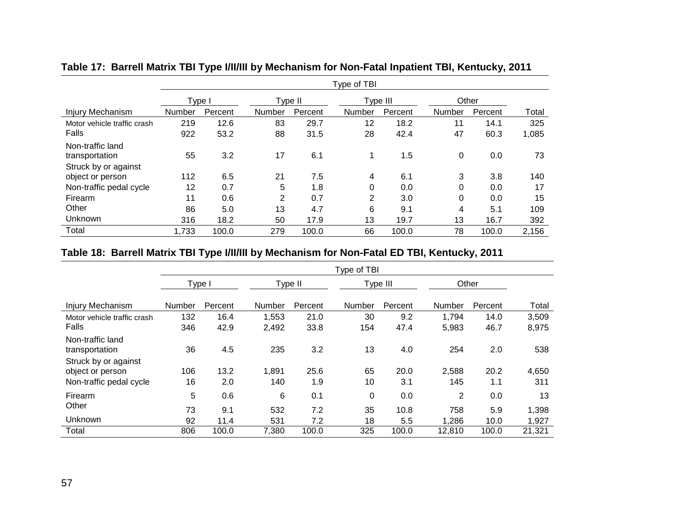|                                          | Type of TBI |         |        |         |                |          |        |         |       |  |
|------------------------------------------|-------------|---------|--------|---------|----------------|----------|--------|---------|-------|--|
|                                          | Type I      |         |        | Type II |                | Type III |        | Other   |       |  |
| Injury Mechanism                         | Number      | Percent | Number | Percent | Number         | Percent  | Number | Percent | Total |  |
| Motor vehicle traffic crash              | 219         | 12.6    | 83     | 29.7    | 12             | 18.2     | 11     | 14.1    | 325   |  |
| Falls                                    | 922         | 53.2    | 88     | 31.5    | 28             | 42.4     | 47     | 60.3    | 1,085 |  |
| Non-traffic land<br>transportation       | 55          | 3.2     | 17     | 6.1     |                | 1.5      | 0      | 0.0     | 73    |  |
| Struck by or against<br>object or person | 112         | 6.5     | 21     | 7.5     | 4              | 6.1      | 3      | 3.8     | 140   |  |
| Non-traffic pedal cycle                  | 12          | 0.7     | 5      | 1.8     | 0              | 0.0      | 0      | 0.0     | 17    |  |
| Firearm                                  | 11          | 0.6     | 2      | 0.7     | $\overline{2}$ | 3.0      | 0      | 0.0     | 15    |  |
| Other                                    | 86          | 5.0     | 13     | 4.7     | 6              | 9.1      | 4      | 5.1     | 109   |  |
| Unknown                                  | 316         | 18.2    | 50     | 17.9    | 13             | 19.7     | 13     | 16.7    | 392   |  |
| Total                                    | 1,733       | 100.0   | 279    | 100.0   | 66             | 100.0    | 78     | 100.0   | 2,156 |  |

## **Table 17: Barrell Matrix TBI Type I/II/III by Mechanism for Non-Fatal Inpatient TBI, Kentucky, 2011**

## **Table 18: Barrell Matrix TBI Type I/II/III by Mechanism for Non-Fatal ED TBI, Kentucky, 2011**

|                                                                     |           |             |              |             | Type of TBI |             |              |             |              |
|---------------------------------------------------------------------|-----------|-------------|--------------|-------------|-------------|-------------|--------------|-------------|--------------|
|                                                                     | Type I    |             |              | Type II     |             | Type III    |              | Other       |              |
| <b>Injury Mechanism</b>                                             | Number    | Percent     | Number       | Percent     | Number      | Percent     | Number       | Percent     | Total        |
| Motor vehicle traffic crash                                         | 132       | 16.4        | 1,553        | 21.0        | 30          | 9.2         | 1,794        | 14.0        | 3,509        |
| Falls                                                               | 346       | 42.9        | 2,492        | 33.8        | 154         | 47.4        | 5,983        | 46.7        | 8,975        |
| Non-traffic land<br>transportation                                  | 36        | 4.5         | 235          | 3.2         | 13          | 4.0         | 254          | 2.0         | 538          |
| Struck by or against<br>object or person<br>Non-traffic pedal cycle | 106<br>16 | 13.2<br>2.0 | 1,891<br>140 | 25.6<br>1.9 | 65<br>10    | 20.0<br>3.1 | 2,588<br>145 | 20.2<br>1.1 | 4,650<br>311 |
| Firearm                                                             | 5         | 0.6         | 6            | 0.1         | 0           | 0.0         | 2            | 0.0         | 13           |
| Other                                                               | 73        | 9.1         | 532          | 7.2         | 35          | 10.8        | 758          | 5.9         | 1,398        |
| Unknown                                                             | 92        | 11.4        | 531          | 7.2         | 18          | 5.5         | 1,286        | 10.0        | 1,927        |
| Total                                                               | 806       | 100.0       | 7,380        | 100.0       | 325         | 100.0       | 12,810       | 100.0       | 21,321       |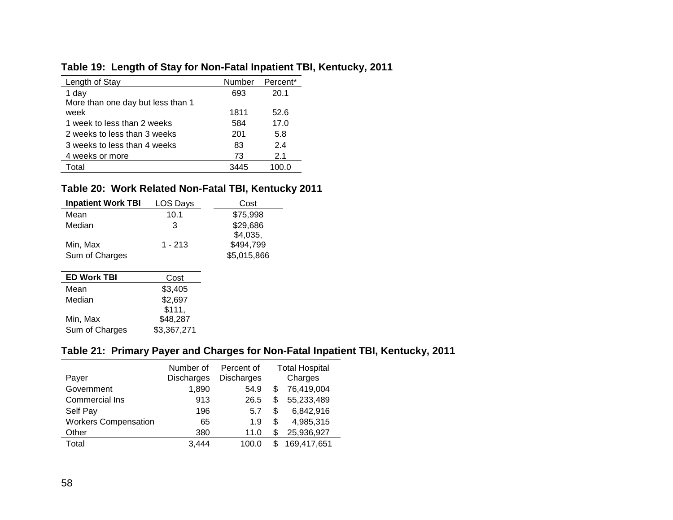## **Table 19: Length of Stay for Non-Fatal Inpatient TBI, Kentucky, 2011**

| Length of Stay                    | Number | Percent <sup>*</sup> |
|-----------------------------------|--------|----------------------|
| 1 day                             | 693    | 20.1                 |
| More than one day but less than 1 |        |                      |
| week                              | 1811   | 52.6                 |
| 1 week to less than 2 weeks       | 584    | 17.0                 |
| 2 weeks to less than 3 weeks      | 201    | 5.8                  |
| 3 weeks to less than 4 weeks      | 83     | 24                   |
| 4 weeks or more                   | 73     | 2.1                  |
| Total                             | 3445   | 100 O                |
|                                   |        |                      |

# **Table 20: Work Related Non-Fatal TBI, Kentucky 2011**

| <b>Inpatient Work TBI</b> | LOS Days | Cost        |
|---------------------------|----------|-------------|
| Mean                      | 10.1     | \$75,998    |
| Median                    | 3        | \$29,686    |
|                           |          | \$4,035,    |
| Min, Max                  | 1 - 213  | \$494,799   |
| Sum of Charges            |          | \$5,015,866 |
|                           |          |             |
| <b>ED Work TBI</b>        | Cost     |             |
| Mean                      | \$3,405  |             |
| Median                    | \$2,697  |             |
|                           | \$111.   |             |

| Min, Max       | - - - - -<br>\$48,287 |
|----------------|-----------------------|
| Sum of Charges | \$3,367,271           |

## **Table 21: Primary Payer and Charges for Non-Fatal Inpatient TBI, Kentucky, 2011**

| Payer                       | Number of<br>Discharges | Percent of<br><b>Discharges</b> |    | <b>Total Hospital</b><br>Charges |
|-----------------------------|-------------------------|---------------------------------|----|----------------------------------|
| Government                  | 1.890                   | 54.9                            | \$ | 76,419,004                       |
| Commercial Ins              | 913                     | 26.5                            | \$ | 55,233,489                       |
| Self Pay                    | 196                     | 5.7                             | S  | 6,842,916                        |
| <b>Workers Compensation</b> | 65                      | 1.9                             | S  | 4,985,315                        |
| Other                       | 380                     | 11.0                            |    | 25,936,927                       |
| Total                       | 3.444                   | 100.0                           | S  | 169,417,651                      |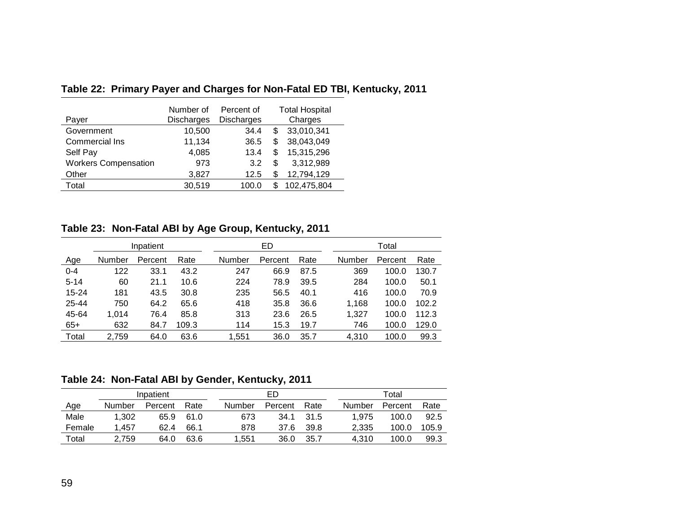| Payer                       | Number of<br><b>Discharges</b> | Percent of<br><b>Discharges</b> | <b>Total Hospital</b><br>Charges |
|-----------------------------|--------------------------------|---------------------------------|----------------------------------|
| Government                  | 10,500                         | 34.4                            | \$<br>33,010,341                 |
| Commercial Ins              | 11,134                         | 36.5                            | \$<br>38,043,049                 |
| Self Pay                    | 4,085                          | 13.4                            | \$<br>15,315,296                 |
| <b>Workers Compensation</b> | 973                            | 3.2                             | \$<br>3,312,989                  |
| Other                       | 3,827                          | 12.5                            | \$<br>12,794,129                 |
| Total                       | 30,519                         | 100.0                           | 102,475,804                      |

**Table 22: Primary Payer and Charges for Non-Fatal ED TBI, Kentucky, 2011**

**Table 23: Non-Fatal ABI by Age Group, Kentucky, 2011**

|          |        |           |       | . .    |         | . .  |        |         |       |
|----------|--------|-----------|-------|--------|---------|------|--------|---------|-------|
|          |        | Inpatient |       |        | ED      |      |        | Total   |       |
| Age      | Number | Percent   | Rate  | Number | Percent | Rate | Number | Percent | Rate  |
| $0 - 4$  | 122    | 33.1      | 43.2  | 247    | 66.9    | 87.5 | 369    | 100.0   | 130.7 |
| $5 - 14$ | 60     | 21.1      | 10.6  | 224    | 78.9    | 39.5 | 284    | 100.0   | 50.1  |
| 15-24    | 181    | 43.5      | 30.8  | 235    | 56.5    | 40.1 | 416    | 100.0   | 70.9  |
| 25-44    | 750    | 64.2      | 65.6  | 418    | 35.8    | 36.6 | 1,168  | 100.0   | 102.2 |
| 45-64    | 1,014  | 76.4      | 85.8  | 313    | 23.6    | 26.5 | 1,327  | 100.0   | 112.3 |
| $65+$    | 632    | 84.7      | 109.3 | 114    | 15.3    | 19.7 | 746    | 100.0   | 129.0 |
| Total    | 2,759  | 64.0      | 63.6  | 1,551  | 36.0    | 35.7 | 4,310  | 100.0   | 99.3  |
|          |        |           |       |        |         |      |        |         |       |

**Table 24: Non-Fatal ABI by Gender, Kentucky, 2011**

|        |        | Inpatient |      |        | ED      |      |        | Total   |       |
|--------|--------|-----------|------|--------|---------|------|--------|---------|-------|
| Age    | Number | Percent   | Rate | Number | Percent | Rate | Number | Percent | Rate  |
| Male   | 1,302  | 65.9      | 61.0 | 673    | 34.1    | 31.5 | 1.975  | 100.0   | 92.5  |
| Female | .457   | 62.4      | 66.1 | 878    | 37.6    | 39.8 | 2.335  | 100.0   | 105.9 |
| Total  | 2.759  | 64.0      | 63.6 | 1.551  | 36.0    | 35.7 | 4.310  | 100.0   | 99.3  |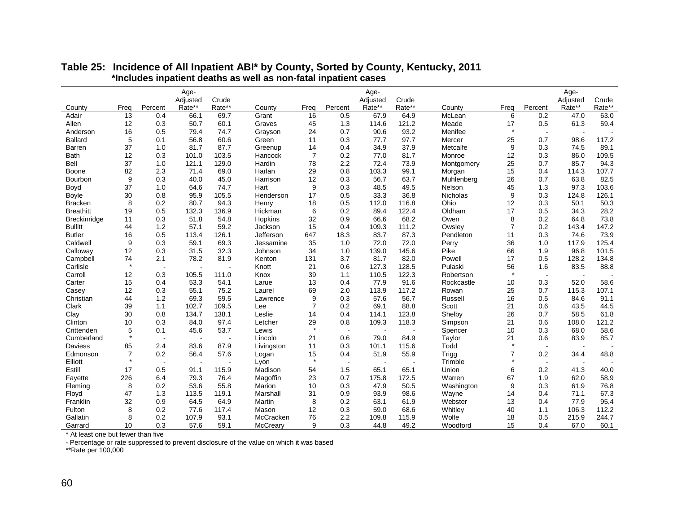|                     |         |                | Age-     |        |            |                |                          | Age-     |        |            |                |                       | Age-     |        |
|---------------------|---------|----------------|----------|--------|------------|----------------|--------------------------|----------|--------|------------|----------------|-----------------------|----------|--------|
|                     |         |                | Adjusted | Crude  |            |                |                          | Adjusted | Crude  |            |                |                       | Adjusted | Crude  |
| County              | Freq    | Percent        | Rate**   | Rate** | County     | Freq           | Percent                  | Rate**   | Rate** | County     | Freq           | Percent               | Rate**   | Rate** |
| Adair               | 13      | 0.4            | 66.1     | 69.7   | Grant      | 16             | 0.5                      | 67.9     | 64.9   | McLean     | 6              | 0.2                   | 47.0     | 63.0   |
| Allen               | 12      | 0.3            | 50.7     | 60.1   | Graves     | 45             | 1.3                      | 114.6    | 121.2  | Meade      | 17             | 0.5                   | 61.3     | 59.4   |
| Anderson            | 16      | 0.5            | 79.4     | 74.7   | Grayson    | 24             | 0.7                      | 90.6     | 93.2   | Menifee    | $\star$        |                       |          |        |
| <b>Ballard</b>      | 5       | 0.1            | 56.8     | 60.6   | Green      | 11             | 0.3                      | 77.7     | 97.7   | Mercer     | 25             | 0.7                   | 98.6     | 117.2  |
| Barren              | 37      | 1.0            | 81.7     | 87.7   | Greenup    | 14             | 0.4                      | 34.9     | 37.9   | Metcalfe   | 9              | 0.3                   | 74.5     | 89.1   |
| <b>Bath</b>         | 12      | 0.3            | 101.0    | 103.5  | Hancock    | $\overline{7}$ | 0.2                      | 77.0     | 81.7   | Monroe     | 12             | 0.3                   | 86.0     | 109.5  |
| Bell                | 37      | 1.0            | 121.1    | 129.0  | Hardin     | 78             | 2.2                      | 72.4     | 73.9   | Montgomery | 25             | 0.7                   | 85.7     | 94.3   |
| Boone               | 82      | 2.3            | 71.4     | 69.0   | Harlan     | 29             | 0.8                      | 103.3    | 99.1   | Morgan     | 15             | 0.4                   | 114.3    | 107.7  |
| Bourbon             | 9       | 0.3            | 40.0     | 45.0   | Harrison   | 12             | 0.3                      | 56.7     | 63.7   | Muhlenberg | 26             | 0.7                   | 63.8     | 82.5   |
| Boyd                | 37      | 1.0            | 64.6     | 74.7   | Hart       | 9              | 0.3                      | 48.5     | 49.5   | Nelson     | 45             | 1.3                   | 97.3     | 103.6  |
| Boyle               | 30      | 0.8            | 95.9     | 105.5  | Henderson  | 17             | 0.5                      | 33.3     | 36.8   | Nicholas   | 9              | 0.3                   | 124.8    | 126.1  |
| <b>Bracken</b>      | 8       | 0.2            | 80.7     | 94.3   | Henry      | 18             | 0.5                      | 112.0    | 116.8  | Ohio       | 12             | 0.3                   | 50.1     | 50.3   |
| <b>Breathitt</b>    | 19      | 0.5            | 132.3    | 136.9  | Hickman    | 6              | 0.2                      | 89.4     | 122.4  | Oldham     | 17             | 0.5                   | 34.3     | 28.2   |
| <b>Breckinridge</b> | 11      | 0.3            | 51.8     | 54.8   | Hopkins    | 32             | 0.9                      | 66.6     | 68.2   | Owen       | 8              | 0.2                   | 64.8     | 73.8   |
| <b>Bullitt</b>      | 44      | 1.2            | 57.1     | 59.2   | Jackson    | 15             | 0.4                      | 109.3    | 111.2  | Owsley     | $\overline{7}$ | 0.2                   | 143.4    | 147.2  |
| <b>Butler</b>       | 16      | 0.5            | 113.4    | 126.1  | Jefferson  | 647            | 18.3                     | 83.7     | 87.3   | Pendleton  | 11             | 0.3                   | 74.6     | 73.9   |
| Caldwell            | 9       | 0.3            | 59.1     | 69.3   | Jessamine  | 35             | 1.0                      | 72.0     | 72.0   | Perry      | 36             | 1.0                   | 117.9    | 125.4  |
| Calloway            | 12      | 0.3            | 31.5     | 32.3   | Johnson    | 34             | 1.0                      | 139.0    | 145.6  | Pike       | 66             | 1.9                   | 96.8     | 101.5  |
| Campbell            | 74      | 2.1            | 78.2     | 81.9   | Kenton     | 131            | 3.7                      | 81.7     | 82.0   | Powell     | 17             | 0.5                   | 128.2    | 134.8  |
| Carlisle            | $\star$ | $\sim$         |          |        | Knott      | 21             | 0.6                      | 127.3    | 128.5  | Pulaski    | 56             | 1.6                   | 83.5     | 88.8   |
| Carroll             | 12      | 0.3            | 105.5    | 111.0  | Knox       | 39             | 1.1                      | 110.5    | 122.3  | Robertson  | $\star$        | $\tilde{\phantom{a}}$ |          |        |
| Carter              | 15      | 0.4            | 53.3     | 54.1   | Larue      | 13             | 0.4                      | 77.9     | 91.6   | Rockcastle | 10             | 0.3                   | 52.0     | 58.6   |
| Casey               | 12      | 0.3            | 55.1     | 75.2   | Laurel     | 69             | 2.0                      | 113.9    | 117.2  | Rowan      | 25             | 0.7                   | 115.3    | 107.1  |
| Christian           | 44      | 1.2            | 69.3     | 59.5   | Lawrence   | 9              | 0.3                      | 57.6     | 56.7   | Russell    | 16             | 0.5                   | 84.6     | 91.1   |
| Clark               | 39      | 1.1            | 102.7    | 109.5  | Lee        | $\overline{7}$ | 0.2                      | 69.1     | 88.8   | Scott      | 21             | 0.6                   | 43.5     | 44.5   |
| Clay                | 30      | 0.8            | 134.7    | 138.1  | Leslie     | 14             | 0.4                      | 114.1    | 123.8  | Shelby     | 26             | 0.7                   | 58.5     | 61.8   |
| Clinton             | 10      | 0.3            | 84.0     | 97.4   | Letcher    | 29             | 0.8                      | 109.3    | 118.3  | Simpson    | 21             | 0.6                   | 108.0    | 121.2  |
| Crittenden          | 5       | 0.1            | 45.6     | 53.7   | Lewis      | $\star$        | $\overline{\phantom{a}}$ |          |        | Spencer    | 10             | 0.3                   | 68.0     | 58.6   |
| Cumberland          | $\star$ | $\overline{a}$ |          |        | Lincoln    | 21             | 0.6                      | 79.0     | 84.9   | Taylor     | 21             | 0.6                   | 83.9     | 85.7   |
| <b>Daviess</b>      | 85      | 2.4            | 83.6     | 87.9   | Livingston | 11             | 0.3                      | 101.1    | 115.6  | Todd       | $\star$        | $\overline{a}$        | $\sim$   |        |
| Edmonson            | 7       | 0.2            | 56.4     | 57.6   | Logan      | 15             | 0.4                      | 51.9     | 55.9   | Trigg      | $\overline{7}$ | 0.2                   | 34.4     | 48.8   |
| Elliott             | $\star$ | $\sim$         |          |        | Lyon       | $\star$        | $\blacksquare$           |          |        | Trimble    | $\star$        | $\sim$                |          |        |
| Estill              | 17      | 0.5            | 91.1     | 115.9  | Madison    | 54             | 1.5                      | 65.1     | 65.1   | Union      | 6              | 0.2                   | 41.3     | 40.0   |
| Fayette             | 226     | 6.4            | 79.3     | 76.4   | Magoffin   | 23             | 0.7                      | 175.8    | 172.5  | Warren     | 67             | 1.9                   | 62.0     | 58.9   |
| Fleming             | 8       | 0.2            | 53.6     | 55.8   | Marion     | 10             | 0.3                      | 47.9     | 50.5   | Washington | 9              | 0.3                   | 61.9     | 76.8   |
| Floyd               | 47      | 1.3            | 113.5    | 119.1  | Marshall   | 31             | 0.9                      | 93.9     | 98.6   | Wayne      | 14             | 0.4                   | 71.1     | 67.3   |
| Franklin            | 32      | 0.9            | 64.5     | 64.9   | Martin     | 8              | 0.2                      | 63.1     | 61.9   | Webster    | 13             | 0.4                   | 77.9     | 95.4   |
| Fulton              | 8       | 0.2            | 77.6     | 117.4  | Mason      | 12             | 0.3                      | 59.0     | 68.6   | Whitley    | 40             | 1.1                   | 106.3    | 112.2  |
| Gallatin            | 8       | 0.2            | 107.9    | 93.1   | McCracken  | 76             | 2.2                      | 109.8    | 115.9  | Wolfe      | 18             | 0.5                   | 215.9    | 244.7  |
| Garrard             | 10      | 0.3            | 57.6     | 59.1   | McCreary   | 9              | 0.3                      | 44.8     | 49.2   | Woodford   | 15             | 0.4                   | 67.0     | 60.1   |

#### **Table 25: Incidence of All Inpatient ABI\* by County, Sorted by County, Kentucky, 2011 \*Includes inpatient deaths as well as non-fatal inpatient cases**

\* At least one but fewer than five

- Percentage or rate suppressed to prevent disclosure of the value on which it was based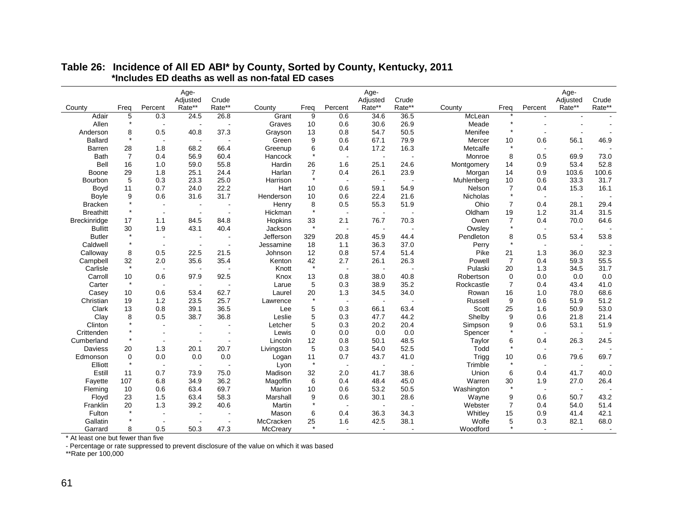|                     |                |                          | Age-                     |        |            |                |                          | Age-           |        |                 |                |                          | Age-           |        |
|---------------------|----------------|--------------------------|--------------------------|--------|------------|----------------|--------------------------|----------------|--------|-----------------|----------------|--------------------------|----------------|--------|
|                     |                |                          | Adjusted                 | Crude  |            |                |                          | Adjusted       | Crude  |                 |                |                          | Adjusted       | Crude  |
| County              | Freq           | Percent                  | Rate**                   | Rate** | County     | Freq           | Percent                  | Rate**         | Rate** | County          | Freq           | Percent                  | Rate**         | Rate** |
| Adair               | 5              | 0.3                      | 24.5                     | 26.8   | Grant      | 9              | 0.6                      | 34.6           | 36.5   | McLean          |                |                          |                |        |
| Allen               | $\star$        |                          |                          |        | Graves     | 10             | 0.6                      | 30.6           | 26.9   | Meade           | $\star$        |                          |                |        |
| Anderson            | 8              | 0.5                      | 40.8                     | 37.3   | Grayson    | 13             | 0.8                      | 54.7           | 50.5   | Menifee         | $\star$        |                          |                |        |
| <b>Ballard</b>      | $\star$        |                          |                          |        | Green      | 9              | 0.6                      | 67.1           | 79.9   | Mercer          | 10             | 0.6                      | 56.1           | 46.9   |
| <b>Barren</b>       | 28             | 1.8                      | 68.2                     | 66.4   | Greenup    | 6              | 0.4                      | 17.2           | 16.3   | Metcalfe        | $\star$        | $\overline{\phantom{a}}$ | $\blacksquare$ |        |
| <b>Bath</b>         | $\overline{7}$ | 0.4                      | 56.9                     | 60.4   | Hancock    | $\star$        |                          | $\overline{a}$ |        | Monroe          | 8              | 0.5                      | 69.9           | 73.0   |
| Bell                | 16             | 1.0                      | 59.0                     | 55.8   | Hardin     | 26             | 1.6                      | 25.1           | 24.6   | Montgomery      | 14             | 0.9                      | 53.4           | 52.8   |
| Boone               | 29             | 1.8                      | 25.1                     | 24.4   | Harlan     | $\overline{7}$ | 0.4                      | 26.1           | 23.9   | Morgan          | 14             | 0.9                      | 103.6          | 100.6  |
| Bourbon             | 5              | 0.3                      | 23.3                     | 25.0   | Harrison   | $\star$        |                          |                |        | Muhlenberg      | 10             | 0.6                      | 33.3           | 31.7   |
| Boyd                | 11             | 0.7                      | 24.0                     | 22.2   | Hart       | 10             | 0.6                      | 59.1           | 54.9   | Nelson          | $\overline{7}$ | 0.4                      | 15.3           | 16.1   |
| Boyle               | 9              | 0.6                      | 31.6                     | 31.7   | Henderson  | 10             | 0.6                      | 22.4           | 21.6   | <b>Nicholas</b> | $\star$        | $\sim$                   |                |        |
| <b>Bracken</b>      |                |                          |                          |        | Henry      | 8              | 0.5                      | 55.3           | 51.9   | Ohio            | 7              | 0.4                      | 28.1           | 29.4   |
| <b>Breathitt</b>    |                |                          |                          |        | Hickman    | $\star$        |                          |                |        | Oldham          | 19             | 1.2                      | 31.4           | 31.5   |
| <b>Breckinridge</b> | 17             | 1.1                      | 84.5                     | 84.8   | Hopkins    | 33             | 2.1                      | 76.7           | 70.3   | Owen            | $\overline{7}$ | 0.4                      | 70.0           | 64.6   |
| <b>Bullitt</b>      | 30             | 1.9                      | 43.1                     | 40.4   | Jackson    | $\star$        |                          |                |        | Owsley          | $\star$        | $\overline{\phantom{a}}$ |                |        |
| <b>Butler</b>       |                |                          |                          |        | Jefferson  | 329            | 20.8                     | 45.9           | 44.4   | Pendleton       | 8              | 0.5                      | 53.4           | 53.8   |
| Caldwell            | $\star$        | $\sim$                   |                          |        | Jessamine  | 18             | 1.1                      | 36.3           | 37.0   | Perry           | $\star$        | $\sim$                   | $\overline{a}$ |        |
| Calloway            | 8              | 0.5                      | 22.5                     | 21.5   | Johnson    | 12             | 0.8                      | 57.4           | 51.4   | Pike            | 21             | 1.3                      | 36.0           | 32.3   |
| Campbell            | 32             | 2.0                      | 35.6                     | 35.4   | Kenton     | 42             | 2.7                      | 26.1           | 26.3   | Powell          | $\overline{7}$ | 0.4                      | 59.3           | 55.5   |
| Carlisle            | $\star$        |                          |                          |        | Knott      | $\star$        |                          |                |        | Pulaski         | 20             | 1.3                      | 34.5           | 31.7   |
| Carroll             | 10             | 0.6                      | 97.9                     | 92.5   | Knox       | 13             | 0.8                      | 38.0           | 40.8   | Robertson       | $\mathbf 0$    | 0.0                      | 0.0            | 0.0    |
| Carter              | $\star$        |                          |                          |        | Larue      | 5              | 0.3                      | 38.9           | 35.2   | Rockcastle      | $\overline{7}$ | 0.4                      | 43.4           | 41.0   |
| Casey               | 10             | 0.6                      | 53.4                     | 62.7   | Laurel     | 20             | 1.3                      | 34.5           | 34.0   | Rowan           | 16             | 1.0                      | 78.0           | 68.6   |
| Christian           | 19             | 1.2                      | 23.5                     | 25.7   | Lawrence   | $\star$        |                          |                |        | Russell         | 9              | 0.6                      | 51.9           | 51.2   |
| Clark               | 13             | 0.8                      | 39.1                     | 36.5   | Lee        | 5              | 0.3                      | 66.1           | 63.4   | Scott           | 25             | 1.6                      | 50.9           | 53.0   |
| Clay                | 8              | 0.5                      | 38.7                     | 36.8   | Leslie     | 5              | 0.3                      | 47.7           | 44.2   | Shelby          | 9              | 0.6                      | 21.8           | 21.4   |
| Clinton             |                |                          |                          |        | Letcher    | 5              | 0.3                      | 20.2           | 20.4   | Simpson         | 9              | 0.6                      | 53.1           | 51.9   |
| Crittenden          |                |                          |                          |        | Lewis      | $\mathbf 0$    | 0.0                      | 0.0            | 0.0    | Spencer         | $\star$        | $\overline{\phantom{a}}$ |                |        |
| Cumberland          |                |                          |                          |        | Lincoln    | 12             | 0.8                      | 50.1           | 48.5   | Taylor          | 6              | 0.4                      | 26.3           | 24.5   |
| <b>Daviess</b>      | 20             | 1.3                      | 20.1                     | 20.7   | Livingston | 5              | 0.3                      | 54.0           | 52.5   | Todd            | $\star$        | $\sim$                   | $\sim$         |        |
| Edmonson            | $\Omega$       | 0.0                      | 0.0                      | 0.0    | Logan      | 11             | 0.7                      | 43.7           | 41.0   | Trigg           | 10             | 0.6                      | 79.6           | 69.7   |
| Elliott             | $\star$        | $\overline{\phantom{a}}$ | $\overline{\phantom{a}}$ |        | Lyon       | $\star$        |                          |                |        | Trimble         | $\star$        | $\overline{\phantom{a}}$ | $\overline{a}$ |        |
| Estill              | 11             | 0.7                      | 73.9                     | 75.0   | Madison    | 32             | 2.0                      | 41.7           | 38.6   | Union           | 6              | 0.4                      | 41.7           | 40.0   |
| Fayette             | 107            | 6.8                      | 34.9                     | 36.2   | Magoffin   | 6              | 0.4                      | 48.4           | 45.0   | Warren          | 30             | 1.9                      | 27.0           | 26.4   |
| Fleming             | 10             | 0.6                      | 63.4                     | 69.7   | Marion     | 10             | 0.6                      | 53.2           | 50.5   | Washington      | $\star$        | $\sim$                   |                |        |
| Floyd               | 23             | 1.5                      | 63.4                     | 58.3   | Marshall   | 9              | 0.6                      | 30.1           | 28.6   | Wayne           | 9              | 0.6                      | 50.7           | 43.2   |
| Franklin            | 20             | 1.3                      | 39.2                     | 40.6   | Martin     | $\star$        |                          |                |        | Webster         | 7              | 0.4                      | 54.0           | 51.4   |
| Fulton              |                |                          |                          |        | Mason      | 6              | 0.4                      | 36.3           | 34.3   | Whitley         | 15             | 0.9                      | 41.4           | 42.1   |
| Gallatin            |                |                          |                          |        | McCracken  | 25             | 1.6                      | 42.5           | 38.1   | Wolfe           | 5              | 0.3                      | 82.1           | 68.0   |
| Garrard             | 8              | 0.5                      | 50.3                     | 47.3   | McCreary   | $\star$        | $\overline{\phantom{a}}$ |                |        | Woodford        | $\star$        |                          |                |        |

#### **Table 26: Incidence of All ED ABI\* by County, Sorted by County, Kentucky, 2011 \*Includes ED deaths as well as non-fatal ED cases**

\* At least one but fewer than five

- Percentage or rate suppressed to prevent disclosure of the value on which it was based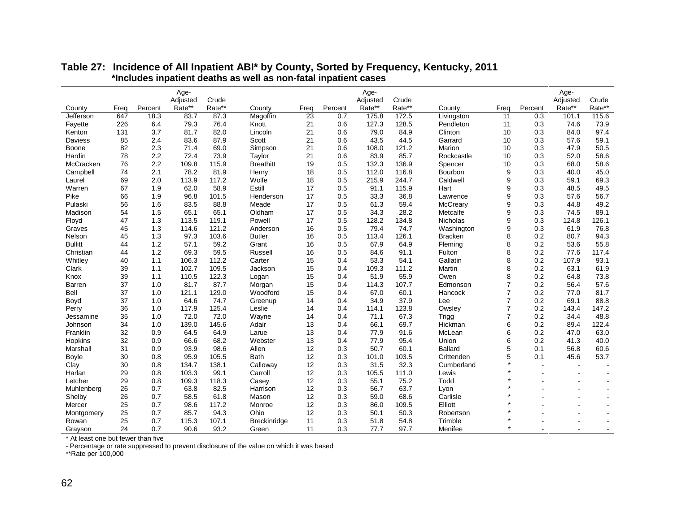|                |      |         | Age-     |        |                     |                 |         | Age-     |        |                |                |                          | Age-                     |                |
|----------------|------|---------|----------|--------|---------------------|-----------------|---------|----------|--------|----------------|----------------|--------------------------|--------------------------|----------------|
|                |      |         | Adjusted | Crude  |                     |                 |         | Adjusted | Crude  |                |                |                          | Adjusted                 | Crude          |
| County         | Freq | Percent | Rate**   | Rate** | County              | Freq            | Percent | Rate**   | Rate** | County         | Freq           | Percent                  | Rate**                   | Rate**         |
| Jefferson      | 647  | 18.3    | 83.7     | 87.3   | Magoffin            | $\overline{23}$ | 0.7     | 175.8    | 172.5  | Livingston     | 11             | 0.3                      | 101.1                    | 115.6          |
| Fayette        | 226  | 6.4     | 79.3     | 76.4   | Knott               | 21              | 0.6     | 127.3    | 128.5  | Pendleton      | 11             | 0.3                      | 74.6                     | 73.9           |
| Kenton         | 131  | 3.7     | 81.7     | 82.0   | Lincoln             | 21              | 0.6     | 79.0     | 84.9   | Clinton        | 10             | 0.3                      | 84.0                     | 97.4           |
| <b>Daviess</b> | 85   | 2.4     | 83.6     | 87.9   | Scott               | 21              | 0.6     | 43.5     | 44.5   | Garrard        | 10             | 0.3                      | 57.6                     | 59.1           |
| <b>Boone</b>   | 82   | 2.3     | 71.4     | 69.0   | Simpson             | 21              | 0.6     | 108.0    | 121.2  | Marion         | 10             | 0.3                      | 47.9                     | 50.5           |
| Hardin         | 78   | 2.2     | 72.4     | 73.9   | Taylor              | 21              | 0.6     | 83.9     | 85.7   | Rockcastle     | 10             | 0.3                      | 52.0                     | 58.6           |
| McCracken      | 76   | 2.2     | 109.8    | 115.9  | <b>Breathitt</b>    | 19              | 0.5     | 132.3    | 136.9  | Spencer        | 10             | 0.3                      | 68.0                     | 58.6           |
| Campbell       | 74   | 2.1     | 78.2     | 81.9   | Henry               | 18              | 0.5     | 112.0    | 116.8  | Bourbon        | 9              | 0.3                      | 40.0                     | 45.0           |
| Laurel         | 69   | 2.0     | 113.9    | 117.2  | Wolfe               | 18              | 0.5     | 215.9    | 244.7  | Caldwell       | 9              | 0.3                      | 59.1                     | 69.3           |
| Warren         | 67   | 1.9     | 62.0     | 58.9   | Estill              | 17              | 0.5     | 91.1     | 115.9  | Hart           | 9              | 0.3                      | 48.5                     | 49.5           |
| Pike           | 66   | 1.9     | 96.8     | 101.5  | Henderson           | 17              | 0.5     | 33.3     | 36.8   | Lawrence       | 9              | 0.3                      | 57.6                     | 56.7           |
| Pulaski        | 56   | 1.6     | 83.5     | 88.8   | Meade               | 17              | 0.5     | 61.3     | 59.4   | McCreary       | 9              | 0.3                      | 44.8                     | 49.2           |
| Madison        | 54   | 1.5     | 65.1     | 65.1   | Oldham              | 17              | 0.5     | 34.3     | 28.2   | Metcalfe       | 9              | 0.3                      | 74.5                     | 89.1           |
| Floyd          | 47   | 1.3     | 113.5    | 119.1  | Powell              | 17              | 0.5     | 128.2    | 134.8  | Nicholas       | 9              | 0.3                      | 124.8                    | 126.1          |
| Graves         | 45   | 1.3     | 114.6    | 121.2  | Anderson            | 16              | 0.5     | 79.4     | 74.7   | Washington     | 9              | 0.3                      | 61.9                     | 76.8           |
| Nelson         | 45   | 1.3     | 97.3     | 103.6  | <b>Butler</b>       | 16              | 0.5     | 113.4    | 126.1  | <b>Bracken</b> | 8              | 0.2                      | 80.7                     | 94.3           |
| <b>Bullitt</b> | 44   | 1.2     | 57.1     | 59.2   | Grant               | 16              | 0.5     | 67.9     | 64.9   | Fleming        | 8              | 0.2                      | 53.6                     | 55.8           |
| Christian      | 44   | 1.2     | 69.3     | 59.5   | Russell             | 16              | 0.5     | 84.6     | 91.1   | Fulton         | 8              | 0.2                      | 77.6                     | 117.4          |
| Whitley        | 40   | 1.1     | 106.3    | 112.2  | Carter              | 15              | 0.4     | 53.3     | 54.1   | Gallatin       | 8              | 0.2                      | 107.9                    | 93.1           |
| Clark          | 39   | 1.1     | 102.7    | 109.5  | Jackson             | 15              | 0.4     | 109.3    | 111.2  | Martin         | 8              | 0.2                      | 63.1                     | 61.9           |
| Knox           | 39   | 1.1     | 110.5    | 122.3  | Logan               | 15              | 0.4     | 51.9     | 55.9   | Owen           | 8              | 0.2                      | 64.8                     | 73.8           |
| Barren         | 37   | 1.0     | 81.7     | 87.7   | Morgan              | 15              | 0.4     | 114.3    | 107.7  | Edmonson       | $\overline{7}$ | 0.2                      | 56.4                     | 57.6           |
| Bell           | 37   | 1.0     | 121.1    | 129.0  | Woodford            | 15              | 0.4     | 67.0     | 60.1   | Hancock        | $\overline{7}$ | 0.2                      | 77.0                     | 81.7           |
| Boyd           | 37   | 1.0     | 64.6     | 74.7   | Greenup             | 14              | 0.4     | 34.9     | 37.9   | Lee            | $\overline{7}$ | 0.2                      | 69.1                     | 88.8           |
| Perry          | 36   | 1.0     | 117.9    | 125.4  | Leslie              | 14              | 0.4     | 114.1    | 123.8  | Owsley         | $\overline{7}$ | 0.2                      | 143.4                    | 147.2          |
| Jessamine      | 35   | 1.0     | 72.0     | 72.0   | Wayne               | 14              | 0.4     | 71.1     | 67.3   | Trigg          | $\overline{7}$ | 0.2                      | 34.4                     | 48.8           |
| Johnson        | 34   | 1.0     | 139.0    | 145.6  | Adair               | 13              | 0.4     | 66.1     | 69.7   | Hickman        | 6              | 0.2                      | 89.4                     | 122.4          |
| Franklin       | 32   | 0.9     | 64.5     | 64.9   | Larue               | 13              | 0.4     | 77.9     | 91.6   | McLean         | 6              | 0.2                      | 47.0                     | 63.0           |
| Hopkins        | 32   | 0.9     | 66.6     | 68.2   | Webster             | 13              | 0.4     | 77.9     | 95.4   | Union          | 6              | 0.2                      | 41.3                     | 40.0           |
| Marshall       | 31   | 0.9     | 93.9     | 98.6   | Allen               | 12              | 0.3     | 50.7     | 60.1   | <b>Ballard</b> | 5              | 0.1                      | 56.8                     | 60.6           |
| <b>Boyle</b>   | 30   | 0.8     | 95.9     | 105.5  | <b>Bath</b>         | 12              | 0.3     | 101.0    | 103.5  | Crittenden     | 5              | 0.1                      | 45.6                     | 53.7           |
| Clay           | 30   | 0.8     | 134.7    | 138.1  | Calloway            | 12              | 0.3     | 31.5     | 32.3   | Cumberland     |                | $\overline{\phantom{a}}$ | $\overline{\phantom{a}}$ | $\sim$         |
| Harlan         | 29   | 0.8     | 103.3    | 99.1   | Carroll             | 12              | 0.3     | 105.5    | 111.0  | Lewis          |                |                          |                          | $\sim$         |
| Letcher        | 29   | 0.8     | 109.3    | 118.3  | Casey               | 12              | 0.3     | 55.1     | 75.2   | Todd           |                |                          |                          | $\overline{a}$ |
| Muhlenberg     | 26   | 0.7     | 63.8     | 82.5   | Harrison            | 12              | 0.3     | 56.7     | 63.7   | Lyon           |                |                          |                          |                |
| Shelby         | 26   | 0.7     | 58.5     | 61.8   | Mason               | 12              | 0.3     | 59.0     | 68.6   | Carlisle       |                |                          |                          |                |
| Mercer         | 25   | 0.7     | 98.6     | 117.2  | Monroe              | 12              | 0.3     | 86.0     | 109.5  | Elliott        |                |                          |                          |                |
| Montgomery     | 25   | 0.7     | 85.7     | 94.3   | Ohio                | 12              | 0.3     | 50.1     | 50.3   | Robertson      |                |                          |                          |                |
| Rowan          | 25   | 0.7     | 115.3    | 107.1  | <b>Breckinridge</b> | 11              | 0.3     | 51.8     | 54.8   | Trimble        |                |                          |                          |                |
| Grayson        | 24   | 0.7     | 90.6     | 93.2   | Green               | 11              | 0.3     | 77.7     | 97.7   | Menifee        |                |                          |                          | $\blacksquare$ |

#### **Table 27: Incidence of All Inpatient ABI\* by County, Sorted by Frequency, Kentucky, 2011 \*Includes inpatient deaths as well as non-fatal inpatient cases**

\* At least one but fewer than five

- Percentage or rate suppressed to prevent disclosure of the value on which it was based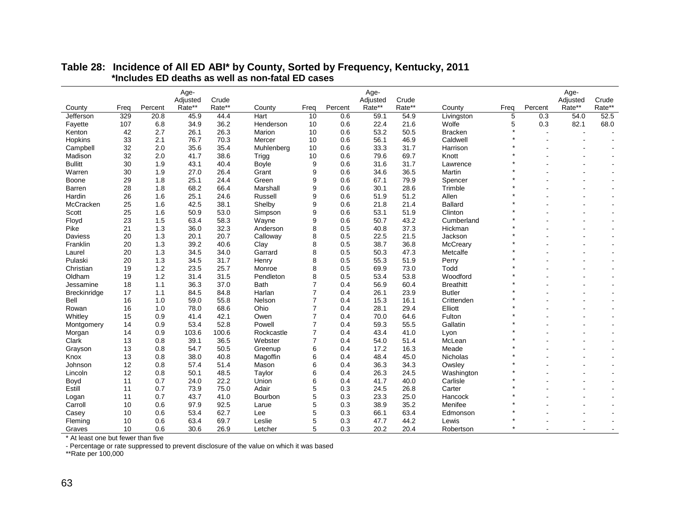|                |      |         | Age-     |        |             |                |         | Age-     |        |                  |         |         | Age-     |                |
|----------------|------|---------|----------|--------|-------------|----------------|---------|----------|--------|------------------|---------|---------|----------|----------------|
|                |      |         | Adjusted | Crude  |             |                |         | Adjusted | Crude  |                  |         |         | Adjusted | Crude          |
| County         | Freq | Percent | Rate**   | Rate** | County      | Freq           | Percent | Rate**   | Rate** | County           | Freq    | Percent | Rate**   | Rate**         |
| Jefferson      | 329  | 20.8    | 45.9     | 44.4   | Hart        | 10             | 0.6     | 59.1     | 54.9   | Livingston       | 5       | 0.3     | 54.0     | 52.5           |
| Fayette        | 107  | 6.8     | 34.9     | 36.2   | Henderson   | 10             | 0.6     | 22.4     | 21.6   | Wolfe            | 5       | 0.3     | 82.1     | 68.0           |
| Kenton         | 42   | 2.7     | 26.1     | 26.3   | Marion      | 10             | 0.6     | 53.2     | 50.5   | <b>Bracken</b>   |         |         |          |                |
| Hopkins        | 33   | 2.1     | 76.7     | 70.3   | Mercer      | 10             | 0.6     | 56.1     | 46.9   | Caldwell         |         |         |          |                |
| Campbell       | 32   | 2.0     | 35.6     | 35.4   | Muhlenberg  | 10             | 0.6     | 33.3     | 31.7   | Harrison         |         |         |          |                |
| Madison        | 32   | 2.0     | 41.7     | 38.6   | Trigg       | 10             | 0.6     | 79.6     | 69.7   | Knott            |         |         |          |                |
| <b>Bullitt</b> | 30   | 1.9     | 43.1     | 40.4   | Boyle       | 9              | 0.6     | 31.6     | 31.7   | Lawrence         |         |         |          |                |
| Warren         | 30   | 1.9     | 27.0     | 26.4   | Grant       | 9              | 0.6     | 34.6     | 36.5   | Martin           |         |         |          |                |
| Boone          | 29   | 1.8     | 25.1     | 24.4   | Green       | 9              | 0.6     | 67.1     | 79.9   | Spencer          |         |         |          |                |
| Barren         | 28   | 1.8     | 68.2     | 66.4   | Marshall    | 9              | 0.6     | 30.1     | 28.6   | Trimble          |         |         |          |                |
| Hardin         | 26   | 1.6     | 25.1     | 24.6   | Russell     | 9              | 0.6     | 51.9     | 51.2   | Allen            |         |         |          |                |
| McCracken      | 25   | 1.6     | 42.5     | 38.1   | Shelby      | 9              | 0.6     | 21.8     | 21.4   | <b>Ballard</b>   |         |         |          |                |
| Scott          | 25   | 1.6     | 50.9     | 53.0   | Simpson     | 9              | 0.6     | 53.1     | 51.9   | Clinton          |         |         |          |                |
| Floyd          | 23   | 1.5     | 63.4     | 58.3   | Wayne       | 9              | 0.6     | 50.7     | 43.2   | Cumberland       |         |         |          |                |
| Pike           | 21   | 1.3     | 36.0     | 32.3   | Anderson    | 8              | 0.5     | 40.8     | 37.3   | Hickman          |         |         |          |                |
| Daviess        | 20   | 1.3     | 20.1     | 20.7   | Calloway    | 8              | 0.5     | 22.5     | 21.5   | Jackson          |         |         |          | $\overline{a}$ |
| Franklin       | 20   | 1.3     | 39.2     | 40.6   | Clay        | 8              | 0.5     | 38.7     | 36.8   | McCreary         |         |         |          |                |
| Laurel         | 20   | 1.3     | 34.5     | 34.0   | Garrard     | 8              | 0.5     | 50.3     | 47.3   | Metcalfe         |         |         |          | $\overline{a}$ |
| Pulaski        | 20   | 1.3     | 34.5     | 31.7   | Henry       | 8              | 0.5     | 55.3     | 51.9   | Perry            |         |         |          | $\overline{a}$ |
| Christian      | 19   | 1.2     | 23.5     | 25.7   | Monroe      | 8              | 0.5     | 69.9     | 73.0   | Todd             |         |         |          |                |
| Oldham         | 19   | 1.2     | 31.4     | 31.5   | Pendleton   | 8              | 0.5     | 53.4     | 53.8   | Woodford         |         |         |          |                |
| Jessamine      | 18   | 1.1     | 36.3     | 37.0   | <b>Bath</b> | 7              | 0.4     | 56.9     | 60.4   | <b>Breathitt</b> |         |         |          |                |
| Breckinridge   | 17   | 1.1     | 84.5     | 84.8   | Harlan      | $\overline{7}$ | 0.4     | 26.1     | 23.9   | <b>Butler</b>    |         |         |          |                |
| Bell           | 16   | 1.0     | 59.0     | 55.8   | Nelson      | $\overline{7}$ | 0.4     | 15.3     | 16.1   | Crittenden       |         |         |          |                |
| Rowan          | 16   | 1.0     | 78.0     | 68.6   | Ohio        | 7              | 0.4     | 28.1     | 29.4   | Elliott          |         |         |          |                |
| Whitley        | 15   | 0.9     | 41.4     | 42.1   | Owen        | $\overline{7}$ | 0.4     | 70.0     | 64.6   | Fulton           |         |         |          |                |
| Montgomery     | 14   | 0.9     | 53.4     | 52.8   | Powell      | $\overline{7}$ | 0.4     | 59.3     | 55.5   | Gallatin         |         |         |          |                |
| Morgan         | 14   | 0.9     | 103.6    | 100.6  | Rockcastle  | $\overline{7}$ | 0.4     | 43.4     | 41.0   | Lyon             |         |         |          |                |
| Clark          | 13   | 0.8     | 39.1     | 36.5   | Webster     | $\overline{7}$ | 0.4     | 54.0     | 51.4   | McLean           |         |         |          |                |
| Grayson        | 13   | 0.8     | 54.7     | 50.5   | Greenup     | 6              | 0.4     | 17.2     | 16.3   | Meade            |         |         |          |                |
| Knox           | 13   | 0.8     | 38.0     | 40.8   | Magoffin    | 6              | 0.4     | 48.4     | 45.0   | Nicholas         |         |         |          |                |
| Johnson        | 12   | 0.8     | 57.4     | 51.4   | Mason       | 6              | 0.4     | 36.3     | 34.3   | Owsley           |         |         |          |                |
| Lincoln        | 12   | 0.8     | 50.1     | 48.5   | Taylor      | 6              | 0.4     | 26.3     | 24.5   | Washington       |         |         |          |                |
| Boyd           | 11   | 0.7     | 24.0     | 22.2   | Union       | 6              | 0.4     | 41.7     | 40.0   | Carlisle         |         |         |          |                |
| Estill         | 11   | 0.7     | 73.9     | 75.0   | Adair       | 5              | 0.3     | 24.5     | 26.8   | Carter           |         |         |          |                |
| Logan          | 11   | 0.7     | 43.7     | 41.0   | Bourbon     | 5              | 0.3     | 23.3     | 25.0   | Hancock          |         |         |          |                |
| Carroll        | 10   | 0.6     | 97.9     | 92.5   | Larue       | 5              | 0.3     | 38.9     | 35.2   | Menifee          |         |         |          |                |
| Casey          | 10   | 0.6     | 53.4     | 62.7   | Lee         | 5              | 0.3     | 66.1     | 63.4   | Edmonson         |         |         |          |                |
| Fleming        | 10   | 0.6     | 63.4     | 69.7   | Leslie      | 5              | 0.3     | 47.7     | 44.2   | Lewis            |         |         |          |                |
| Graves         | 10   | 0.6     | 30.6     | 26.9   | Letcher     | 5              | 0.3     | 20.2     | 20.4   | Robertson        | $\star$ |         |          |                |

#### **Table 28: Incidence of All ED ABI\* by County, Sorted by Frequency, Kentucky, 2011 \*Includes ED deaths as well as non-fatal ED cases**

\* At least one but fewer than five

- Percentage or rate suppressed to prevent disclosure of the value on which it was based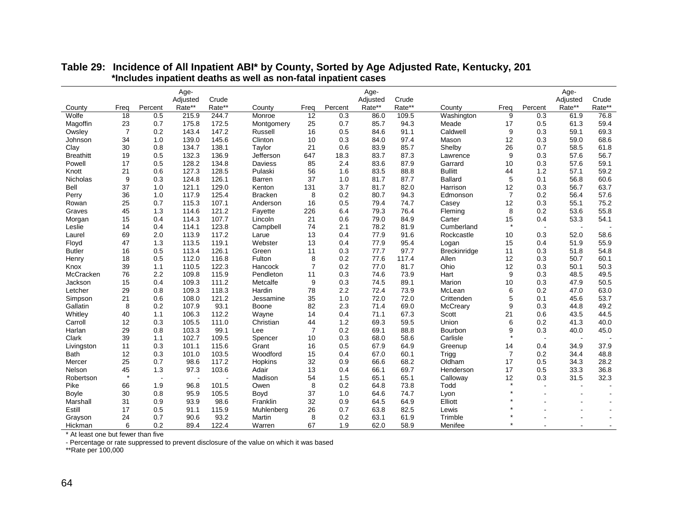|                  |                |         | Age-               |                 |                |                |         | Age-     |        |                |                |         | Age-     |                |
|------------------|----------------|---------|--------------------|-----------------|----------------|----------------|---------|----------|--------|----------------|----------------|---------|----------|----------------|
|                  |                |         | Adjusted<br>Rate** | Crude<br>Rate** |                |                |         | Adjusted | Crude  |                |                |         | Adjusted | Crude          |
| County           | Freq           | Percent |                    |                 | County         | Frea           | Percent | Rate**   | Rate** | County         | Frea           | Percent | Rate**   | Rate**         |
| Wolfe            | 18             | 0.5     | 215.9              | 244.7           | Monroe         | 12             | 0.3     | 86.0     | 109.5  | Washington     | 9              | 0.3     | 61.9     | 76.8           |
| Magoffin         | 23             | 0.7     | 175.8              | 172.5           | Montgomery     | 25             | 0.7     | 85.7     | 94.3   | Meade          | 17             | 0.5     | 61.3     | 59.4           |
| Owsley           | $\overline{7}$ | 0.2     | 143.4              | 147.2           | Russell        | 16             | 0.5     | 84.6     | 91.1   | Caldwell       | 9              | 0.3     | 59.1     | 69.3           |
| Johnson          | 34             | 1.0     | 139.0              | 145.6           | Clinton        | 10             | 0.3     | 84.0     | 97.4   | Mason          | 12             | 0.3     | 59.0     | 68.6           |
| Clay             | 30             | 0.8     | 134.7              | 138.1           | Taylor         | 21             | 0.6     | 83.9     | 85.7   | Shelby         | 26             | 0.7     | 58.5     | 61.8           |
| <b>Breathitt</b> | 19             | 0.5     | 132.3              | 136.9           | Jefferson      | 647            | 18.3    | 83.7     | 87.3   | Lawrence       | 9              | 0.3     | 57.6     | 56.7           |
| Powell           | 17             | 0.5     | 128.2              | 134.8           | Daviess        | 85             | 2.4     | 83.6     | 87.9   | Garrard        | 10             | 0.3     | 57.6     | 59.1           |
| Knott            | 21             | 0.6     | 127.3              | 128.5           | Pulaski        | 56             | 1.6     | 83.5     | 88.8   | <b>Bullitt</b> | 44             | 1.2     | 57.1     | 59.2           |
| Nicholas         | 9              | 0.3     | 124.8              | 126.1           | <b>Barren</b>  | 37             | 1.0     | 81.7     | 87.7   | <b>Ballard</b> | 5              | 0.1     | 56.8     | 60.6           |
| Bell             | 37             | 1.0     | 121.1              | 129.0           | Kenton         | 131            | 3.7     | 81.7     | 82.0   | Harrison       | 12             | 0.3     | 56.7     | 63.7           |
| Perry            | 36             | 1.0     | 117.9              | 125.4           | <b>Bracken</b> | 8              | 0.2     | 80.7     | 94.3   | Edmonson       | $\overline{7}$ | 0.2     | 56.4     | 57.6           |
| Rowan            | 25             | 0.7     | 115.3              | 107.1           | Anderson       | 16             | 0.5     | 79.4     | 74.7   | Casey          | 12             | 0.3     | 55.1     | 75.2           |
| Graves           | 45             | 1.3     | 114.6              | 121.2           | Fayette        | 226            | 6.4     | 79.3     | 76.4   | Fleming        | 8              | 0.2     | 53.6     | 55.8           |
| Morgan           | 15             | 0.4     | 114.3              | 107.7           | Lincoln        | 21             | 0.6     | 79.0     | 84.9   | Carter         | 15             | 0.4     | 53.3     | 54.1           |
| Leslie           | 14             | 0.4     | 114.1              | 123.8           | Campbell       | 74             | 2.1     | 78.2     | 81.9   | Cumberland     | $\star$        | $\sim$  | $\sim$   |                |
| Laurel           | 69             | 2.0     | 113.9              | 117.2           | Larue          | 13             | 0.4     | 77.9     | 91.6   | Rockcastle     | 10             | 0.3     | 52.0     | 58.6           |
| Floyd            | 47             | 1.3     | 113.5              | 119.1           | Webster        | 13             | 0.4     | 77.9     | 95.4   | Logan          | 15             | 0.4     | 51.9     | 55.9           |
| <b>Butler</b>    | 16             | 0.5     | 113.4              | 126.1           | Green          | 11             | 0.3     | 77.7     | 97.7   | Breckinridge   | 11             | 0.3     | 51.8     | 54.8           |
| Henry            | 18             | 0.5     | 112.0              | 116.8           | Fulton         | 8              | 0.2     | 77.6     | 117.4  | Allen          | 12             | 0.3     | 50.7     | 60.1           |
| Knox             | 39             | 1.1     | 110.5              | 122.3           | Hancock        | $\overline{7}$ | 0.2     | 77.0     | 81.7   | Ohio           | 12             | 0.3     | 50.1     | 50.3           |
| McCracken        | 76             | 2.2     | 109.8              | 115.9           | Pendleton      | 11             | 0.3     | 74.6     | 73.9   | Hart           | 9              | 0.3     | 48.5     | 49.5           |
| Jackson          | 15             | 0.4     | 109.3              | 111.2           | Metcalfe       | 9              | 0.3     | 74.5     | 89.1   | Marion         | 10             | 0.3     | 47.9     | 50.5           |
| Letcher          | 29             | 0.8     | 109.3              | 118.3           | Hardin         | 78             | 2.2     | 72.4     | 73.9   | McLean         | 6              | 0.2     | 47.0     | 63.0           |
| Simpson          | 21             | 0.6     | 108.0              | 121.2           | Jessamine      | 35             | 1.0     | 72.0     | 72.0   | Crittenden     | 5              | 0.1     | 45.6     | 53.7           |
| Gallatin         | 8              | 0.2     | 107.9              | 93.1            | Boone          | 82             | 2.3     | 71.4     | 69.0   | McCreary       | 9              | 0.3     | 44.8     | 49.2           |
| Whitley          | 40             | 1.1     | 106.3              | 112.2           | Wayne          | 14             | 0.4     | 71.1     | 67.3   | Scott          | 21             | 0.6     | 43.5     | 44.5           |
| Carroll          | 12             | 0.3     | 105.5              | 111.0           | Christian      | 44             | 1.2     | 69.3     | 59.5   | Union          | 6              | 0.2     | 41.3     | 40.0           |
| Harlan           | 29             | 0.8     | 103.3              | 99.1            | Lee            | 7              | 0.2     | 69.1     | 88.8   | Bourbon        | 9              | 0.3     | 40.0     | 45.0           |
| Clark            | 39             | 1.1     | 102.7              | 109.5           | Spencer        | 10             | 0.3     | 68.0     | 58.6   | Carlisle       | $\star$        | $\sim$  |          |                |
| Livingston       | 11             | 0.3     | 101.1              | 115.6           | Grant          | 16             | 0.5     | 67.9     | 64.9   | Greenup        | 14             | 0.4     | 34.9     | 37.9           |
| <b>Bath</b>      | 12             | 0.3     | 101.0              | 103.5           | Woodford       | 15             | 0.4     | 67.0     | 60.1   | Trigg          | $\overline{7}$ | 0.2     | 34.4     | 48.8           |
| Mercer           | 25             | 0.7     | 98.6               | 117.2           | Hopkins        | 32             | 0.9     | 66.6     | 68.2   | Oldham         | 17             | 0.5     | 34.3     | 28.2           |
| Nelson           | 45             | 1.3     | 97.3               | 103.6           | Adair          | 13             | 0.4     | 66.1     | 69.7   | Henderson      | 17             | 0.5     | 33.3     | 36.8           |
| Robertson        |                |         |                    |                 | Madison        | 54             | 1.5     | 65.1     | 65.1   | Calloway       | 12             | 0.3     | 31.5     | 32.3           |
| Pike             | 66             | 1.9     | 96.8               | 101.5           | Owen           | 8              | 0.2     | 64.8     | 73.8   | Todd           | $\star$        |         |          |                |
| <b>Boyle</b>     | 30             | 0.8     | 95.9               | 105.5           | Boyd           | 37             | 1.0     | 64.6     | 74.7   | Lyon           |                |         |          |                |
| Marshall         | 31             | 0.9     | 93.9               | 98.6            | Franklin       | 32             | 0.9     | 64.5     | 64.9   | Elliott        |                |         |          |                |
| Estill           | 17             | 0.5     | 91.1               | 115.9           | Muhlenberg     | 26             | 0.7     | 63.8     | 82.5   | Lewis          |                |         |          |                |
| Grayson          | 24             | 0.7     | 90.6               | 93.2            | Martin         | 8              | 0.2     | 63.1     | 61.9   | Trimble        |                |         |          |                |
| Hickman          | 6              | 0.2     | 89.4               | 122.4           | Warren         | 67             | 1.9     | 62.0     | 58.9   | Menifee        |                |         |          | $\blacksquare$ |

#### **Table 29: Incidence of All Inpatient ABI\* by County, Sorted by Age Adjusted Rate, Kentucky, 201 \*Includes inpatient deaths as well as non-fatal inpatient cases**

\* At least one but fewer than five

- Percentage or rate suppressed to prevent disclosure of the value on which it was based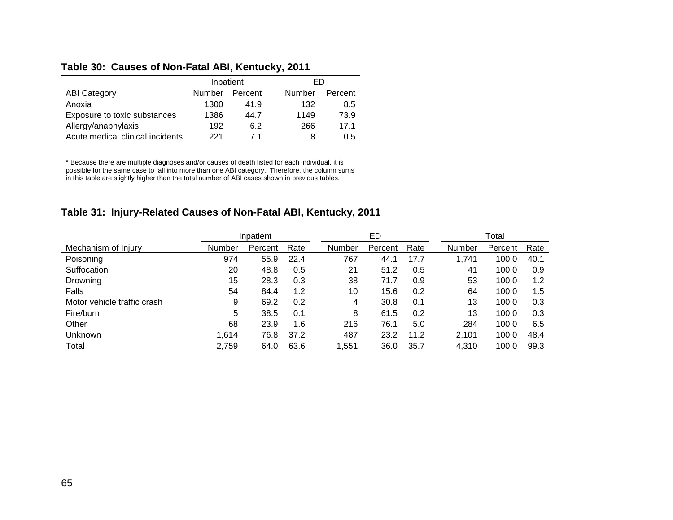#### **Table 30: Causes of Non-Fatal ABI, Kentucky, 2011**

|                                  |        | Inpatient |        | FD      |
|----------------------------------|--------|-----------|--------|---------|
| <b>ABI Category</b>              | Number | Percent   | Number | Percent |
| Anoxia                           | 1300   | 41.9      | 132    | 8.5     |
| Exposure to toxic substances     | 1386   | 44.7      | 1149   | 73.9    |
| Allergy/anaphylaxis              | 192    | 6.2       | 266    | 171     |
| Acute medical clinical incidents | 221    | 71        | 8      | 0.5     |

\* Because there are multiple diagnoses and/or causes of death listed for each individual, it is possible for the same case to fall into more than one ABI category. Therefore, the column sums in this table are slightly higher than the total number of ABI cases shown in previous tables.

#### **Table 31: Injury-Related Causes of Non-Fatal ABI, Kentucky, 2011**

|                             |        | Inpatient |      |        | ED      |      |               | Total   |      |
|-----------------------------|--------|-----------|------|--------|---------|------|---------------|---------|------|
| Mechanism of Injury         | Number | Percent   | Rate | Number | Percent | Rate | <b>Number</b> | Percent | Rate |
| Poisoning                   | 974    | 55.9      | 22.4 | 767    | 44.1    | 17.7 | 1,741         | 100.0   | 40.1 |
| Suffocation                 | 20     | 48.8      | 0.5  | 21     | 51.2    | 0.5  | 41            | 100.0   | 0.9  |
| Drowning                    | 15     | 28.3      | 0.3  | 38     | 71.7    | 0.9  | 53            | 100.0   | 1.2  |
| Falls                       | 54     | 84.4      | 1.2  | 10     | 15.6    | 0.2  | 64            | 100.0   | 1.5  |
| Motor vehicle traffic crash | 9      | 69.2      | 0.2  | 4      | 30.8    | 0.1  | 13            | 100.0   | 0.3  |
| Fire/burn                   | 5      | 38.5      | 0.1  | 8      | 61.5    | 0.2  | 13            | 100.0   | 0.3  |
| Other                       | 68     | 23.9      | 1.6  | 216    | 76.1    | 5.0  | 284           | 100.0   | 6.5  |
| Unknown                     | 1,614  | 76.8      | 37.2 | 487    | 23.2    | 11.2 | 2,101         | 100.0   | 48.4 |
| Total                       | 2,759  | 64.0      | 63.6 | ,551   | 36.0    | 35.7 | 4,310         | 100.0   | 99.3 |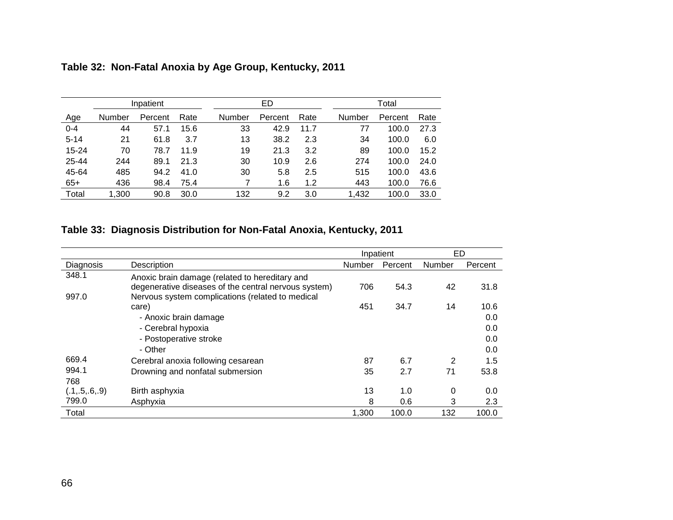|           |        | Inpatient |      |               | ED      |      |        | Total   |      |
|-----------|--------|-----------|------|---------------|---------|------|--------|---------|------|
| Age       | Number | Percent   | Rate | <b>Number</b> | Percent | Rate | Number | Percent | Rate |
| $0 - 4$   | 44     | 57.1      | 15.6 | 33            | 42.9    | 11.7 | 77     | 100.0   | 27.3 |
| $5 - 14$  | 21     | 61.8      | 3.7  | 13            | 38.2    | 2.3  | 34     | 100.0   | 6.0  |
| $15 - 24$ | 70     | 78.7      | 11.9 | 19            | 21.3    | 3.2  | 89     | 100.0   | 15.2 |
| 25-44     | 244    | 89.1      | 21.3 | 30            | 10.9    | 2.6  | 274    | 100.0   | 24.0 |
| 45-64     | 485    | 94.2      | 41.0 | 30            | 5.8     | 2.5  | 515    | 100.0   | 43.6 |
| $65+$     | 436    | 98.4      | 75.4 |               | 1.6     | 1.2  | 443    | 100.0   | 76.6 |
| Total     | 1,300  | 90.8      | 30.0 | 132           | 9.2     | 3.0  | 1,432  | 100.0   | 33.0 |

# **Table 32: Non-Fatal Anoxia by Age Group, Kentucky, 2011**

# **Table 33: Diagnosis Distribution for Non-Fatal Anoxia, Kentucky, 2011**

|                  |                                                      | Inpatient     |         | ED     |         |
|------------------|------------------------------------------------------|---------------|---------|--------|---------|
| Diagnosis        | Description                                          | <b>Number</b> | Percent | Number | Percent |
| 348.1            | Anoxic brain damage (related to hereditary and       |               |         |        |         |
|                  | degenerative diseases of the central nervous system) | 706           | 54.3    | 42     | 31.8    |
| 997.0            | Nervous system complications (related to medical     |               |         |        |         |
|                  | care)                                                | 451           | 34.7    | 14     | 10.6    |
|                  | - Anoxic brain damage                                |               |         |        | 0.0     |
|                  | - Cerebral hypoxia                                   |               |         |        | 0.0     |
|                  | - Postoperative stroke                               |               |         |        | 0.0     |
|                  | - Other                                              |               |         |        | 0.0     |
| 669.4            | Cerebral anoxia following cesarean                   | 87            | 6.7     | 2      | 1.5     |
| 994.1            | Drowning and nonfatal submersion                     | 35            | 2.7     | 71     | 53.8    |
| 768              |                                                      |               |         |        |         |
| (.1, .5, .6, .9) | Birth asphyxia                                       | 13            | 1.0     | 0      | 0.0     |
| 799.0            | Asphyxia                                             | 8             | 0.6     | 3      | 2.3     |
| Total            |                                                      | 1,300         | 100.0   | 132    | 100.0   |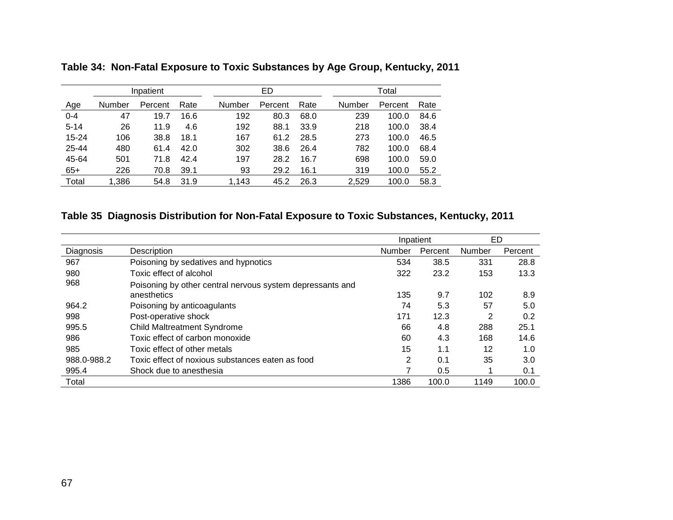|           |        | Inpatient |      |        | ED      |      |        | Total   |      |
|-----------|--------|-----------|------|--------|---------|------|--------|---------|------|
| Age       | Number | Percent   | Rate | Number | Percent | Rate | Number | Percent | Rate |
| $0 - 4$   | 47     | 19.7      | 16.6 | 192    | 80.3    | 68.0 | 239    | 100.0   | 84.6 |
| $5 - 14$  | 26     | 11.9      | 4.6  | 192    | 88.1    | 33.9 | 218    | 100.0   | 38.4 |
| $15 - 24$ | 106    | 38.8      | 18.1 | 167    | 61.2    | 28.5 | 273    | 100.0   | 46.5 |
| 25-44     | 480    | 61.4      | 42.0 | 302    | 38.6    | 26.4 | 782    | 100.0   | 68.4 |
| 45-64     | 501    | 71.8      | 42.4 | 197    | 28.2    | 16.7 | 698    | 100.0   | 59.0 |
| $65+$     | 226    | 70.8      | 39.1 | 93     | 29.2    | 16.1 | 319    | 100.0   | 55.2 |
| Total     | 1,386  | 54.8      | 31.9 | 1,143  | 45.2    | 26.3 | 2,529  | 100.0   | 58.3 |

**Table 34: Non-Fatal Exposure to Toxic Substances by Age Group, Kentucky, 2011**

## **Table 35 Diagnosis Distribution for Non-Fatal Exposure to Toxic Substances, Kentucky, 2011**

|             |                                                           |        | Inpatient | ED     |         |
|-------------|-----------------------------------------------------------|--------|-----------|--------|---------|
| Diagnosis   | Description                                               | Number | Percent   | Number | Percent |
| 967         | Poisoning by sedatives and hypnotics                      | 534    | 38.5      | 331    | 28.8    |
| 980         | Toxic effect of alcohol                                   | 322    | 23.2      | 153    | 13.3    |
| 968         | Poisoning by other central nervous system depressants and |        |           |        |         |
|             | anesthetics                                               | 135    | 9.7       | 102    | 8.9     |
| 964.2       | Poisoning by anticoagulants                               | 74     | 5.3       | 57     | 5.0     |
| 998         | Post-operative shock                                      | 171    | 12.3      | 2      | 0.2     |
| 995.5       | <b>Child Maltreatment Syndrome</b>                        | 66     | 4.8       | 288    | 25.1    |
| 986         | Toxic effect of carbon monoxide                           | 60     | 4.3       | 168    | 14.6    |
| 985         | Toxic effect of other metals                              | 15     | 1.1       | 12     | 1.0     |
| 988.0-988.2 | Toxic effect of noxious substances eaten as food          | 2      | 0.1       | 35     | 3.0     |
| 995.4       | Shock due to anesthesia                                   |        | 0.5       |        | 0.1     |
| Total       |                                                           | 1386   | 100.0     | 1149   | 100.0   |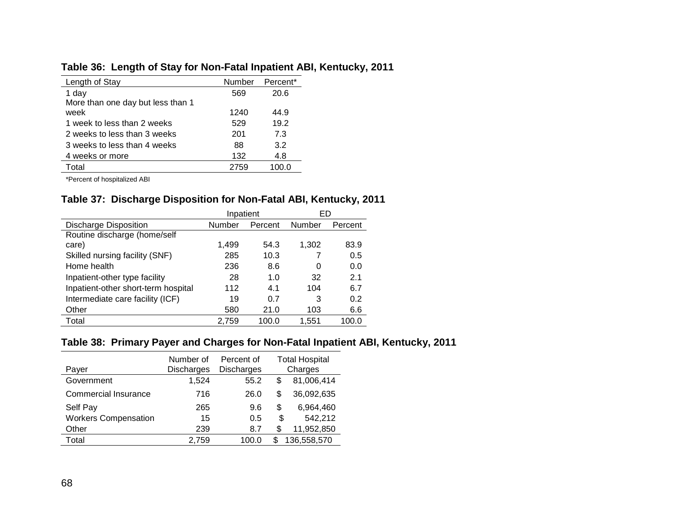## **Table 36: Length of Stay for Non-Fatal Inpatient ABI, Kentucky, 2011**

| Length of Stay                    | Number | Percent <sup>*</sup> |
|-----------------------------------|--------|----------------------|
| 1 day                             | 569    | 20.6                 |
| More than one day but less than 1 |        |                      |
| week                              | 1240   | 44.9                 |
| 1 week to less than 2 weeks       | 529    | 19.2                 |
| 2 weeks to less than 3 weeks      | 201    | 7.3                  |
| 3 weeks to less than 4 weeks      | 88     | 3.2                  |
| 4 weeks or more                   | 132    | 4.8                  |
| Total                             | 2759   | 100.0                |

\*Percent of hospitalized ABI

#### **Table 37: Discharge Disposition for Non-Fatal ABI, Kentucky, 2011**

|                                     | Inpatient |             | ED     |         |  |
|-------------------------------------|-----------|-------------|--------|---------|--|
| <b>Discharge Disposition</b>        | Number    | Percent     | Number | Percent |  |
| Routine discharge (home/self        |           |             |        |         |  |
| care)                               | 1.499     | 54.3        | 1,302  | 83.9    |  |
| Skilled nursing facility (SNF)      | 285       | 10.3        |        | 0.5     |  |
| Home health                         | 236       | 8.6         | 0      | 0.0     |  |
| Inpatient-other type facility       | 28        | 1. $\Omega$ | 32     | 2.1     |  |
| Inpatient-other short-term hospital | 112       | 4.1         | 104    | 6.7     |  |
| Intermediate care facility (ICF)    | 19        | 0.7         | 3      | 0.2     |  |
| Other                               | 580       | 21.0        | 103    | 6.6     |  |
| Total                               | 2.759     | 100.0       | 1,551  | 100.0   |  |

#### **Table 38: Primary Payer and Charges for Non-Fatal Inpatient ABI, Kentucky, 2011**

| Payer                       | Number of<br><b>Discharges</b> | Percent of<br><b>Discharges</b> |    | <b>Total Hospital</b><br>Charges |
|-----------------------------|--------------------------------|---------------------------------|----|----------------------------------|
| Government                  | 1.524                          | 55.2                            | S  | 81,006,414                       |
| Commercial Insurance        | 716                            | 26.0                            | S  | 36,092,635                       |
| Self Pay                    | 265                            | 9.6                             | \$ | 6,964,460                        |
| <b>Workers Compensation</b> | 15                             | 0.5                             | \$ | 542,212                          |
| Other                       | 239                            | 8.7                             | \$ | 11,952,850                       |
| Total                       | 2.759                          | 100.0                           | S  | 136,558,570                      |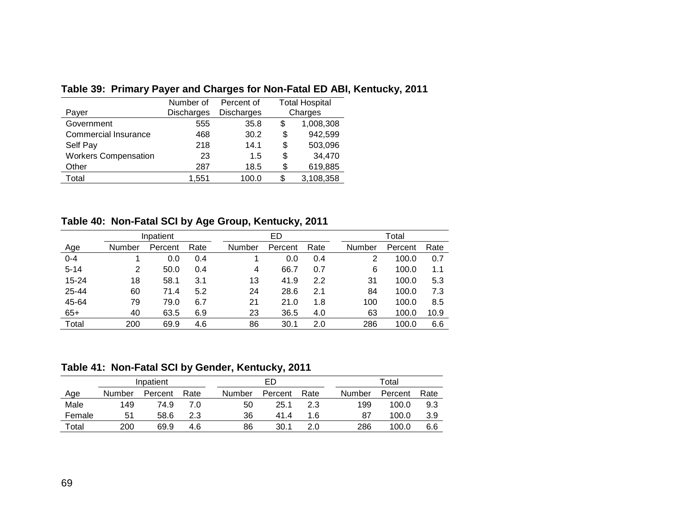|                             | Number of  | Percent of        | <b>Total Hospital</b> |           |  |
|-----------------------------|------------|-------------------|-----------------------|-----------|--|
| Payer                       | Discharges | <b>Discharges</b> |                       | Charges   |  |
| Government                  | 555        | 35.8              | \$                    | 1,008,308 |  |
| <b>Commercial Insurance</b> | 468        | 30.2              | \$                    | 942,599   |  |
| Self Pay                    | 218        | 14.1              | \$                    | 503,096   |  |
| <b>Workers Compensation</b> | 23         | 1.5               | \$                    | 34,470    |  |
| Other                       | 287        | 18.5              | \$                    | 619,885   |  |
| Total                       | 1,551      | 100.0             | S                     | 3,108,358 |  |

## **Table 39: Primary Payer and Charges for Non-Fatal ED ABI, Kentucky, 2011**

## **Table 40: Non-Fatal SCI by Age Group, Kentucky, 2011**

|            |               | Inpatient |      |        | ED      |      |        | Total   |      |  |  |
|------------|---------------|-----------|------|--------|---------|------|--------|---------|------|--|--|
| <u>Age</u> | <b>Number</b> | Percent   | Rate | Number | Percent | Rate | Number | Percent | Rate |  |  |
| $0 - 4$    |               | 0.0       | 0.4  |        | 0.0     | 0.4  | 2      | 100.0   | 0.7  |  |  |
| $5 - 14$   | 2             | 50.0      | 0.4  | 4      | 66.7    | 0.7  | 6      | 100.0   | 1.1  |  |  |
| $15 - 24$  | 18            | 58.1      | 3.1  | 13     | 41.9    | 2.2  | 31     | 100.0   | 5.3  |  |  |
| 25-44      | 60            | 71.4      | 5.2  | 24     | 28.6    | 2.1  | 84     | 100.0   | 7.3  |  |  |
| 45-64      | 79            | 79.0      | 6.7  | 21     | 21.0    | 1.8  | 100    | 100.0   | 8.5  |  |  |
| $65+$      | 40            | 63.5      | 6.9  | 23     | 36.5    | 4.0  | 63     | 100.0   | 10.9 |  |  |
| Total      | 200           | 69.9      | 4.6  | 86     | 30.1    | 2.0  | 286    | 100.0   | 6.6  |  |  |

**Table 41: Non-Fatal SCI by Gender, Kentucky, 2011**

|        | ED<br>Inpatient<br>Total |         |      |        |         |      |        |         |      |
|--------|--------------------------|---------|------|--------|---------|------|--------|---------|------|
| Age    | Number                   | Percent | Rate | Number | Percent | Rate | Number | Percent | Rate |
| Male   | 149                      | 74.9    | 7.0  | 50     | 25.1    | 2.3  | 199    | 100.0   | 9.3  |
| Female | 51                       | 58.6    | 2.3  | 36     | 41.4    | 1.6  | 87     | 100.0   | 3.9  |
| Total  | 200                      | 69.9    | 4.6  | 86     | 30.1    | 2.0  | 286    | 100.0   | 6.6  |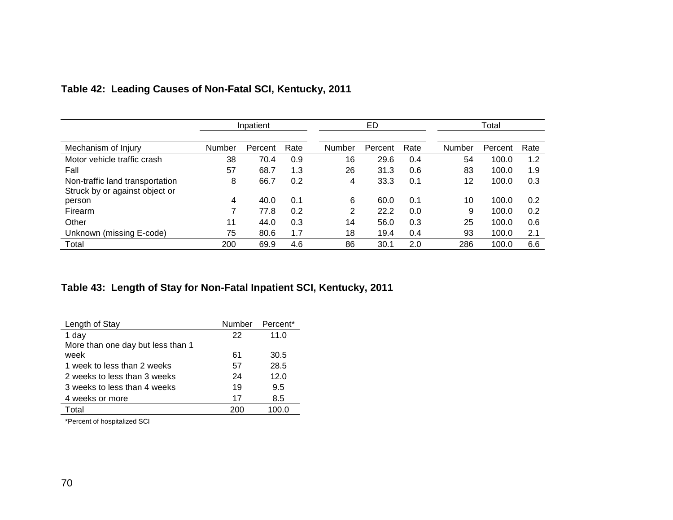|                                 | Inpatient |         |      | ED     |         |      | Total         |         |      |
|---------------------------------|-----------|---------|------|--------|---------|------|---------------|---------|------|
|                                 |           |         |      |        |         |      |               |         |      |
| Mechanism of Injury             | Number    | Percent | Rate | Number | Percent | Rate | <b>Number</b> | Percent | Rate |
| Motor vehicle traffic crash     | 38        | 70.4    | 0.9  | 16     | 29.6    | 0.4  | 54            | 100.0   | 1.2  |
| Fall                            | 57        | 68.7    | 1.3  | 26     | 31.3    | 0.6  | 83            | 100.0   | 1.9  |
| Non-traffic land transportation | 8         | 66.7    | 0.2  | 4      | 33.3    | 0.1  | 12            | 100.0   | 0.3  |
| Struck by or against object or  |           |         |      |        |         |      |               |         |      |
| person                          | 4         | 40.0    | 0.1  | 6      | 60.0    | 0.1  | 10            | 100.0   | 0.2  |
| Firearm                         | 7         | 77.8    | 0.2  | 2      | 22.2    | 0.0  | 9             | 100.0   | 0.2  |
| Other                           | 11        | 44.0    | 0.3  | 14     | 56.0    | 0.3  | 25            | 100.0   | 0.6  |
| Unknown (missing E-code)        | 75        | 80.6    | 1.7  | 18     | 19.4    | 0.4  | 93            | 100.0   | 2.1  |
| Total                           | 200       | 69.9    | 4.6  | 86     | 30.1    | 2.0  | 286           | 100.0   | 6.6  |

# **Table 42: Leading Causes of Non-Fatal SCI, Kentucky, 2011**

## **Table 43: Length of Stay for Non-Fatal Inpatient SCI, Kentucky, 2011**

| Length of Stay                    | Number | Percent* |
|-----------------------------------|--------|----------|
| 1 day                             | 22     | 11.0     |
| More than one day but less than 1 |        |          |
| week                              | 61     | 30.5     |
| 1 week to less than 2 weeks       | 57     | 28.5     |
| 2 weeks to less than 3 weeks      | 24     | 12.0     |
| 3 weeks to less than 4 weeks      | 19     | 9.5      |
| 4 weeks or more                   | 17     | 8.5      |
| Total                             | 200    |          |

\*Percent of hospitalized SCI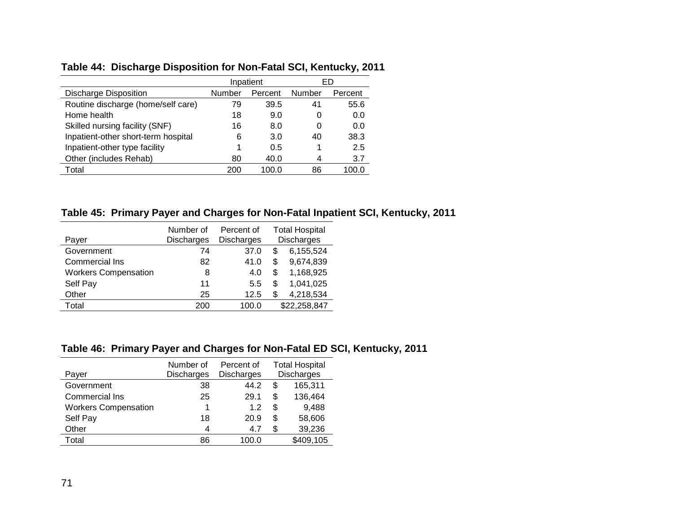## **Table 44: Discharge Disposition for Non-Fatal SCI, Kentucky, 2011**

|                                     | Inpatient |         |        | ED      |
|-------------------------------------|-----------|---------|--------|---------|
| <b>Discharge Disposition</b>        | Number    | Percent | Number | Percent |
| Routine discharge (home/self care)  | 79        | 39.5    | 41     | 55.6    |
| Home health                         | 18        | 9.0     | 0      | 0.0     |
| Skilled nursing facility (SNF)      | 16        | 8.0     | 0      | 0.0     |
| Inpatient-other short-term hospital | 6         | 3.0     | 40     | 38.3    |
| Inpatient-other type facility       |           | 0.5     |        | 2.5     |
| Other (includes Rehab)              | 80        | 40.0    | 4      | 3.7     |
| Total                               | 200       | 100.0   | 86     | 100.0   |

**Table 45: Primary Payer and Charges for Non-Fatal Inpatient SCI, Kentucky, 2011**

| Payer                       | Number of<br><b>Discharges</b> | Percent of<br><b>Discharges</b> |    | <b>Total Hospital</b><br><b>Discharges</b> |
|-----------------------------|--------------------------------|---------------------------------|----|--------------------------------------------|
| Government                  | 74                             | 37.0                            | S  | 6,155,524                                  |
| <b>Commercial Ins</b>       | 82                             | 41.0                            | S  | 9,674,839                                  |
| <b>Workers Compensation</b> | 8                              | 4.0                             | \$ | 1,168,925                                  |
| Self Pay                    | 11                             | 5.5                             | \$ | 1,041,025                                  |
| Other                       | 25                             | 12.5                            | \$ | 4,218,534                                  |
| Total                       | 200                            | 100.0                           |    | \$22,258,847                               |

#### **Table 46: Primary Payer and Charges for Non-Fatal ED SCI, Kentucky, 2011**

| Payer                       | Number of<br><b>Discharges</b> | Percent of<br><b>Discharges</b> |    | <b>Total Hospital</b><br><b>Discharges</b> |
|-----------------------------|--------------------------------|---------------------------------|----|--------------------------------------------|
| Government                  | 38                             | 44.2                            | S  | 165,311                                    |
| <b>Commercial Ins</b>       | 25                             | 29.1                            | S  | 136,464                                    |
| <b>Workers Compensation</b> | 1                              | 12                              | S  | 9,488                                      |
| Self Pay                    | 18                             | 20.9                            | \$ | 58,606                                     |
| Other                       | 4                              | 4.7                             | S  | 39,236                                     |
| Total                       | 86                             | 100.0                           |    | \$409,105                                  |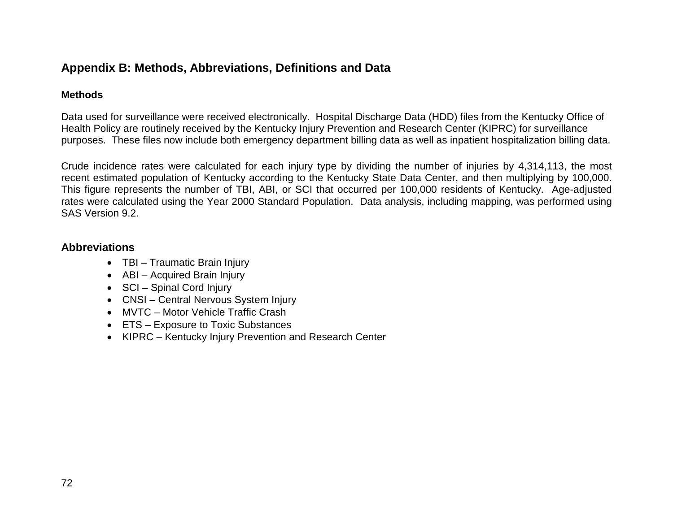### **Appendix B: Methods, Abbreviations, Definitions and Data**

#### **Methods**

Data used for surveillance were received electronically. Hospital Discharge Data (HDD) files from the Kentucky Office of Health Policy are routinely received by the Kentucky Injury Prevention and Research Center (KIPRC) for surveillance purposes. These files now include both emergency department billing data as well as inpatient hospitalization billing data.

Crude incidence rates were calculated for each injury type by dividing the number of injuries by 4,314,113, the most recent estimated population of Kentucky according to the Kentucky State Data Center, and then multiplying by 100,000. This figure represents the number of TBI, ABI, or SCI that occurred per 100,000 residents of Kentucky. Age-adjusted rates were calculated using the Year 2000 Standard Population. Data analysis, including mapping, was performed using SAS Version 9.2.

### **Abbreviations**

- TBI Traumatic Brain Injury
- ABI Acquired Brain Injury
- SCI Spinal Cord Injury
- CNSI Central Nervous System Injury
- MVTC Motor Vehicle Traffic Crash
- ETS Exposure to Toxic Substances
- KIPRC Kentucky Injury Prevention and Research Center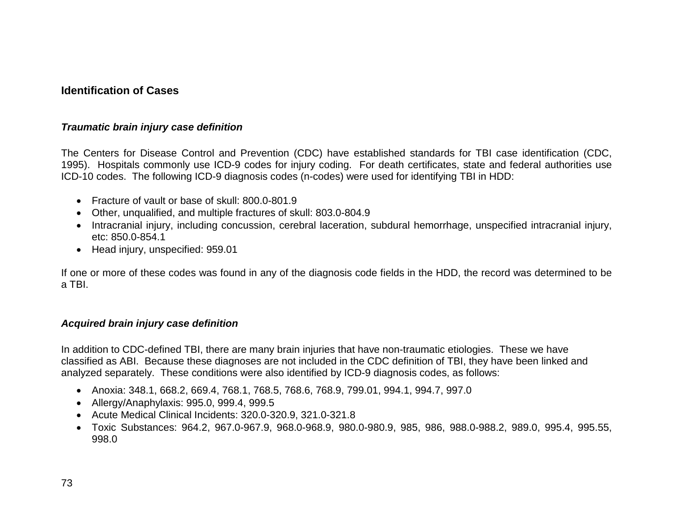## **Identification of Cases**

#### *Traumatic brain injury case definition*

The Centers for Disease Control and Prevention (CDC) have established standards for TBI case identification (CDC, 1995). Hospitals commonly use ICD-9 codes for injury coding. For death certificates, state and federal authorities use ICD-10 codes. The following ICD-9 diagnosis codes (n-codes) were used for identifying TBI in HDD:

- Fracture of vault or base of skull: 800.0-801.9
- Other, unqualified, and multiple fractures of skull: 803.0-804.9
- Intracranial injury, including concussion, cerebral laceration, subdural hemorrhage, unspecified intracranial injury, etc: 850.0-854.1
- Head injury, unspecified: 959.01

If one or more of these codes was found in any of the diagnosis code fields in the HDD, the record was determined to be a TBI.

#### *Acquired brain injury case definition*

In addition to CDC-defined TBI, there are many brain injuries that have non-traumatic etiologies. These we have classified as ABI. Because these diagnoses are not included in the CDC definition of TBI, they have been linked and analyzed separately. These conditions were also identified by ICD-9 diagnosis codes, as follows:

- Anoxia: 348.1, 668.2, 669.4, 768.1, 768.5, 768.6, 768.9, 799.01, 994.1, 994.7, 997.0
- Allergy/Anaphylaxis: 995.0, 999.4, 999.5
- Acute Medical Clinical Incidents: 320.0-320.9, 321.0-321.8
- Toxic Substances: 964.2, 967.0-967.9, 968.0-968.9, 980.0-980.9, 985, 986, 988.0-988.2, 989.0, 995.4, 995.55, 998.0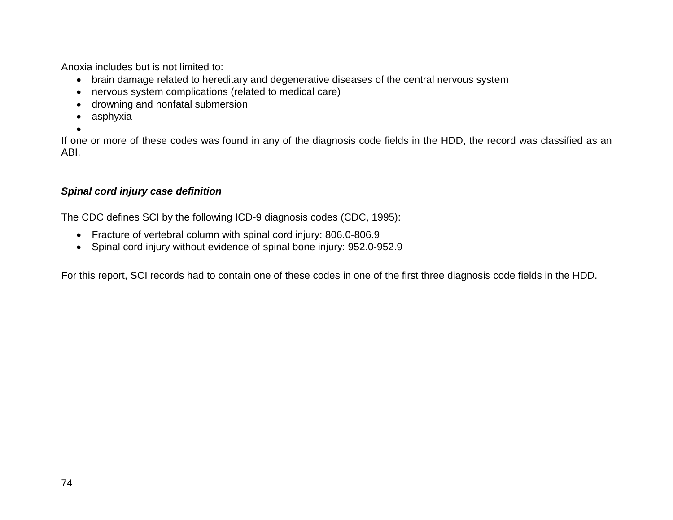Anoxia includes but is not limited to:

- brain damage related to hereditary and degenerative diseases of the central nervous system
- nervous system complications (related to medical care)
- drowning and nonfatal submersion
- asphyxia
- •

If one or more of these codes was found in any of the diagnosis code fields in the HDD, the record was classified as an ABI.

### *Spinal cord injury case definition*

The CDC defines SCI by the following ICD-9 diagnosis codes (CDC, 1995):

- Fracture of vertebral column with spinal cord injury: 806.0-806.9
- Spinal cord injury without evidence of spinal bone injury: 952.0-952.9

For this report, SCI records had to contain one of these codes in one of the first three diagnosis code fields in the HDD.